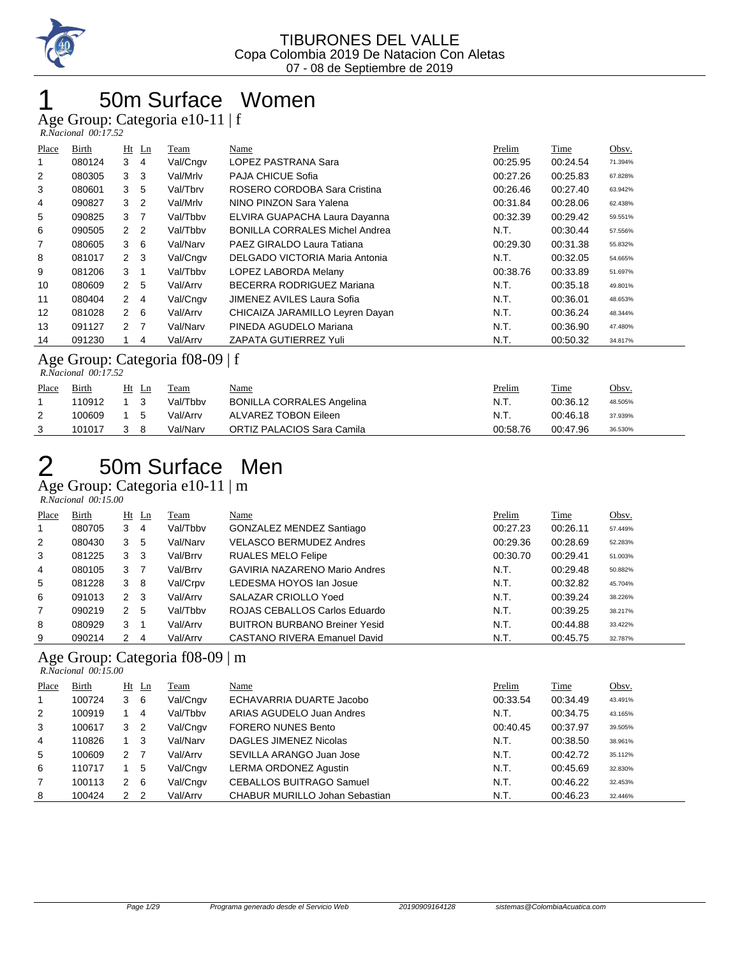

### 50m Surface Women

Age Group: Categoria e10-11 | f  *R.Nacional 00:17.52* 

| Place          | Birth                                                |                  | $Ht$ Ln        | Team     | Name                                  | Prelim   | Time     | Obsv.   |  |  |
|----------------|------------------------------------------------------|------------------|----------------|----------|---------------------------------------|----------|----------|---------|--|--|
|                | 080124                                               | 3                | -4             | Val/Cngv | LOPEZ PASTRANA Sara                   | 00:25.95 | 00:24.54 | 71.394% |  |  |
| $\overline{2}$ | 080305                                               | 3                | -3             | Val/Mrlv | PAJA CHICUE Sofia                     | 00:27.26 | 00:25.83 | 67.828% |  |  |
| 3              | 080601                                               | 3                | 5              | Val/Tbrv | ROSERO CORDOBA Sara Cristina          | 00:26.46 | 00:27.40 | 63.942% |  |  |
| 4              | 090827                                               | 3                | $\overline{2}$ | Val/Mrlv | NINO PINZON Sara Yalena               | 00:31.84 | 00:28.06 | 62.438% |  |  |
| 5              | 090825                                               | 3                | 7              | Val/Tbbv | ELVIRA GUAPACHA Laura Dayanna         | 00:32.39 | 00:29.42 | 59.551% |  |  |
| 6              | 090505                                               | 2 2              |                | Val/Tbby | <b>BONILLA CORRALES Michel Andrea</b> | N.T.     | 00:30.44 | 57.556% |  |  |
| 7              | 080605                                               | 3                | - 6            | Val/Narv | PAEZ GIRALDO Laura Tatiana            | 00:29.30 | 00:31.38 | 55.832% |  |  |
| 8              | 081017                                               | $2 \quad 3$      |                | Val/Cngv | DELGADO VICTORIA Maria Antonia        | N.T.     | 00:32.05 | 54.665% |  |  |
| 9              | 081206                                               | 3                |                | Val/Tbby | LOPEZ LABORDA Melany                  | 00:38.76 | 00:33.89 | 51.697% |  |  |
| 10             | 080609                                               | 2                | -5             | Val/Arrv | BECERRA RODRIGUEZ Mariana             | N.T.     | 00:35.18 | 49.801% |  |  |
| 11             | 080404                                               | $\mathbf{2}$     | -4             | Val/Cngv | JIMENEZ AVILES Laura Sofia            | N.T.     | 00:36.01 | 48.653% |  |  |
| 12             | 081028                                               | 2                | - 6            | Val/Arrv | CHICAIZA JARAMILLO Leyren Dayan       | N.T.     | 00:36.24 | 48.344% |  |  |
| 13             | 091127                                               | $2 \overline{7}$ |                | Val/Narv | PINEDA AGUDELO Mariana                | N.T.     | 00:36.90 | 47.480% |  |  |
| 14             | 091230                                               |                  | 4              | Val/Arrv | ZAPATA GUTIERREZ Yuli                 | N.T.     | 00:50.32 | 34.817% |  |  |
|                | $\Lambda$ go $C$ results: $C$ at a gauge $f(0.0000)$ |                  |                |          |                                       |          |          |         |  |  |

Age Group: Categoria f08-09 | f

|       | R.Nacional 00:17.52 |       |          |                                  |               |          |         |  |  |  |  |
|-------|---------------------|-------|----------|----------------------------------|---------------|----------|---------|--|--|--|--|
| Place | Birth               | Ht Ln | Team     | <u>Name</u>                      | <u>Prelim</u> | Time     | Obsv.   |  |  |  |  |
|       | 110912              |       | Val/Tbby | <b>BONILLA CORRALES Angelina</b> | N.T.          | 00:36.12 | 48.505% |  |  |  |  |
| 2     | 100609              | 5     | Val/Arrv | ALVAREZ TOBON Eileen             | N.T.          | 00:46.18 | 37.939% |  |  |  |  |
|       | 101017              | 8     | Val/Narv | ORTIZ PALACIOS Sara Camila       | 00:58.76      | 00:47.96 | 36.530% |  |  |  |  |

#### 2 50m Surface Men Age Group: Categoria e10-11 | m

 *R.Nacional 00:15.00* 

| Place          | Birth  |              | $Ht$ Ln | Team     | Name                                 | Prelim   | Time     | Obsv.   |
|----------------|--------|--------------|---------|----------|--------------------------------------|----------|----------|---------|
| $\mathbf 1$    | 080705 | 3            | 4       | Val/Tbby | GONZALEZ MENDEZ Santiago             | 00:27.23 | 00:26.11 | 57.449% |
| 2              | 080430 | 3            | 5       | Val/Narv | <b>VELASCO BERMUDEZ Andres</b>       | 00:29.36 | 00:28.69 | 52.283% |
| 3              | 081225 | 3            | 3       | Val/Brrv | <b>RUALES MELO Felipe</b>            | 00:30.70 | 00:29.41 | 51.003% |
| 4              | 080105 | 3            |         | Val/Brrv | <b>GAVIRIA NAZARENO Mario Andres</b> | N.T.     | 00:29.48 | 50.882% |
| 5              | 081228 | 3            | -8      | Val/Crpv | LEDESMA HOYOS Ian Josue              | N.T.     | 00:32.82 | 45.704% |
| 6              | 091013 | $\mathbf{2}$ | -3      | Val/Arrv | SALAZAR CRIOLLO Yoed                 | N.T.     | 00:39.24 | 38.226% |
| $\overline{7}$ | 090219 | 2            | 5       | Val/Tbbv | ROJAS CEBALLOS Carlos Eduardo        | N.T.     | 00:39.25 | 38.217% |
| 8              | 080929 | 3            |         | Val/Arrv | <b>BUITRON BURBANO Breiner Yesid</b> | N.T.     | 00:44.88 | 33.422% |
| 9              | 090214 | 2            | -4      | Val/Arrv | CASTANO RIVERA Emanuel David         | N.T.     | 00:45.75 | 32.787% |

#### Age Group: Categoria f08-09 | m

 *R.Nacional 00:15.00*  Place Birth Ht Ln Team Name Prelim Time Obsv. 1 100724 3 6 Val/Cngv ECHAVARRIA DUARTE Jacobo 00:33.54 00:34.49 43.491% 2 100919 1 4 Val/Tbbv ARIAS AGUDELO Juan Andres N.T. 00:34.75 43.165% 3 100617 3 2 Val/Cngv FORERO NUNES Bento 00:40.45 00:37.97 39.505% 4 110826 1 3 Val/Narv DAGLES JIMENEZ Nicolas N.T. 00:38.50 38.961% 5 100609 2 7 Val/Arrv SEVILLA ARANGO Juan Jose 1 1 N.T. 00:42.72 35.112% 6 110717 1 5 Val/Cngv LERMA ORDONEZ Agustin New York N.T. 00:45.69 32.830% 7 100113 2 6 Val/Cngv CEBALLOS BUITRAGO Samuel N.T. 00:46.22 32.453% 8 100424 2 2 Val/Arrv CHABUR MURILLO Johan Sebastian N.T. 00:46.23 32.446%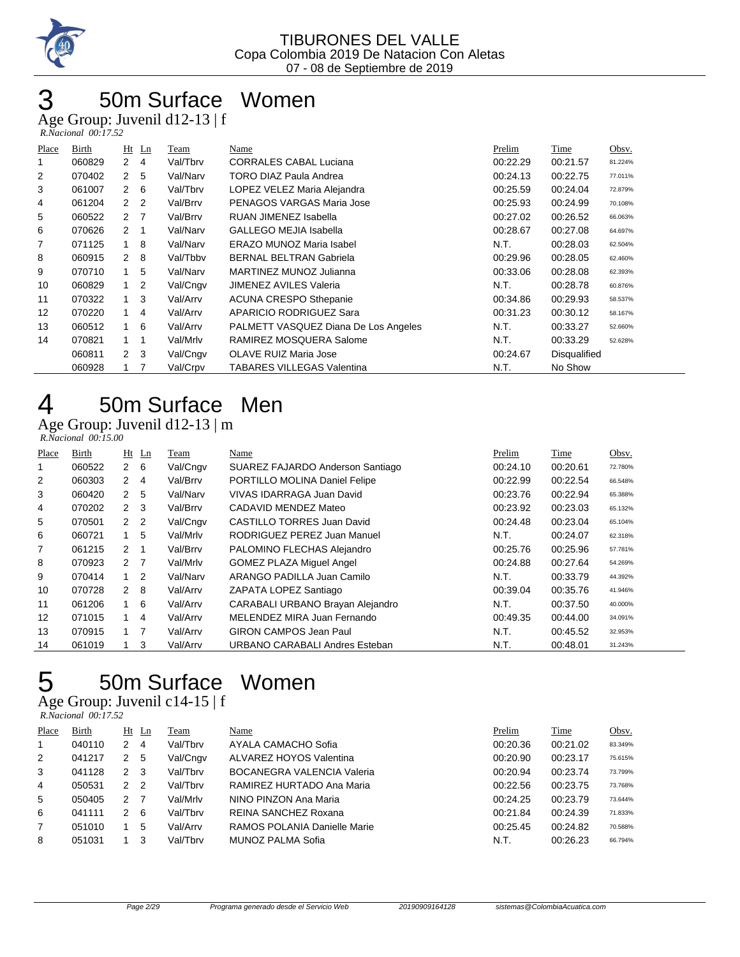

## 50m Surface Women

Age Group: Juvenil d12-13 | f

| R.Nacional 00:17.52 |  |
|---------------------|--|

| Place | Birth  |                | $Ht$ Ln | Team     | Name                                 | Prelim   | Time                | Obsv.   |
|-------|--------|----------------|---------|----------|--------------------------------------|----------|---------------------|---------|
| 1     | 060829 | $\mathbf{2}$   | 4       | Val/Tbrv | <b>CORRALES CABAL Luciana</b>        | 00:22.29 | 00:21.57            | 81.224% |
| 2     | 070402 | $\mathbf{2}$   | 5       | Val/Narv | <b>TORO DIAZ Paula Andrea</b>        | 00:24.13 | 00:22.75            | 77.011% |
| 3     | 061007 | $2\quad 6$     |         | Val/Tbrv | LOPEZ VELEZ Maria Alejandra          | 00:25.59 | 00:24.04            | 72.879% |
| 4     | 061204 | $2\quad 2$     |         | Val/Brrv | PENAGOS VARGAS Maria Jose            | 00:25.93 | 00:24.99            | 70.108% |
| 5     | 060522 | 2 <sub>7</sub> |         | Val/Brrv | RUAN JIMENEZ Isabella                | 00:27.02 | 00:26.52            | 66.063% |
| 6     | 070626 | $2 \quad 1$    |         | Val/Narv | <b>GALLEGO MEJIA Isabella</b>        | 00:28.67 | 00:27.08            | 64.697% |
| 7     | 071125 | 1              | 8       | Val/Narv | <b>ERAZO MUNOZ Maria Isabel</b>      | N.T.     | 00:28.03            | 62.504% |
| 8     | 060915 | $2 \quad 8$    |         | Val/Tbby | <b>BERNAL BELTRAN Gabriela</b>       | 00:29.96 | 00:28.05            | 62.460% |
| 9     | 070710 | $1 \quad$      | 5       | Val/Narv | MARTINEZ MUNOZ Julianna              | 00:33.06 | 00:28.08            | 62.393% |
| 10    | 060829 | 1              | 2       | Val/Cngv | <b>JIMENEZ AVILES Valeria</b>        | N.T.     | 00:28.78            | 60.876% |
| 11    | 070322 | 1              | 3       | Val/Arrv | <b>ACUNA CRESPO Sthepanie</b>        | 00:34.86 | 00:29.93            | 58.537% |
| 12    | 070220 |                | 4       | Val/Arrv | APARICIO RODRIGUEZ Sara              | 00:31.23 | 00:30.12            | 58.167% |
| 13    | 060512 | $\mathbf{1}$   | 6       | Val/Arrv | PALMETT VASQUEZ Diana De Los Angeles | N.T.     | 00:33.27            | 52.660% |
| 14    | 070821 | $1 \quad 1$    |         | Val/Mrlv | RAMIREZ MOSQUERA Salome              | N.T.     | 00:33.29            | 52.628% |
|       | 060811 | 2 <sub>3</sub> |         | Val/Cngv | OLAVE RUIZ Maria Jose                | 00:24.67 | <b>Disqualified</b> |         |
|       | 060928 | $1 \quad 7$    |         | Val/Crpv | <b>TABARES VILLEGAS Valentina</b>    | N.T.     | No Show             |         |

### 50m Surface Men

#### Age Group: Juvenil d12-13 | m  *R.Nacional 00:15.00*

| Place          | Birth  | $Ht$ Ln          |                | Team     | Name                              | Prelim   | Time     | Obsv.   |
|----------------|--------|------------------|----------------|----------|-----------------------------------|----------|----------|---------|
| 1              | 060522 | $2\quad 6$       |                | Val/Cngv | SUAREZ FAJARDO Anderson Santiago  | 00:24.10 | 00:20.61 | 72.780% |
| $\overline{2}$ | 060303 | 2                | -4             | Val/Brrv | PORTILLO MOLINA Daniel Felipe     | 00:22.99 | 00:22.54 | 66.548% |
| 3              | 060420 | $2^{\circ}$      | -5             | Val/Narv | VIVAS IDARRAGA Juan David         | 00:23.76 | 00:22.94 | 65.388% |
| 4              | 070202 | $2 \quad 3$      |                | Val/Brrv | CADAVID MENDEZ Mateo              | 00:23.92 | 00:23.03 | 65.132% |
| 5              | 070501 | 2 <sub>2</sub>   |                | Val/Cngv | <b>CASTILLO TORRES Juan David</b> | 00:24.48 | 00:23.04 | 65.104% |
| 6              | 060721 | 1                | 5              | Val/Mrlv | RODRIGUEZ PEREZ Juan Manuel       | N.T.     | 00:24.07 | 62.318% |
| 7              | 061215 | $\mathbf{2}$     | - 1            | Val/Brrv | PALOMINO FLECHAS Alejandro        | 00:25.76 | 00:25.96 | 57.781% |
| 8              | 070923 | $2 \overline{7}$ |                | Val/Mrlv | <b>GOMEZ PLAZA Miquel Angel</b>   | 00:24.88 | 00:27.64 | 54.269% |
| 9              | 070414 | $1\quad 2$       |                | Val/Narv | ARANGO PADILLA Juan Camilo        | N.T.     | 00:33.79 | 44.392% |
| 10             | 070728 | $2 \quad 8$      |                | Val/Arrv | ZAPATA LOPEZ Santiago             | 00:39.04 | 00:35.76 | 41.946% |
| 11             | 061206 |                  | -6             | Val/Arrv | CARABALI URBANO Brayan Alejandro  | N.T.     | 00:37.50 | 40.000% |
| 12             | 071015 | $1 \quad$        | $\overline{4}$ | Val/Arrv | MELENDEZ MIRA Juan Fernando       | 00:49.35 | 00:44.00 | 34.091% |
| 13             | 070915 | $1 \quad 7$      |                | Val/Arrv | <b>GIRON CAMPOS Jean Paul</b>     | N.T.     | 00:45.52 | 32.953% |
| 14             | 061019 |                  | 3              | Val/Arrv | URBANO CARABALI Andres Esteban    | N.T.     | 00:48.01 | 31.243% |

# 50m Surface Women

Age Group: Juvenil c14-15 | f

|              | $R. Nacional$ 00:17.52 |               |    |          |                                   |          |          |         |
|--------------|------------------------|---------------|----|----------|-----------------------------------|----------|----------|---------|
| Place        | <b>Birth</b>           | $Ht$ Ln       |    | Team     | Name                              | Prelim   | Time     | Obsv.   |
| $\mathbf{1}$ | 040110                 | $\mathcal{P}$ | 4  | Val/Tbrv | AYALA CAMACHO Sofia               | 00:20.36 | 00:21.02 | 83.349% |
| 2            | 041217                 | 2             | 5  | Val/Cngv | ALVAREZ HOYOS Valentina           | 00:20.90 | 00:23.17 | 75.615% |
| 3            | 041128                 | 2             | -3 | Val/Tbrv | <b>BOCANEGRA VALENCIA Valeria</b> | 00:20.94 | 00:23.74 | 73.799% |
| 4            | 050531                 | $\mathcal{P}$ | 2  | Val/Tbrv | RAMIREZ HURTADO Ana Maria         | 00:22.56 | 00:23.75 | 73.768% |
| 5            | 050405                 | $\mathcal{P}$ | 7  | Val/Mrlv | NINO PINZON Ana Maria             | 00:24.25 | 00:23.79 | 73.644% |
| 6            | 041111                 | 2             | 6  | Val/Tbrv | REINA SANCHEZ Roxana              | 00:21.84 | 00:24.39 | 71.833% |
| 7            | 051010                 |               | 5  | Val/Arrv | RAMOS POLANIA Danielle Marie      | 00:25.45 | 00:24.82 | 70.588% |
| 8            | 051031                 |               | 3  | Val/Tbrv | MUNOZ PALMA Sofia                 | N.T.     | 00:26.23 | 66.794% |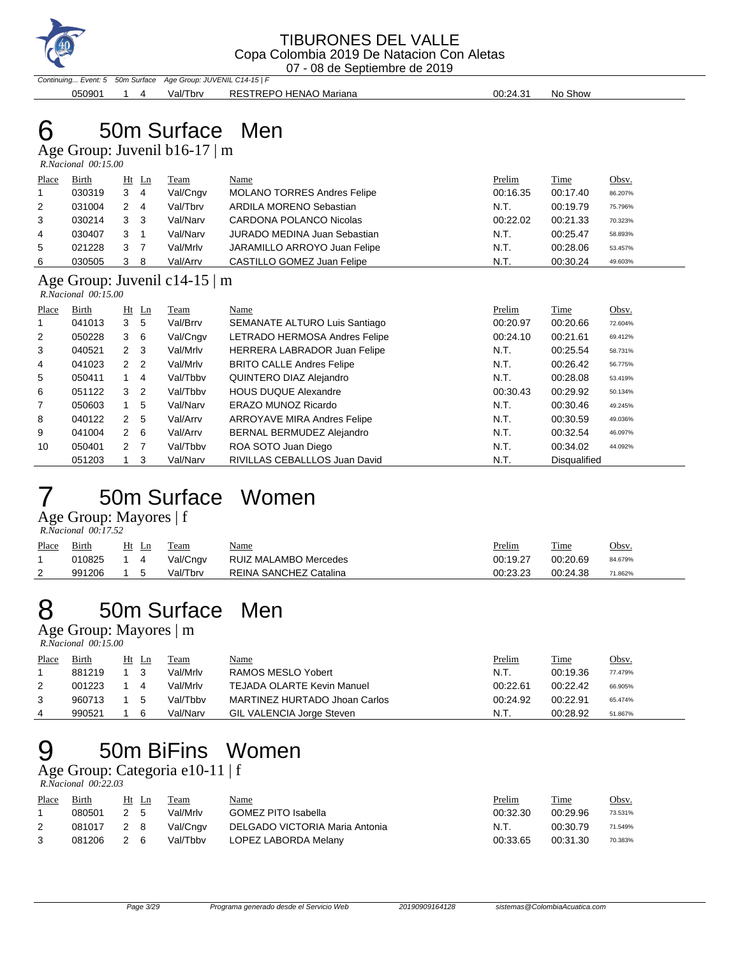

Continuing... Event: 5 50m Surface Age Group: JUVENIL C14-15 | F 050901 1 4 Val/Tbrv RESTREPO HENAO Mariana 1 1 00:24.31 No Show

# 6 50m Surface Men

Age Group: Juvenil b16-17 | m  *R.Nacional 00:15.00* 

| Place          | Birth  | Ht Ln |     | Team     | Name                                | Prelim   | Time     | Obsv.   |
|----------------|--------|-------|-----|----------|-------------------------------------|----------|----------|---------|
| $\overline{1}$ | 030319 | 3     | 4   | Val/Cngv | <b>MOLANO TORRES Andres Felipe</b>  | 00:16.35 | 00:17.40 | 86.207% |
| 2              | 031004 |       | 4   | Val/Tbrv | ARDILA MORENO Sebastian             | N.T.     | 00:19.79 | 75.796% |
| 3              | 030214 | 3     | - 3 | Val/Narv | CARDONA POLANCO Nicolas             | 00:22.02 | 00:21.33 | 70.323% |
| 4              | 030407 | 3     |     | Val/Narv | <b>JURADO MEDINA Juan Sebastian</b> | N.T.     | 00:25.47 | 58.893% |
| 5              | 021228 | 3     |     | Val/Mrlv | JARAMILLO ARROYO Juan Felipe        | N.T.     | 00:28.06 | 53.457% |
| 6              | 030505 | 3     | 8   | Val/Arrv | CASTILLO GOMEZ Juan Felipe          | N.T.     | 00:30.24 | 49.603% |

#### Age Group: Juvenil c14-15 | m  *R.Nacional 00:15.00*

| Place          | Birth  |                | $Ht$ Ln        | Team     | Name                             | Prelim   | <b>Time</b>  | Obsv.   |
|----------------|--------|----------------|----------------|----------|----------------------------------|----------|--------------|---------|
|                | 041013 | 3              | 5              | Val/Brrv | SEMANATE ALTURO Luis Santiago    | 00:20.97 | 00:20.66     | 72.604% |
| $\overline{2}$ | 050228 | 3              | - 6            | Val/Cngv | LETRADO HERMOSA Andres Felipe    | 00:24.10 | 00:21.61     | 69.412% |
| 3              | 040521 | $2 \quad 3$    |                | Val/Mrlv | HERRERA LABRADOR Juan Felipe     | N.T.     | 00:25.54     | 58.731% |
| 4              | 041023 | 2 <sub>2</sub> |                | Val/Mrlv | <b>BRITO CALLE Andres Felipe</b> | N.T.     | 00:26.42     | 56.775% |
| 5              | 050411 |                | 4              | Val/Tbby | QUINTERO DIAZ Alejandro          | N.T.     | 00:28.08     | 53.419% |
| 6              | 051122 | 3              | $\overline{2}$ | Val/Tbby | <b>HOUS DUQUE Alexandre</b>      | 00:30.43 | 00:29.92     | 50.134% |
| $\overline{7}$ | 050603 |                | 5              | Val/Narv | ERAZO MUNOZ Ricardo              | N.T.     | 00:30.46     | 49.245% |
| 8              | 040122 | 2              | 5              | Val/Arrv | ARROYAVE MIRA Andres Felipe      | N.T.     | 00:30.59     | 49.036% |
| 9              | 041004 | $2\quad 6$     |                | Val/Arrv | BERNAL BERMUDEZ Alejandro        | N.T.     | 00:32.54     | 46.097% |
| 10             | 050401 | 2 <sub>7</sub> |                | Val/Tbby | ROA SOTO Juan Diego              | N.T.     | 00:34.02     | 44.092% |
|                | 051203 |                | 3              | Val/Narv | RIVILLAS CEBALLLOS Juan David    | N.T.     | Disqualified |         |

### 7 50m Surface Women

Age Group: Mayores | f

| R.Nacional 00:17.52 |  |
|---------------------|--|
|                     |  |

| Team | Nat |
|------|-----|

| Place<br>$\overline{\phantom{a}}$ | Birth  | Ht | Ln | Team     | Name                   | Prelim<br>$\sim$ $\sim$ | Time     | Obsv.   |
|-----------------------------------|--------|----|----|----------|------------------------|-------------------------|----------|---------|
|                                   | 010825 |    |    | Val/Cngv | RUIZ MALAMBO Mercedes  | 00:19.27                | 00:20.69 | 84.679% |
| <u>.</u>                          | 991206 |    |    | Val/Tbrv | REINA SANCHEZ Catalina | 00:23.23                | 00:24.38 | 71.862% |

# 8 50m Surface Men

Age Group: Mayores | m  *R.Nacional 00:15.00* 

| Place | Birth  | $Ht$ Ln | Team     | <u>Name</u>                       | Prelim   | <u>Time</u> | Obsv.   |
|-------|--------|---------|----------|-----------------------------------|----------|-------------|---------|
|       | 881219 |         | Val/Mrlv | RAMOS MESLO Yobert                | N.T.     | 00:19.36    | 77.479% |
|       | 001223 | 4       | Val/Mrlv | <b>TEJADA OLARTE Kevin Manuel</b> | 00:22.61 | 00:22.42    | 66.905% |
| 3     | 960713 | 5       | Val/Tbbv | MARTINEZ HURTADO Jhoan Carlos     | 00:24.92 | 00:22.91    | 65.474% |
| 4     | 990521 | 6       | Val/Narv | GIL VALENCIA Jorge Steven         | N.T.     | 00:28.92    | 51.867% |

## 9 50m BiFins Women

Age Group: Categoria e10-11 | f<br>R.Nacional 00:22.03

| R.Nacional 00:22.03 |  |
|---------------------|--|
|---------------------|--|

| <b>Place</b> | Birth  |     | Ht Ln | Team     | <u>Name</u>                    | <b>Prelim</b> | Time     | <u>Obsv.</u> |
|--------------|--------|-----|-------|----------|--------------------------------|---------------|----------|--------------|
|              | 080501 | 2 5 |       | Val/Mrlv | <b>GOMEZ PITO Isabella</b>     | 00:32.30      | 00:29.96 | 73.531%      |
|              | 081017 | 28  |       | Val/Cngv | DELGADO VICTORIA Maria Antonia | N.T           | 00:30.79 | 71.549%      |
|              | 081206 | 26  |       | Val/Tbby | LOPEZ LABORDA Melany           | 00:33.65      | 00:31.30 | 70.383%      |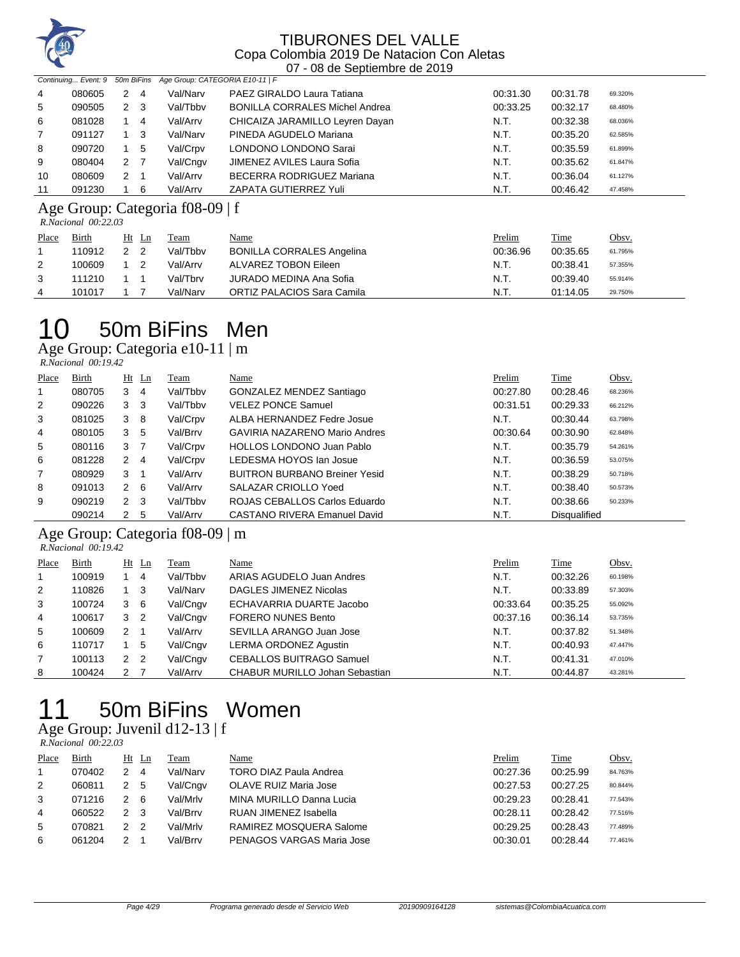

|    |        |     |     | Continuing Event: 9 50m BiFins Age Group: CATEGORIA E10-11   F |                                       |          |          |         |  |
|----|--------|-----|-----|----------------------------------------------------------------|---------------------------------------|----------|----------|---------|--|
| 4  | 080605 | 2   | -4  | Val/Narv                                                       | PAEZ GIRALDO Laura Tatiana            | 00:31.30 | 00:31.78 | 69.320% |  |
| 5  | 090505 |     | 2 3 | Val/Tbby                                                       | <b>BONILLA CORRALES Michel Andrea</b> | 00:33.25 | 00:32.17 | 68.480% |  |
| 6  | 081028 |     | 4   | Val/Arrv                                                       | CHICAIZA JARAMILLO Leyren Dayan       | N.T.     | 00:32.38 | 68.036% |  |
| 7  | 091127 |     | - 3 | Val/Narv                                                       | PINEDA AGUDELO Mariana                | N.T.     | 00:35.20 | 62.585% |  |
| 8  | 090720 |     | 5   | Val/Crpv                                                       | LONDONO LONDONO Sarai                 | N.T.     | 00:35.59 | 61.899% |  |
| 9  | 080404 | 2 7 |     | Val/Cngv                                                       | JIMENEZ AVILES Laura Sofia            | N.T.     | 00:35.62 | 61.847% |  |
| 10 | 080609 | 2   |     | Val/Arrv                                                       | <b>BECERRA RODRIGUEZ Mariana</b>      | N.T.     | 00:36.04 | 61.127% |  |
| 11 | 091230 |     | 6   | Val/Arrv                                                       | ZAPATA GUTIERREZ Yuli                 | N.T.     | 00:46.42 | 47.458% |  |

#### Age Group: Categoria f08-09 | f

 *R.Nacional 00:22.03* 

| Place | <b>Birth</b> | $Ht$ Ln | Team     | <u>Name</u>                      | <u>Prelim</u> | <b>Time</b> | <u>Obsv.</u> |
|-------|--------------|---------|----------|----------------------------------|---------------|-------------|--------------|
|       | 110912       |         | Val/Tbby | <b>BONILLA CORRALES Angelina</b> | 00:36.96      | 00:35.65    | 61.795%      |
| 2     | 100609       |         | Val/Arrv | ALVAREZ TOBON Eileen             | N.T.          | 00:38.41    | 57.355%      |
|       | 111210       |         | Val/Tbrv | JURADO MEDINA Ana Sofia          | N.T.          | 00:39.40    | 55.914%      |
| 4     | 101017       |         | Val/Narv | ORTIZ PALACIOS Sara Camila       | N.T.          | 01:14.05    | 29.750%      |

## 50m BiFins Men

Age Group: Categoria e10-11 | m

| Place          | Birth  | $Ht$ Ln        |     | <b>Team</b> | Name                                 | Prelim   | <b>Time</b>         | Obsv.   |
|----------------|--------|----------------|-----|-------------|--------------------------------------|----------|---------------------|---------|
| 1              | 080705 | $3 \quad 4$    |     | Val/Tbby    | GONZALEZ MENDEZ Santiago             | 00:27.80 | 00:28.46            | 68.236% |
| 2              | 090226 | 3 <sub>3</sub> |     | Val/Tbbv    | <b>VELEZ PONCE Samuel</b>            | 00:31.51 | 00:29.33            | 66.212% |
| 3              | 081025 | 38             |     | Val/Crpv    | ALBA HERNANDEZ Fedre Josue           | N.T.     | 00:30.44            | 63.798% |
| 4              | 080105 | 3 <sub>5</sub> |     | Val/Brrv    | GAVIRIA NAZARENO Mario Andres        | 00:30.64 | 00:30.90            | 62.848% |
| 5              | 080116 | 3 7            |     | Val/Crpv    | <b>HOLLOS LONDONO Juan Pablo</b>     | N.T.     | 00:35.79            | 54.261% |
| 6              | 081228 | 2 4            |     | Val/Crpv    | LEDESMA HOYOS Ian Josue              | N.T.     | 00:36.59            | 53.075% |
| $\overline{7}$ | 080929 | 3 1            |     | Val/Arrv    | <b>BUITRON BURBANO Breiner Yesid</b> | N.T.     | 00:38.29            | 50.718% |
| 8              | 091013 | $2 \quad 6$    |     | Val/Arrv    | SALAZAR CRIOLLO Yoed                 | N.T.     | 00:38.40            | 50.573% |
| 9              | 090219 | 2 <sub>3</sub> |     | Val/Tbby    | ROJAS CEBALLOS Carlos Eduardo        | N.T.     | 00:38.66            | 50.233% |
|                | 090214 | 2              | - 5 | Val/Arrv    | <b>CASTANO RIVERA Emanuel David</b>  | N.T.     | <b>Disqualified</b> |         |

#### Age Group: Categoria f08-09 | m

 *R.Nacional 00:19.42* 

| Place | Birth  |                | $Ht$ Ln        | Team     | <u>Name</u>                     | Prelim   | Time     | Obsv.   |
|-------|--------|----------------|----------------|----------|---------------------------------|----------|----------|---------|
|       | 100919 |                | 4              | Val/Tbby | ARIAS AGUDELO Juan Andres       | N.T.     | 00:32.26 | 60.198% |
| 2     | 110826 | $1 \quad 3$    |                | Val/Narv | DAGLES JIMENEZ Nicolas          | N.T.     | 00:33.89 | 57.303% |
| 3     | 100724 | 3              | - 6            | Val/Cngv | ECHAVARRIA DUARTE Jacobo        | 00:33.64 | 00:35.25 | 55.092% |
| 4     | 100617 | 3 <sub>2</sub> |                | Val/Cngv | <b>FORERO NUNES Bento</b>       | 00:37.16 | 00:36.14 | 53.735% |
| 5     | 100609 | 2              |                | Val/Arrv | SEVILLA ARANGO Juan Jose        | N.T.     | 00:37.82 | 51.348% |
| 6     | 110717 |                | 5              | Val/Cngv | LERMA ORDONEZ Agustin           | N.T.     | 00:40.93 | 47.447% |
| 7     | 100113 | $\overline{2}$ | $\overline{2}$ | Val/Cngv | <b>CEBALLOS BUITRAGO Samuel</b> | N.T.     | 00:41.31 | 47.010% |
| 8     | 100424 | 2              |                | Val/Arrv | CHABUR MURILLO Johan Sebastian  | N.T.     | 00:44.87 | 43.281% |

# 50m BiFins Women

#### Age Group: Juvenil d12-13 | f  *R.Nacional 00:22.03*

| Place | Birth  | Ht | Ln | Team     | Name                          | Prelim   | <b>Time</b> | Obsv.   |
|-------|--------|----|----|----------|-------------------------------|----------|-------------|---------|
|       | 070402 |    | 4  | Val/Narv | <b>TORO DIAZ Paula Andrea</b> | 00:27.36 | 00:25.99    | 84.763% |
| 2     | 060811 | 2  | -5 | Val/Cngv | OLAVE RUIZ Maria Jose         | 00.27.53 | 00:27.25    | 80.844% |
| 3     | 071216 |    | -6 | Val/Mrlv | MINA MURILLO Danna Lucia      | 00:29.23 | 00:28.41    | 77.543% |
| 4     | 060522 |    | -3 | Val/Brrv | RUAN JIMENEZ Isabella         | 00:28.11 | 00:28.42    | 77.516% |
| 5     | 070821 | 2  | -2 | Val/Mrlv | RAMIREZ MOSQUERA Salome       | 00:29.25 | 00:28.43    | 77.489% |
| 6     | 061204 |    |    | Val/Brrv | PENAGOS VARGAS Maria Jose     | 00:30.01 | 00:28.44    | 77.461% |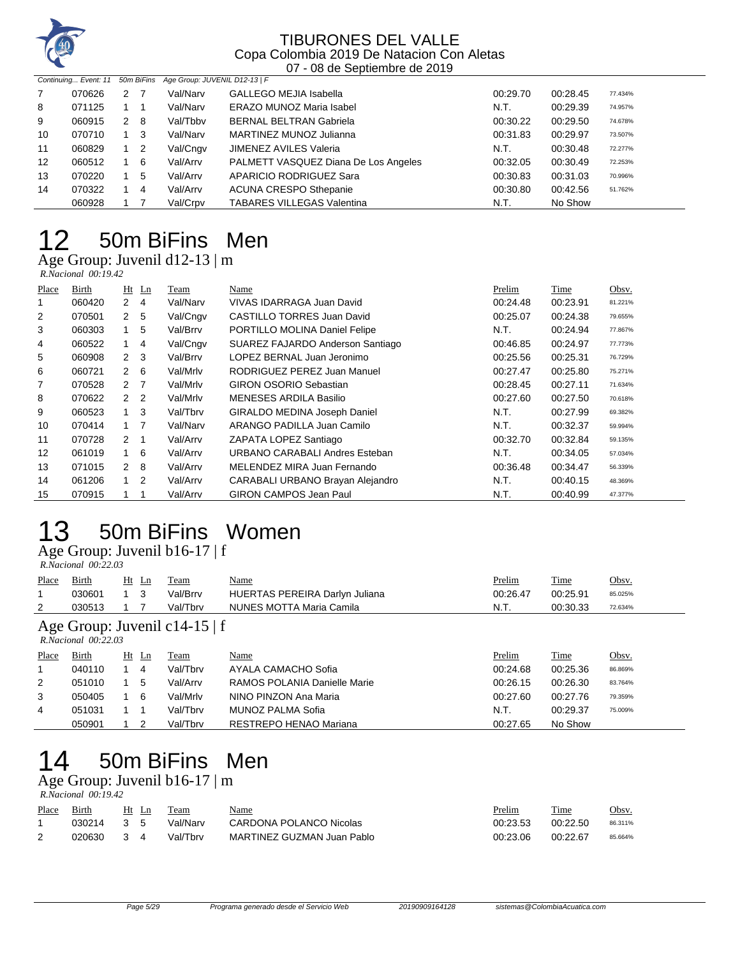

| Continuing Event: 11 |        |     |            | 50m BiFins Age Group: JUVENIL D12-13   F |                                      |          |          |         |
|----------------------|--------|-----|------------|------------------------------------------|--------------------------------------|----------|----------|---------|
| $\overline{7}$       | 070626 | 2 7 |            | Val/Narv                                 | <b>GALLEGO MEJIA Isabella</b>        | 00:29.70 | 00:28.45 | 77.434% |
| 8                    | 071125 |     |            | Val/Narv                                 | <b>ERAZO MUNOZ Maria Isabel</b>      | N.T.     | 00:29.39 | 74.957% |
| 9                    | 060915 |     | 2 8        | Val/Tbby                                 | <b>BERNAL BELTRAN Gabriela</b>       | 00:30.22 | 00:29.50 | 74.678% |
| 10                   | 070710 |     | - 3        | Val/Narv                                 | MARTINEZ MUNOZ Julianna              | 00:31.83 | 00:29.97 | 73.507% |
| 11                   | 060829 |     | $1\quad 2$ | Val/Cngv                                 | <b>JIMENEZ AVILES Valeria</b>        | N.T.     | 00:30.48 | 72.277% |
| 12                   | 060512 |     | - 6        | Val/Arrv                                 | PALMETT VASQUEZ Diana De Los Angeles | 00:32.05 | 00:30.49 | 72.253% |
| 13                   | 070220 |     | 5          | Val/Arrv                                 | <b>APARICIO RODRIGUEZ Sara</b>       | 00:30.83 | 00:31.03 | 70.996% |
| 14                   | 070322 |     | -4         | Val/Arrv                                 | <b>ACUNA CRESPO Sthepanie</b>        | 00:30.80 | 00:42.56 | 51.762% |
|                      | 060928 |     |            | Val/Crpv                                 | <b>TABARES VILLEGAS Valentina</b>    | N.T.     | No Show  |         |

# 50m BiFins Men

Age Group: Juvenil d12-13 | m  *R.Nacional 00:19.42* 

| Place | Birth  |                | $Ht$ Ln        | Team     | Name                             | Prelim   | Time     | Obsv.   |
|-------|--------|----------------|----------------|----------|----------------------------------|----------|----------|---------|
|       | 060420 | $\mathbf{2}$   | 4              | Val/Narv | VIVAS IDARRAGA Juan David        | 00:24.48 | 00:23.91 | 81.221% |
| 2     | 070501 | 2 <sub>5</sub> |                | Val/Cngv | CASTILLO TORRES Juan David       | 00:25.07 | 00:24.38 | 79.655% |
| 3     | 060303 | 1              | 5              | Val/Brrv | PORTILLO MOLINA Daniel Felipe    | N.T.     | 00:24.94 | 77.867% |
| 4     | 060522 | 1.             | 4              | Val/Cngv | SUAREZ FAJARDO Anderson Santiago | 00:46.85 | 00:24.97 | 77.773% |
| 5     | 060908 | 2 <sub>3</sub> |                | Val/Brrv | LOPEZ BERNAL Juan Jeronimo       | 00:25.56 | 00:25.31 | 76.729% |
| 6     | 060721 | $\mathbf{2}$   | - 6            | Val/Mrlv | RODRIGUEZ PEREZ Juan Manuel      | 00:27.47 | 00:25.80 | 75.271% |
| 7     | 070528 | $2^{\circ}$    | $\overline{7}$ | Val/Mrlv | <b>GIRON OSORIO Sebastian</b>    | 00:28.45 | 00:27.11 | 71.634% |
| 8     | 070622 | 2 <sub>2</sub> |                | Val/Mrlv | MENESES ARDILA Basilio           | 00:27.60 | 00:27.50 | 70.618% |
| 9     | 060523 | $\mathbf{1}$   | 3              | Val/Tbrv | GIRALDO MEDINA Joseph Daniel     | N.T.     | 00:27.99 | 69.382% |
| 10    | 070414 | $1 \quad$      | $\overline{7}$ | Val/Narv | ARANGO PADILLA Juan Camilo       | N.T.     | 00:32.37 | 59.994% |
| 11    | 070728 | 2 1            |                | Val/Arrv | ZAPATA LOPEZ Santiago            | 00:32.70 | 00:32.84 | 59.135% |
| 12    | 061019 | 1              | -6             | Val/Arrv | URBANO CARABALI Andres Esteban   | N.T.     | 00:34.05 | 57.034% |
| 13    | 071015 | 2 8            |                | Val/Arrv | MELENDEZ MIRA Juan Fernando      | 00:36.48 | 00:34.47 | 56.339% |
| 14    | 061206 | 1              | 2              | Val/Arrv | CARABALI URBANO Brayan Alejandro | N.T.     | 00:40.15 | 48.369% |
| 15    | 070915 |                |                | Val/Arrv | <b>GIRON CAMPOS Jean Paul</b>    | N.T.     | 00:40.99 | 47.377% |

# 50m BiFins Women

Age Group: Juvenil b16-17 | f

| R.Nacional 00:22.03 |  |
|---------------------|--|

| Place | Birth                                         |                                          | Ht Ln | Team     | Name                           | <b>Prelim</b> | <b>Time</b> | Obsv.   |  |  |
|-------|-----------------------------------------------|------------------------------------------|-------|----------|--------------------------------|---------------|-------------|---------|--|--|
|       | 030601                                        | $\begin{array}{ccc} & 1 & 3 \end{array}$ |       | Val/Brrv | HUERTAS PEREIRA Darlyn Juliana | 00:26.47      | 00:25.91    | 85.025% |  |  |
|       | 030513                                        |                                          |       | Val/Tbrv | NUNES MOTTA Maria Camila       | N.T.          | 00:30.33    | 72.634% |  |  |
|       | $\Lambda$ co Croup: Invenil of $\Lambda$ 15 f |                                          |       |          |                                |               |             |         |  |  |

#### Age Group: Juvenil c14-15 | f

|       | $R. Nacional$ 00:22.03 |    |    |          |                              |          |          |         |  |  |  |  |
|-------|------------------------|----|----|----------|------------------------------|----------|----------|---------|--|--|--|--|
| Place | Birth                  | Ht | Ln | Team     | Name                         | Prelim   | Time     | Obsv.   |  |  |  |  |
|       | 040110                 |    | 4  | Val/Tbrv | AYALA CAMACHO Sofia          | 00:24.68 | 00:25.36 | 86.869% |  |  |  |  |
| 2     | 051010                 |    | 5  | Val/Arry | RAMOS POLANIA Danielle Marie | 00:26.15 | 00:26.30 | 83.764% |  |  |  |  |
| 3     | 050405                 |    | 6  | Val/Mrlv | NINO PINZON Ana Maria        | 00:27.60 | 00:27.76 | 79.359% |  |  |  |  |
| 4     | 051031                 |    |    | Val/Tbrv | MUNOZ PALMA Sofia            | N.T.     | 00:29.37 | 75.009% |  |  |  |  |
|       | 050901                 |    |    | Val/Tbrv | RESTREPO HENAO Mariana       | 00:27.65 | No Show  |         |  |  |  |  |

# 50m BiFins Men

Age Group: Juvenil b16-17 | m

|              | R.Nacional 00:19.42 |               |                |          |                            |          |          |         |  |  |  |  |  |  |
|--------------|---------------------|---------------|----------------|----------|----------------------------|----------|----------|---------|--|--|--|--|--|--|
| <b>Place</b> | Birth               |               | Ht Ln          | Team     | <u>Name</u>                | Prelim   | Time     | Obsv.   |  |  |  |  |  |  |
|              | 030214              | 35            |                | Val/Narv | CARDONA POLANCO Nicolas    | 00:23.53 | 00:22.50 | 86.311% |  |  |  |  |  |  |
|              | 020630              | $\mathcal{R}$ | $\overline{4}$ | Val/Tbrv | MARTINEZ GUZMAN Juan Pablo | 00:23.06 | 00:22.67 | 85.664% |  |  |  |  |  |  |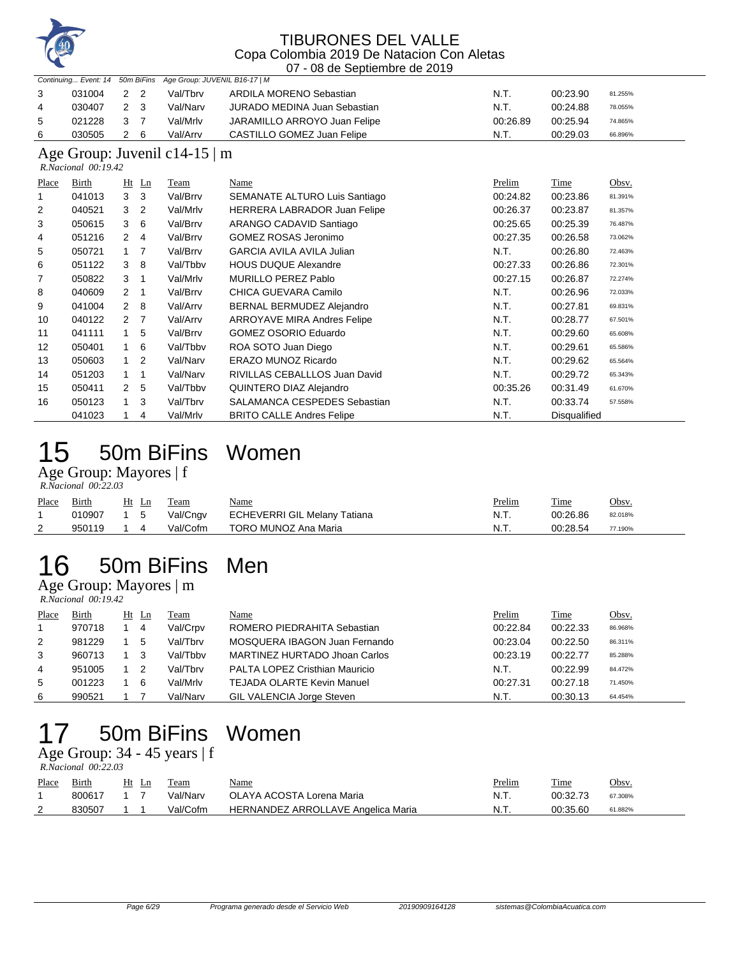

#### TIBURONES DEL VALLE Copa Colombia 2019 De Natacion Con Aletas

|       |                                                           |                |                |                               | 07 - 08 de Septiembre de 2019       |          |                     |         |  |  |  |
|-------|-----------------------------------------------------------|----------------|----------------|-------------------------------|-------------------------------------|----------|---------------------|---------|--|--|--|
|       | Continuing Event: 14                                      |                | 50m BiFins     | Age Group: JUVENIL B16-17   M |                                     |          |                     |         |  |  |  |
| 3     | 031004                                                    | $\overline{2}$ | $\overline{2}$ | Val/Tbrv                      | ARDILA MORENO Sebastian             | N.T.     | 00:23.90            | 81.255% |  |  |  |
| 4     | 030407                                                    | 2              | 3              | Val/Narv                      | <b>JURADO MEDINA Juan Sebastian</b> | N.T.     | 00:24.88            | 78.055% |  |  |  |
| 5     | 021228                                                    | 3              | 7              | Val/Mrlv                      | JARAMILLO ARROYO Juan Felipe        | 00:26.89 | 00:25.94            | 74.865% |  |  |  |
| 6     | 030505                                                    | 2              | 6              | Val/Arrv                      | CASTILLO GOMEZ Juan Felipe          | N.T.     | 00:29.03            | 66.896% |  |  |  |
|       | Age Group: Juvenil c14-15 $\mid$ m<br>R.Nacional 00:19.42 |                |                |                               |                                     |          |                     |         |  |  |  |
| Place | Birth                                                     | Ht             | Ln             | Team                          | Name                                | Prelim   | Time                | Obsv.   |  |  |  |
|       | 041013                                                    | 3              | 3              | Val/Brrv                      | SEMANATE ALTURO Luis Santiago       | 00:24.82 | 00:23.86            | 81.391% |  |  |  |
| 2     | 040521                                                    | 3              | 2              | Val/Mrlv                      | <b>HERRERA LABRADOR Juan Felipe</b> | 00:26.37 | 00:23.87            | 81.357% |  |  |  |
| 3     | 050615                                                    | 3              | 6              | Val/Brrv                      | ARANGO CADAVID Santiago             | 00:25.65 | 00:25.39            | 76.487% |  |  |  |
| 4     | 051216                                                    | 2              | $\overline{4}$ | Val/Brrv                      | <b>GOMEZ ROSAS Jeronimo</b>         | 00:27.35 | 00:26.58            | 73.062% |  |  |  |
| 5     | 050721                                                    | 1              | 7              | Val/Brrv                      | <b>GARCIA AVILA AVILA Julian</b>    | N.T.     | 00:26.80            | 72.463% |  |  |  |
| 6     | 051122                                                    | 3              | 8              | Val/Tbby                      | <b>HOUS DUQUE Alexandre</b>         | 00:27.33 | 00:26.86            | 72.301% |  |  |  |
| 7     | 050822                                                    | 3              | $\mathbf{1}$   | Val/Mrlv                      | <b>MURILLO PEREZ Pablo</b>          | 00:27.15 | 00:26.87            | 72.274% |  |  |  |
| 8     | 040609                                                    | 2              | $\mathbf 1$    | Val/Brrv                      | CHICA GUEVARA Camilo                | N.T.     | 00:26.96            | 72.033% |  |  |  |
| 9     | 041004                                                    | 2              | 8              | Val/Arrv                      | <b>BERNAL BERMUDEZ Alejandro</b>    | N.T.     | 00:27.81            | 69.831% |  |  |  |
| 10    | 040122                                                    | $\overline{2}$ | $\overline{7}$ | Val/Arrv                      | <b>ARROYAVE MIRA Andres Felipe</b>  | N.T.     | 00:28.77            | 67.501% |  |  |  |
| 11    | 041111                                                    | 1              | 5              | Val/Brrv                      | <b>GOMEZ OSORIO Eduardo</b>         | N.T.     | 00:29.60            | 65.608% |  |  |  |
| 12    | 050401                                                    |                | 6              | Val/Tbby                      | ROA SOTO Juan Diego                 | N.T.     | 00:29.61            | 65.586% |  |  |  |
| 13    | 050603                                                    | 1              | 2              | Val/Narv                      | ERAZO MUNOZ Ricardo                 | N.T.     | 00:29.62            | 65.564% |  |  |  |
| 14    | 051203                                                    | 1              | 1              | Val/Narv                      | RIVILLAS CEBALLLOS Juan David       | N.T.     | 00:29.72            | 65.343% |  |  |  |
| 15    | 050411                                                    | 2              | 5              | Val/Tbbv                      | QUINTERO DIAZ Alejandro             | 00:35.26 | 00:31.49            | 61.670% |  |  |  |
| 16    | 050123                                                    | 1              | 3              | Val/Tbrv                      | SALAMANCA CESPEDES Sebastian        | N.T.     | 00:33.74            | 57.558% |  |  |  |
|       | 041023                                                    | 1              | 4              | Val/Mrlv                      | <b>BRITO CALLE Andres Felipe</b>    | N.T.     | <b>Disqualified</b> |         |  |  |  |

# 50m BiFins Women

Age Group: Mayores | f  *R.Nacional 00:22.03* 

| Place | <b>Birth</b> | Ht Ln          | Team     | <u>Name</u>                  | <u>Prelim</u> | Time     | Obsv.   |
|-------|--------------|----------------|----------|------------------------------|---------------|----------|---------|
|       | 010907       | $1\quad 5$     | Val/Cngv | ECHEVERRI GIL Melany Tatiana | N.T.          | 00:26.86 | 82.018% |
| 2     | 950119       | $\overline{4}$ | Val/Cofm | TORO MUNOZ Ana Maria         | N.T.          | 00:28.54 | 77.190% |

# 50m BiFins Men

Age Group: Mayores | m  *R.Nacional 00:19.42* 

| Place | Birth  | Ht Ln | <b>Team</b> | Name                                  | Prelim   | Time     | Obsv.   |
|-------|--------|-------|-------------|---------------------------------------|----------|----------|---------|
|       | 970718 | -4    | Val/Crpv    | ROMERO PIEDRAHITA Sebastian           | 00:22.84 | 00:22.33 | 86.968% |
| 2     | 981229 | 5     | Val/Tbrv    | MOSQUERA IBAGON Juan Fernando         | 00:23.04 | 00:22.50 | 86.311% |
| 3     | 960713 |       | Val/Tbby    | MARTINEZ HURTADO Jhoan Carlos         | 00:23.19 | 00:22.77 | 85.288% |
| 4     | 951005 |       | Val/Tbrv    | <b>PALTA LOPEZ Cristhian Mauricio</b> | N.T.     | 00:22.99 | 84.472% |
| 5     | 001223 | - 6   | Val/Mrlv    | <b>TEJADA OLARTE Kevin Manuel</b>     | 00:27.31 | 00:27.18 | 71.450% |
| 6     | 990521 |       | Val/Narv    | GIL VALENCIA Jorge Steven             | N.T.     | 00:30.13 | 64.454% |

# 50m BiFins Women

Age Group: 34 - 45 years | f  *R.Nacional 00:22.03* 

| Place | Birth  | Ht | Team     | <u>Name</u>                        | <u>Prelim</u> | <b>Time</b> | Obsv.   |
|-------|--------|----|----------|------------------------------------|---------------|-------------|---------|
|       | 800617 |    | Val/Narv | OLAYA ACOSTA Lorena Maria          | N.T.          | 00:32.73    | 67.308% |
|       | 830507 |    | Val/Cofm | HERNANDEZ ARROLLAVE Angelica Maria | N.T.          | 00:35.60    | 61.882% |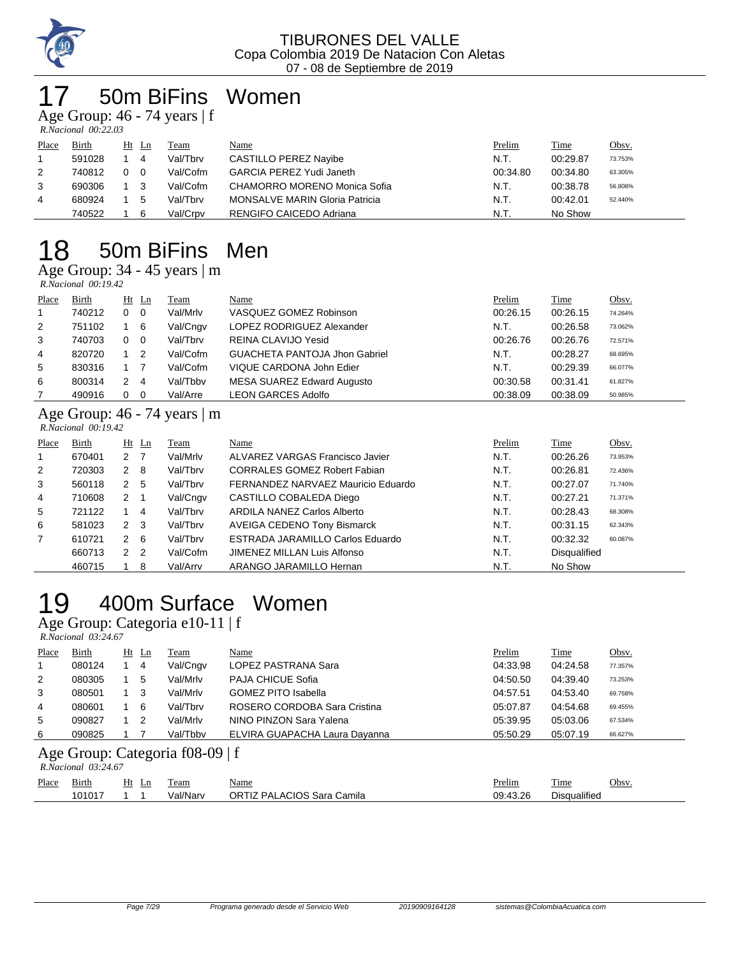

## 50m BiFins Women

Age Group: 46 - 74 years | f  *R.Nacional 00:22.03* 

| Place | Birth  |   | $Ht$ Ln        | Team     | Name                                  | Prelim   | <b>Time</b> | <u>Obsv.</u> |
|-------|--------|---|----------------|----------|---------------------------------------|----------|-------------|--------------|
|       | 591028 |   | 4              | Val/Tbrv | CASTILLO PEREZ Navibe                 | N.T.     | 00:29.87    | 73.753%      |
| 2     | 740812 | 0 | $\overline{0}$ | Val/Cofm | <b>GARCIA PEREZ Yudi Janeth</b>       | 00:34.80 | 00:34.80    | 63.305%      |
| 3     | 690306 |   | - 3            | Val/Cofm | CHAMORRO MORENO Monica Sofia          | N.T.     | 00:38.78    | 56.808%      |
| 4     | 680924 |   | 5              | Val/Tbrv | <b>MONSALVE MARIN Gloria Patricia</b> | N.T.     | 00:42.01    | 52.440%      |
|       | 740522 |   | 6              | Val/Crpv | RENGIFO CAICEDO Adriana               | N.T.     | No Show     |              |

## 18 50m BiFins Men

Age Group: 34 - 45 years | m<br>*RNacional 00:19.42* 

|       | $R. Nacional$ 00:19.42 |             |    |          |                                      |          |          |         |  |  |  |  |  |
|-------|------------------------|-------------|----|----------|--------------------------------------|----------|----------|---------|--|--|--|--|--|
| Place | Birth                  | $Ht$ Ln     |    | Team     | Name                                 | Prelim   | Time     | Obsv.   |  |  |  |  |  |
|       | 740212                 | $0\quad 0$  |    | Val/Mrlv | VASQUEZ GOMEZ Robinson               | 00:26.15 | 00:26.15 | 74.264% |  |  |  |  |  |
| 2     | 751102                 |             | -6 | Val/Cngv | LOPEZ RODRIGUEZ Alexander            | N.T.     | 00:26.58 | 73.062% |  |  |  |  |  |
| 3     | 740703                 | $0\quad 0$  |    | Val/Tbrv | REINA CLAVIJO Yesid                  | 00:26.76 | 00:26.76 | 72.571% |  |  |  |  |  |
| 4     | 820720                 | $1\quad 2$  |    | Val/Cofm | <b>GUACHETA PANTOJA Jhon Gabriel</b> | N.T.     | 00:28.27 | 68.695% |  |  |  |  |  |
| 5     | 830316                 |             |    | Val/Cofm | VIQUE CARDONA John Edier             | N.T.     | 00:29.39 | 66.077% |  |  |  |  |  |
| 6     | 800314                 | $2 \quad 4$ |    | Val/Tbby | MESA SUAREZ Edward Augusto           | 00:30.58 | 00:31.41 | 61.827% |  |  |  |  |  |
|       | 490916                 | $0\quad 0$  |    | Val/Arre | <b>LEON GARCES Adolfo</b>            | 00:38.09 | 00:38.09 | 50.985% |  |  |  |  |  |

### Age Group: 46 - 74 years | m

|       | $R. Nacional$ 00:19.42 |                |         |          |                                     |        |                     |         |
|-------|------------------------|----------------|---------|----------|-------------------------------------|--------|---------------------|---------|
| Place | Birth                  |                | $Ht$ Ln | Team     | Name                                | Prelim | Time                | Obsv.   |
| 1.    | 670401                 | 2 7            |         | Val/Mrlv | ALVAREZ VARGAS Francisco Javier     | N.T.   | 00:26.26            | 73.953% |
| 2     | 720303                 | $2 \quad 8$    |         | Val/Tbrv | <b>CORRALES GOMEZ Robert Fabian</b> | N.T.   | 00:26.81            | 72.436% |
| 3     | 560118                 | 2 5            |         | Val/Tbrv | FERNANDEZ NARVAEZ Mauricio Eduardo  | N.T.   | 00:27.07            | 71.740% |
| 4     | 710608                 | $2 \quad 1$    |         | Val/Cngv | CASTILLO COBALEDA Diego             | N.T.   | 00:27.21            | 71.371% |
| 5     | 721122                 |                | 4       | Val/Tbrv | ARDILA NANEZ Carlos Alberto         | N.T.   | 00:28.43            | 68.308% |
| 6     | 581023                 | 2 <sub>3</sub> |         | Val/Tbrv | <b>AVEIGA CEDENO Tony Bismarck</b>  | N.T.   | 00:31.15            | 62.343% |
|       | 610721                 | 2              | -6      | Val/Tbrv | ESTRADA JARAMILLO Carlos Eduardo    | N.T.   | 00:32.32            | 60.087% |
|       | 660713                 | 2 <sub>2</sub> |         | Val/Cofm | JIMENEZ MILLAN Luis Alfonso         | N.T.   | <b>Disqualified</b> |         |
|       | 460715                 |                | 8       | Val/Arrv | ARANGO JARAMILLO Hernan             | N.T.   | No Show             |         |

# 19 400m Surface Women

Age Group: Categoria e10-11 | f

|       | R.Nacional 03:24.67 |  |         |          |                               |          |          |         |  |  |  |  |
|-------|---------------------|--|---------|----------|-------------------------------|----------|----------|---------|--|--|--|--|
| Place | Birth               |  | $Ht$ Ln | Team     | Name                          | Prelim   | Time     | Obsv.   |  |  |  |  |
|       | 080124              |  | 4       | Val/Cngv | LOPEZ PASTRANA Sara           | 04:33.98 | 04:24.58 | 77.357% |  |  |  |  |
| 2     | 080305              |  | 5       | Val/Mrlv | <b>PAJA CHICUE Sofia</b>      | 04:50.50 | 04:39.40 | 73.253% |  |  |  |  |
| 3     | 080501              |  | -3      | Val/Mrlv | <b>GOMEZ PITO Isabella</b>    | 04:57.51 | 04:53.40 | 69.758% |  |  |  |  |
| 4     | 080601              |  | -6      | Val/Tbrv | ROSERO CORDOBA Sara Cristina  | 05:07.87 | 04:54.68 | 69.455% |  |  |  |  |
| 5     | 090827              |  | -2      | Val/Mrlv | NINO PINZON Sara Yalena       | 05:39.95 | 05:03.06 | 67.534% |  |  |  |  |
| 6     | 090825              |  |         | Val/Tbby | ELVIRA GUAPACHA Laura Dayanna | 05:50.29 | 05:07.19 | 66.627% |  |  |  |  |
|       |                     |  |         |          |                               |          |          |         |  |  |  |  |

#### Age Group: Categoria f08-09 | f

|       | $R. Nacional$ 03:24.67 |       |          |                            |               |                     |       |  |  |  |  |  |  |
|-------|------------------------|-------|----------|----------------------------|---------------|---------------------|-------|--|--|--|--|--|--|
| Place | <b>Birth</b>           | Ht Ln | Team     | <u>Name</u>                | <b>Prelim</b> | Time                | Obsv. |  |  |  |  |  |  |
|       | 101017                 |       | Val/Narv | ORTIZ PALACIOS Sara Camila | 09:43.26      | <b>Disqualified</b> |       |  |  |  |  |  |  |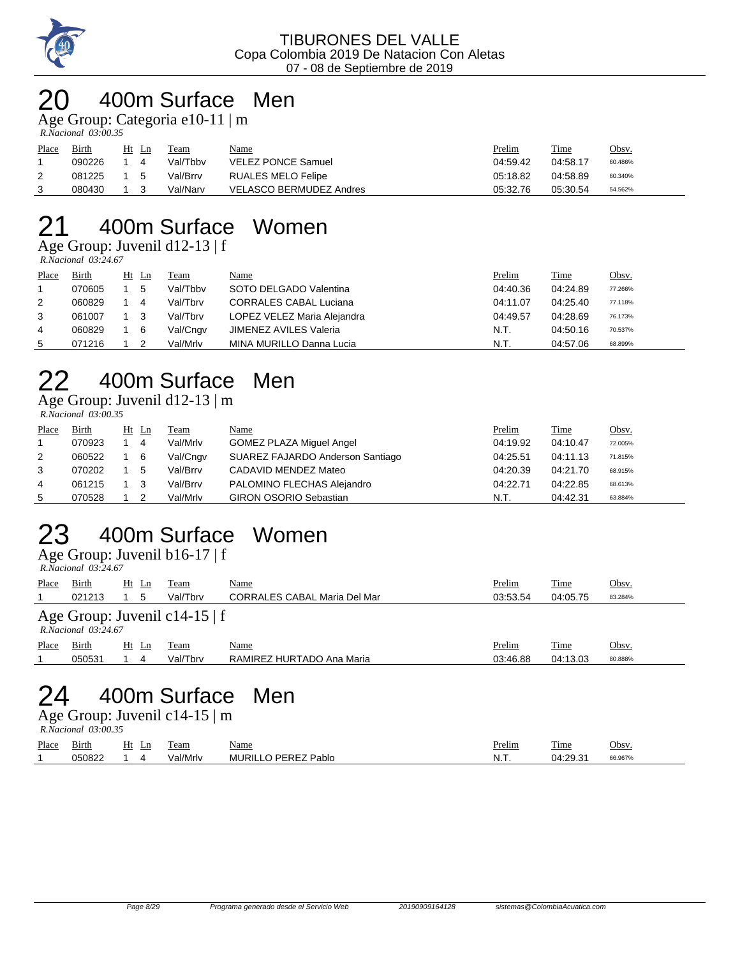

### 20 400m Surface Men

Age Group: Categoria e10-11 | m

 *R.Nacional 03:00.35* 

| Place | Birth  | Ht | -Ln          | Team     | <u>Name</u>               | Prelim   | Time     | Obsv.   |
|-------|--------|----|--------------|----------|---------------------------|----------|----------|---------|
|       | 090226 |    |              | Val/Tbby | <b>VELEZ PONCE Samuel</b> | 04:59.42 | 04:58.17 | 60.486% |
|       | 081225 |    | $\mathbf{b}$ | Val/Brrv | RUALES MELO Felipe        | 05:18.82 | 04:58.89 | 60.340% |
|       | 080430 |    |              | Val/Narv | VELASCO BERMUDEZ Andres   | 05:32.76 | 05:30.54 | 54.562% |

# 21 400m Surface Women

 $\overline{Age}$  Group: Juvenil d12-13 | f

|       | $R. Nacional$ 03:24.67 |       |          |                               |          |          |         |
|-------|------------------------|-------|----------|-------------------------------|----------|----------|---------|
| Place | Birth                  | Ht Ln | Team     | Name                          | Prelim   | Time     | Obsv.   |
|       | 070605                 | 5     | Val/Tbby | SOTO DELGADO Valentina        | 04:40.36 | 04:24.89 | 77.266% |
| 2     | 060829                 | 4     | Val/Tbrv | <b>CORRALES CABAL Luciana</b> | 04:11.07 | 04:25.40 | 77.118% |
| 3     | 061007                 |       | Val/Tbrv | LOPEZ VELEZ Maria Alejandra   | 04:49.57 | 04:28.69 | 76.173% |
| 4     | 060829                 | 6     | Val/Cngv | JIMENEZ AVILES Valeria        | N.T.     | 04:50.16 | 70.537% |
| 5.    | 071216                 |       | Val/Mrlv | MINA MURILLO Danna Lucia      | N.T.     | 04:57.06 | 68.899% |

# 22 400m Surface Men

Age Group: Juvenil d12-13 | m

 *R.Nacional 03:00.35* 

| Place | Birth  | Ht Ln | Team     | Name                             | Prelim   | Time     | Obsv.   |
|-------|--------|-------|----------|----------------------------------|----------|----------|---------|
|       | 070923 | -4    | Val/Mrlv | <b>GOMEZ PLAZA Miguel Angel</b>  | 04:19.92 | 04:10.47 | 72.005% |
| 2     | 060522 | - 6   | Val/Cngv | SUAREZ FAJARDO Anderson Santiago | 04:25.51 | 04:11.13 | 71.815% |
| 3     | 070202 | 5     | Val/Brrv | CADAVID MENDEZ Mateo             | 04:20.39 | 04:21.70 | 68.915% |
| 4     | 061215 | - 3   | Val/Brrv | PALOMINO FLECHAS Alejandro       | 04:22.71 | 04:22.85 | 68.613% |
| 5     | 070528 | -2    | Val/Mrlv | <b>GIRON OSORIO Sebastian</b>    | N.T.     | 04:42.31 | 63.884% |

#### 23 400m Surface Women Age Group: Juvenil b16-17 | f

 *R.Nacional 03:24.67* 

|       | 1.1988.01888.07        |       |                               |                                     |          |             |         |
|-------|------------------------|-------|-------------------------------|-------------------------------------|----------|-------------|---------|
| Place | Birth                  | Ht Ln | Team                          | <u>Name</u>                         | Prelim   | <b>Time</b> | Obsv.   |
|       | 021213                 | 5     | Val/Tbrv                      | <b>CORRALES CABAL Maria Del Mar</b> | 03:53.54 | 04:05.75    | 83.284% |
|       | $R. Nacional$ 03:24.67 |       | Age Group: Juvenil c14-15   f |                                     |          |             |         |
| Place | Birth                  | Ht Ln | Team                          | Name                                | Prelim   | Time        | Obsv.   |
|       | 050531                 | 4     | Val/Tbrv                      | RAMIREZ HURTADO Ana Maria           | 03:46.88 | 04:13.03    | 80.888% |
|       |                        |       |                               |                                     |          |             |         |

## 24 400m Surface Men

Age Group: Juvenil c14-15 | m  *R.Nacional 03:00.35* 

| Place | $\sim$ .<br><u>Birth</u> | Ht<br>Ln | eam      | <u>Name</u>                | <u>Prelim</u> | Time     | Obsv    |
|-------|--------------------------|----------|----------|----------------------------|---------------|----------|---------|
|       | 050822                   |          | Val/Mrlv | <b>MURILLO PEREZ Pablo</b> | N<br>.        | 04:29.31 | 66.967% |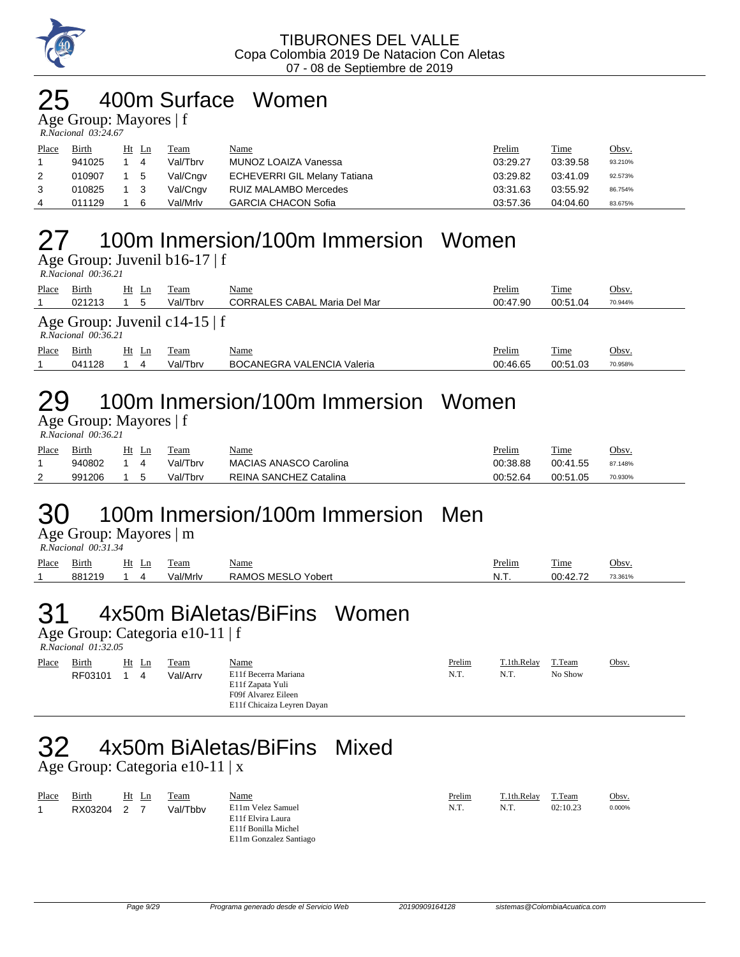

### 400m Surface Women

Age Group: Mayores | f

| R.Nacional 03:24.67 |  |
|---------------------|--|

| Place | <b>Birth</b> |     | Ht Ln | Team     | <u>Name</u>                         | Prelim   | Time     | <u>Obsv.</u> |
|-------|--------------|-----|-------|----------|-------------------------------------|----------|----------|--------------|
|       | 941025       |     | 4     | Val/Tbrv | MUNOZ LOAIZA Vanessa                | 03:29.27 | 03:39.58 | 93.210%      |
|       | 010907       | 1 5 |       | Val/Cngv | <b>ECHEVERRI GIL Melany Tatiana</b> | 03:29.82 | 03:41.09 | 92.573%      |
|       | 010825       |     |       | Val/Cngv | RUIZ MALAMBO Mercedes               | 03:31.63 | 03:55.92 | 86.754%      |
| 4     | 011129       |     | 6     | Val/Mrlv | <b>GARCIA CHACON Sofia</b>          | 03:57.36 | 04:04.60 | 83.675%      |

# 27 100m Inmersion/100m Immersion Women

Age Group: Juvenil b16-17 | f

 *R.Nacional 00:36.21* 

| Place | Birth<br>021213        | Ht Ln<br>5 | Team<br>Val/Tbrv                | <u>Name</u><br><b>CORRALES CABAL Maria Del Mar</b> | Prelim<br>00:47.90 | Time<br>00:51.04 | Obsv.<br>70.944% |
|-------|------------------------|------------|---------------------------------|----------------------------------------------------|--------------------|------------------|------------------|
|       | $R. Nacional$ 00:36.21 |            | Age Group: Juvenil c14-15 $ f $ |                                                    |                    |                  |                  |
| Place | Birth                  | Ht Ln      | Team                            | <u>Name</u>                                        | Prelim             | Time             | Obsv.            |
|       | 041128                 | 4          | Val/Tbrv                        | <b>BOCANEGRA VALENCIA Valeria</b>                  | 00:46.65           | 00:51.03         | 70.958%          |

## 29 100m Inmersion/100m Immersion Women

Age Group: Mayores | f  *R.Nacional 00:36.21* 

| Place    | Birth  | Ht<br>- Ln | Team     | <u>Name</u>                   | <u>Prelim</u> | Time     | Obsv.   |
|----------|--------|------------|----------|-------------------------------|---------------|----------|---------|
|          | 940802 |            | Val/Tbrv | <b>MACIAS ANASCO Carolina</b> | 00:38.88      | 00:41.55 | 87.148% |
| <u>_</u> | 991206 |            | Val/Tbrv | REINA SANCHEZ Catalina        | 00:52.64      | 00:51.05 | 70.930% |

# 30 100m Inmersion/100m Immersion Men

Age Group: Mayores | m

|       | R.Nacional 00:31.34 |                          |          |                    |        |          |         |  |  |  |
|-------|---------------------|--------------------------|----------|--------------------|--------|----------|---------|--|--|--|
| Place | Birth               | Ht<br>Ln.<br><u>____</u> | Team     | Name<br>$\sim$     | Prelim | Time     | Obsv.   |  |  |  |
|       | 881219              |                          | Val/Mrlv | RAMOS MESLO Yobert | N.T.   | 00:42.72 | 73.361% |  |  |  |

# 31 4x50m BiAletas/BiFins Women

Age Group: Categoria e10-11 | f

 *R.Nacional 01:32.05* 

| Place | Birth   | $Ht$ Ln | Team     | <b>Name</b>                                                                                   | Prelim | T.1th.Relay | T.Team  | Obsv. |
|-------|---------|---------|----------|-----------------------------------------------------------------------------------------------|--------|-------------|---------|-------|
|       | RF03101 | 4       | Val/Arrv | E11f Becerra Mariana<br>E11f Zapata Yuli<br>F09f Alvarez Eileen<br>E11f Chicaiza Leyren Dayan | N.T.   | N.T.        | No Show |       |

# 32 4x50m BiAletas/BiFins Mixed

Age Group: Categoria e10-11 | x

| Place | Birth   | Ht Ln | Team     | <u>Name</u>                                                                             | Prelim | T.1th.Relay | T.Team   | Obsv.  |
|-------|---------|-------|----------|-----------------------------------------------------------------------------------------|--------|-------------|----------|--------|
|       | RX03204 |       | Val/Tbby | E11m Velez Samuel<br>E11f Elvira Laura<br>E11f Bonilla Michel<br>E11m Gonzalez Santiago | N.T.   | N.T.        | 02:10.23 | 0.000% |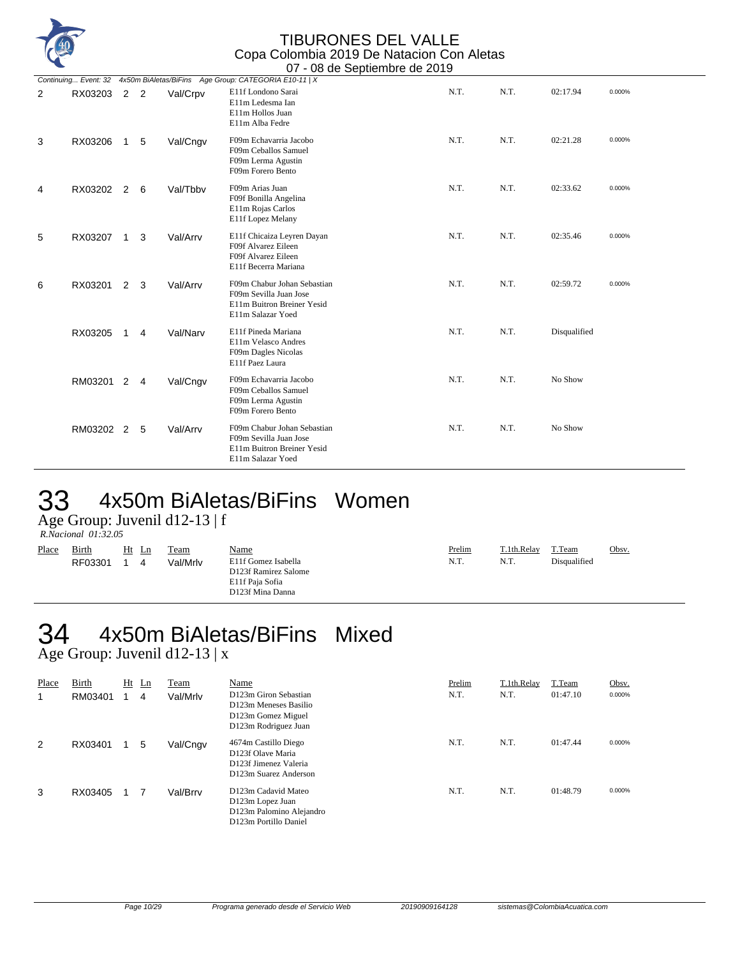

|   | Continuing Event: 32 |                |                |          | 4x50m BiAletas/BiFins Age Group: CATEGORIA E10-11   X                                                    |      |      |              |        |
|---|----------------------|----------------|----------------|----------|----------------------------------------------------------------------------------------------------------|------|------|--------------|--------|
| 2 | RX03203              | 2 <sub>2</sub> |                | Val/Crpv | E11f Londono Sarai<br>E11m Ledesma Ian<br>E11m Hollos Juan<br>E11m Alba Fedre                            | N.T. | N.T. | 02:17.94     | 0.000% |
| 3 | RX03206              | $\mathbf{1}$   | 5              | Val/Cngv | F09m Echavarria Jacobo<br>F09m Ceballos Samuel<br>F09m Lerma Agustin<br>F09m Forero Bento                | N.T. | N.T. | 02:21.28     | 0.000% |
| 4 | RX03202              | 2              | 6              | Val/Tbbv | F09m Arias Juan<br>F09f Bonilla Angelina<br>E11m Rojas Carlos<br>E11f Lopez Melany                       | N.T. | N.T. | 02:33.62     | 0.000% |
| 5 | RX03207              | 1              | 3              | Val/Arrv | E11f Chicaiza Leyren Dayan<br>F09f Alvarez Eileen<br>F09f Alvarez Eileen<br>E11f Becerra Mariana         | N.T. | N.T. | 02:35.46     | 0.000% |
| 6 | RX03201              | $\overline{2}$ | 3              | Val/Arrv | F09m Chabur Johan Sebastian<br>F09m Sevilla Juan Jose<br>E11m Buitron Breiner Yesid<br>E11m Salazar Yoed | N.T. | N.T. | 02:59.72     | 0.000% |
|   | RX03205              | 1              | 4              | Val/Narv | E11f Pineda Mariana<br>E11m Velasco Andres<br>F09m Dagles Nicolas<br>E11f Paez Laura                     | N.T. | N.T. | Disqualified |        |
|   | RM03201              | $\overline{2}$ | $\overline{4}$ | Val/Cngv | F09m Echavarria Jacobo<br>F09m Ceballos Samuel<br>F09m Lerma Agustin<br>F09m Forero Bento                | N.T. | N.T. | No Show      |        |
|   | RM03202 2            |                | 5              | Val/Arrv | F09m Chabur Johan Sebastian<br>F09m Sevilla Juan Jose<br>E11m Buitron Breiner Yesid<br>E11m Salazar Yoed | N.T. | N.T. | No Show      |        |

### 33 4x50m BiAletas/BiFins Women

Age Group: Juvenil d12-13 | f

 *R.Nacional 01:32.05* 

| <u>Place</u><br><b>Birth</b><br>Name<br>Team<br>Ht<br>Ln<br>E11f Gomez Isabella<br>Val/Mrlv<br>RF03301<br>4<br>D123f Ramirez Salome<br>E11f Paia Sofia<br>D123f Mina Danna | Prelim<br>N.T. | T.1th.Relay<br>N.T. | T.Team<br>Disqualified | Obsv. |
|----------------------------------------------------------------------------------------------------------------------------------------------------------------------------|----------------|---------------------|------------------------|-------|
|----------------------------------------------------------------------------------------------------------------------------------------------------------------------------|----------------|---------------------|------------------------|-------|

### 4x50m BiAletas/BiFins Mixed  $34$  4x50m BiAleta<br>Age Group: Juvenil d12-13 | x

| Place<br>1 | Birth<br>RM03401 | Ht | $\mathbf{L}$ n<br>4 | Team<br>Val/Mrlv | Name<br>D123m Giron Sebastian<br>D123m Meneses Basilio<br>D123m Gomez Miguel<br>D123m Rodriguez Juan | Prelim<br>N.T. | T.1th.Relay<br>N.T. | T.Team<br>01:47.10 | Obsv.<br>0.000% |
|------------|------------------|----|---------------------|------------------|------------------------------------------------------------------------------------------------------|----------------|---------------------|--------------------|-----------------|
| 2          | RX03401          |    | 5                   | Val/Cngv         | 4674m Castillo Diego<br>D123f Olave Maria<br>D123f Jimenez Valeria<br>D123m Suarez Anderson          | N.T.           | N.T.                | 01:47.44           | 0.000%          |
| 3          | RX03405          |    |                     | Val/Brrv         | D123m Cadavid Mateo<br>D123m Lopez Juan<br>D123m Palomino Alejandro<br>D123m Portillo Daniel         | N.T.           | N.T.                | 01:48.79           | 0.000%          |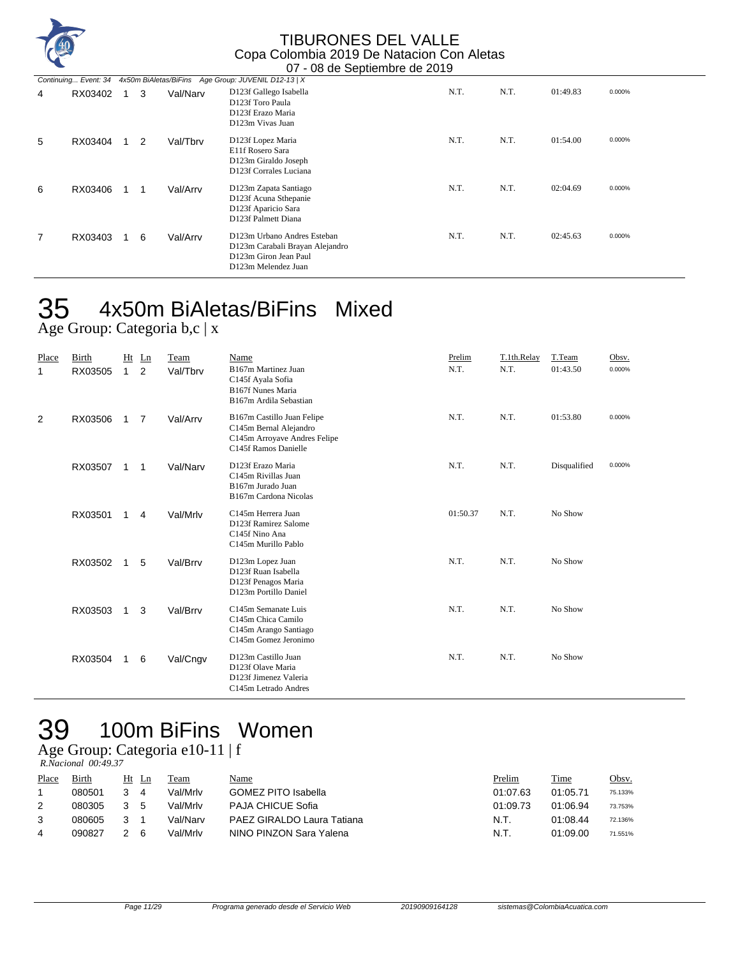

|   |         |   |          | Continuing Event: 34 4x50m BiAletas/BiFins Age Group: JUVENIL D12-13   X                                       |      |      |          |        |
|---|---------|---|----------|----------------------------------------------------------------------------------------------------------------|------|------|----------|--------|
| 4 | RX03402 | 3 | Val/Narv | D123f Gallego Isabella<br>D123f Toro Paula<br>D123f Erazo Maria<br>D123m Vivas Juan                            | N.T. | N.T. | 01:49.83 | 0.000% |
| 5 | RX03404 | 2 | Val/Tbrv | D123f Lopez Maria<br>E11f Rosero Sara<br>D123m Giraldo Joseph<br>D123f Corrales Luciana                        | N.T. | N.T. | 01:54.00 | 0.000% |
| 6 | RX03406 | 1 | Val/Arrv | D123m Zapata Santiago<br>D123f Acuna Sthepanie<br>D123f Aparicio Sara<br>D123f Palmett Diana                   | N.T. | N.T. | 02:04.69 | 0.000% |
|   | RX03403 | 6 | Val/Arrv | D123m Urbano Andres Esteban<br>D123m Carabali Brayan Alejandro<br>D123m Giron Jean Paul<br>D123m Melendez Juan | N.T. | N.T. | 02:45.63 | 0.000% |

# 35 4x50m BiAletas/BiFins Mixed

Age Group: Categoria b,c | x

| Place<br>1 | Birth<br>RX03505 | Ht<br>$\mathbf{1}$ | Ln<br>2 | Team<br>Val/Tbrv | Name<br>B167m Martinez Juan<br>C145f Ayala Sofia<br>B167f Nunes Maria<br>B167m Ardila Sebastian              | Prelim<br>N.T. | T.1th.Relay<br>N.T. | T.Team<br>01:43.50 | Obsv.<br>0.000% |
|------------|------------------|--------------------|---------|------------------|--------------------------------------------------------------------------------------------------------------|----------------|---------------------|--------------------|-----------------|
| 2          | RX03506          | 1                  | 7       | Val/Arrv         | B167m Castillo Juan Felipe<br>C145m Bernal Alejandro<br>C145m Arroyave Andres Felipe<br>C145f Ramos Danielle | N.T.           | N.T.                | 01:53.80           | 0.000%          |
|            | RX03507          | 1                  | 1       | Val/Narv         | D123f Erazo Maria<br>C145m Rivillas Juan<br>B167m Jurado Juan<br>B167m Cardona Nicolas                       | N.T.           | N.T.                | Disqualified       | 0.000%          |
|            | RX03501          | 1                  | 4       | Val/Mrlv         | C145m Herrera Juan<br>D123f Ramirez Salome<br>C145f Nino Ana<br>C145m Murillo Pablo                          | 01:50.37       | N.T.                | No Show            |                 |
|            | RX03502          | 1                  | 5       | Val/Brrv         | D123m Lopez Juan<br>D123f Ruan Isabella<br>D123f Penagos Maria<br>D123m Portillo Daniel                      | N.T.           | N.T.                | No Show            |                 |
|            | RX03503          | $\mathbf 1$        | 3       | Val/Brrv         | C145m Semanate Luis<br>C145m Chica Camilo<br>C145m Arango Santiago<br>C145m Gomez Jeronimo                   | N.T.           | N.T.                | No Show            |                 |
|            | RX03504          | 1                  | 6       | Val/Cngv         | D123m Castillo Juan<br>D123f Olave Maria<br>D123f Jimenez Valeria<br>C145m Letrado Andres                    | N.T.           | N.T.                | No Show            |                 |

# 39 100m BiFins Women

Age Group: Categoria e10-11 | f

| R.Nacional 00:49.37 |  |
|---------------------|--|
|                     |  |

| Place | Birth  | Ht | -Ln | Team     | Name                       | Prelim   | Time     | Obsv.   |
|-------|--------|----|-----|----------|----------------------------|----------|----------|---------|
|       | 080501 |    | 4   | Val/Mrlv | <b>GOMEZ PITO Isabella</b> | 01:07.63 | 01:05.71 | 75.133% |
|       | 080305 | 3. | -5  | Val/Mrlv | <b>PAJA CHICUE Sofia</b>   | 01:09.73 | 01:06.94 | 73.753% |
|       | 080605 |    |     | Val/Narv | PAEZ GIRALDO Laura Tatiana | N.T.     | 01:08.44 | 72.136% |
| 4     | 090827 |    | 6   | Val/Mrlv | NINO PINZON Sara Yalena    | N.T.     | 01:09.00 | 71.551% |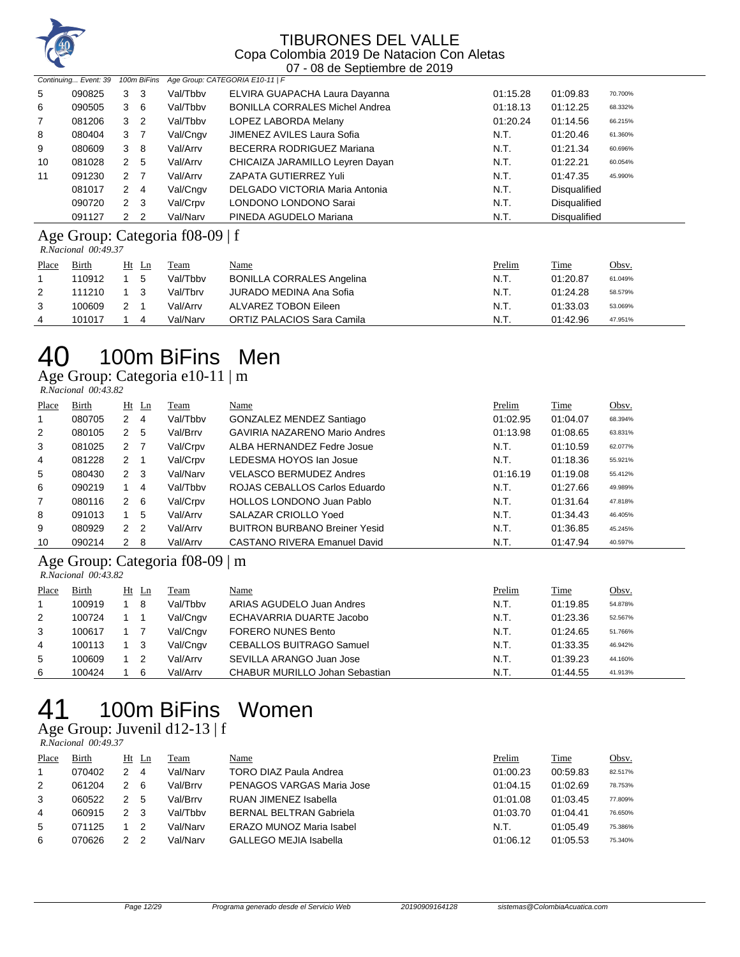

|                | Continuing Event: 39 |                      | 100m BiFins    |          | Age Group: CATEGORIA E10-11   F       |          |                     |         |
|----------------|----------------------|----------------------|----------------|----------|---------------------------------------|----------|---------------------|---------|
| 5              | 090825               | 3                    | 3              | Val/Tbby | ELVIRA GUAPACHA Laura Dayanna         | 01:15.28 | 01:09.83            | 70.700% |
| 6              | 090505               | 3                    | - 6            | Val/Tbby | <b>BONILLA CORRALES Michel Andrea</b> | 01:18.13 | 01:12.25            | 68.332% |
| $\overline{7}$ | 081206               | 3                    | $\overline{2}$ | Val/Tbby | LOPEZ LABORDA Melany                  | 01:20.24 | 01:14.56            | 66.215% |
| 8              | 080404               | 3                    | - 7            | Val/Cngv | JIMENEZ AVILES Laura Sofia            | N.T.     | 01:20.46            | 61.360% |
| 9              | 080609               | 3                    | -8             | Val/Arrv | BECERRA RODRIGUEZ Mariana             | N.T.     | 01:21.34            | 60.696% |
| 10             | 081028               | 2                    | 5              | Val/Arrv | CHICAIZA JARAMILLO Leyren Dayan       | N.T.     | 01:22.21            | 60.054% |
| 11             | 091230               | 2                    | - 7            | Val/Arrv | ZAPATA GUTIERREZ Yuli                 | N.T.     | 01:47.35            | 45.990% |
|                | 081017               | 2                    | $\overline{4}$ | Val/Cngv | DELGADO VICTORIA Maria Antonia        | N.T.     | <b>Disqualified</b> |         |
|                | 090720               | 2                    | -3             | Val/Crpv | LONDONO LONDONO Sarai                 | N.T.     | <b>Disqualified</b> |         |
|                | 091127               | $\mathcal{P} \equiv$ | -2             | Val/Narv | PINEDA AGUDELO Mariana                | N.T.     | <b>Disqualified</b> |         |

#### Age Group: Categoria f08-09 | f

 *R.Nacional 00:49.37* 

| Place | Birth  | Ht Ln | Feam     | <u>Name</u>                      | <b>Prelim</b> | Time     | <u>Obsv.</u> |
|-------|--------|-------|----------|----------------------------------|---------------|----------|--------------|
|       | 110912 | 5     | Val/Tbby | <b>BONILLA CORRALES Angelina</b> | N.T.          | 01:20.87 | 61.049%      |
| 2     | 111210 |       | Val/Tbrv | JURADO MEDINA Ana Sofia          | N.T.          | 01:24.28 | 58.579%      |
|       | 100609 |       | Val/Arrv | ALVAREZ TOBON Eileen             | N.T.          | 01:33.03 | 53.069%      |
| 4     | 101017 | 4     | Val/Narv | ORTIZ PALACIOS Sara Camila       | N.T.          | 01:42.96 | 47.951%      |
|       |        |       |          |                                  |               |          |              |

# 100m BiFins Men

#### Age Group: Categoria e10-11 | m

| R.Nacional 00:43.82 |  |
|---------------------|--|

| Place          | Birth  |   | $Ht$ Ln | Team     | Name                                 | Prelim   | Time     | Obsv.   |
|----------------|--------|---|---------|----------|--------------------------------------|----------|----------|---------|
| 1              | 080705 | 2 | 4       | Val/Tbby | GONZALEZ MENDEZ Santiago             | 01:02.95 | 01:04.07 | 68.394% |
| 2              | 080105 | 2 | 5       | Val/Brrv | GAVIRIA NAZARENO Mario Andres        | 01:13.98 | 01:08.65 | 63.831% |
| 3              | 081025 | 2 |         | Val/Crpv | ALBA HERNANDEZ Fedre Josue           | N.T.     | 01:10.59 | 62.077% |
| 4              | 081228 | 2 |         | Val/Crpv | LEDESMA HOYOS Ian Josue              | N.T.     | 01:18.36 | 55.921% |
| 5              | 080430 | 2 | - 3     | Val/Narv | <b>VELASCO BERMUDEZ Andres</b>       | 01:16.19 | 01:19.08 | 55.412% |
| 6              | 090219 |   | 4       | Val/Tbby | ROJAS CEBALLOS Carlos Eduardo        | N.T.     | 01:27.66 | 49.989% |
| $\overline{7}$ | 080116 | 2 | -6      | Val/Crpv | <b>HOLLOS LONDONO Juan Pablo</b>     | N.T.     | 01:31.64 | 47.818% |
| 8              | 091013 |   | -5      | Val/Arrv | SALAZAR CRIOLLO Yoed                 | N.T.     | 01:34.43 | 46.405% |
| 9              | 080929 | 2 | -2      | Val/Arrv | <b>BUITRON BURBANO Breiner Yesid</b> | N.T.     | 01:36.85 | 45.245% |
| 10             | 090214 | 2 | 8       | Val/Arrv | CASTANO RIVERA Emanuel David         | N.T.     | 01:47.94 | 40.597% |

#### Age Group: Categoria f08-09 | m  *R.Nacional 00:43.82*

| Place | Birth  | Ht Ln |    | Team     | Name                                  | Prelim | Time     | Obsv.   |
|-------|--------|-------|----|----------|---------------------------------------|--------|----------|---------|
|       | 100919 |       | 8  | Val/Tbby | ARIAS AGUDELO Juan Andres             | N.T.   | 01:19.85 | 54.878% |
| 2     | 100724 |       |    | Val/Cngv | ECHAVARRIA DUARTE Jacobo              | N.T.   | 01:23.36 | 52.567% |
| 3     | 100617 |       |    | Val/Cngv | <b>FORERO NUNES Bento</b>             | N.T.   | 01:24.65 | 51.766% |
| 4     | 100113 |       | -3 | Val/Cngv | <b>CEBALLOS BUITRAGO Samuel</b>       | N.T.   | 01:33.35 | 46.942% |
| 5     | 100609 |       |    | Val/Arrv | SEVILLA ARANGO Juan Jose              | N.T.   | 01:39.23 | 44.160% |
| 6     | 100424 |       | 6  | Val/Arrv | <b>CHABUR MURILLO Johan Sebastian</b> | N.T.   | 01:44.55 | 41.913% |

# 100m BiFins Women

#### Age Group: Juvenil d12-13 | f

 *R.Nacional 00:49.37* 

| Place | Birth  | Ht | Ln | Team     | Name                            | Prelim   | <b>Time</b> | Obsv.   |
|-------|--------|----|----|----------|---------------------------------|----------|-------------|---------|
|       | 070402 |    | 4  | Val/Narv | TORO DIAZ Paula Andrea          | 01:00.23 | 00:59.83    | 82.517% |
| 2     | 061204 |    | 6  | Val/Brrv | PENAGOS VARGAS Maria Jose       | 01:04.15 | 01:02.69    | 78.753% |
| 3     | 060522 |    | 5  | Val/Brrv | RUAN JIMENEZ Isabella           | 01:01.08 | 01:03.45    | 77.809% |
| 4     | 060915 |    | 3  | Val/Tbbv | <b>BERNAL BELTRAN Gabriela</b>  | 01:03.70 | 01:04.41    | 76.650% |
| 5     | 071125 |    |    | Val/Narv | <b>ERAZO MUNOZ Maria Isabel</b> | N.T.     | 01:05.49    | 75.386% |
| 6     | 070626 |    |    | Val/Narv | GALLEGO MEJIA Isabella          | 01:06.12 | 01:05.53    | 75.340% |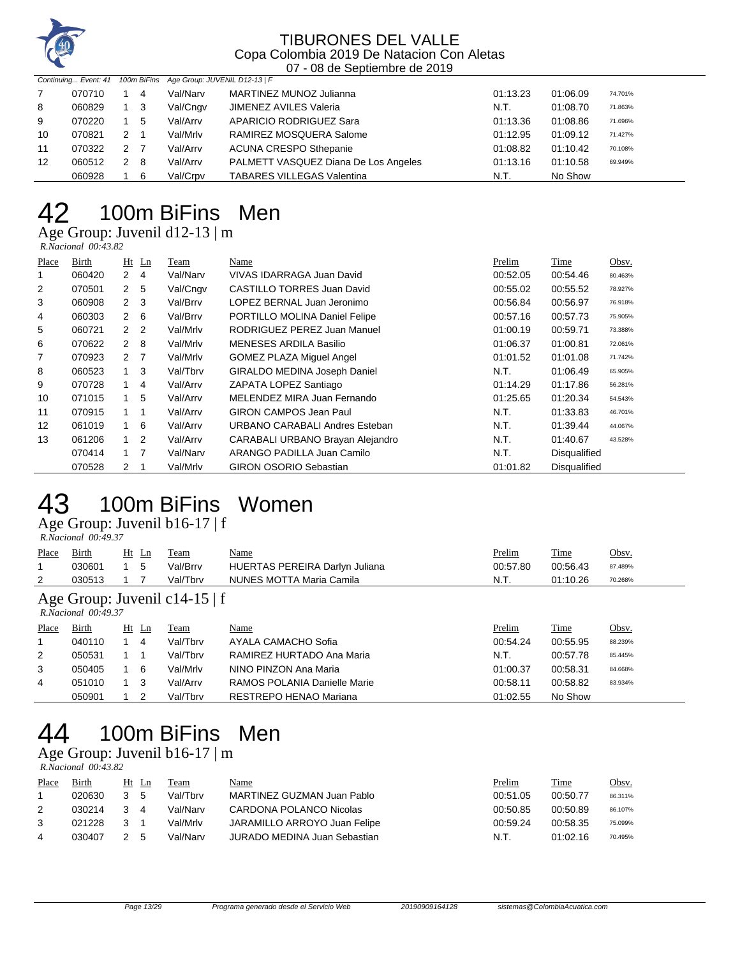

|    |        |   |     | Continuing Event: 41 100m BiFins Age Group: JUVENIL D12-13   F |                                      |          |          |         |
|----|--------|---|-----|----------------------------------------------------------------|--------------------------------------|----------|----------|---------|
|    | 070710 |   | 4   | Val/Narv                                                       | MARTINEZ MUNOZ Julianna              | 01:13.23 | 01:06.09 | 74.701% |
| 8  | 060829 |   | - 3 | Val/Cngv                                                       | JIMENEZ AVILES Valeria               | N.T.     | 01:08.70 | 71.863% |
| 9  | 070220 |   | 5   | Val/Arrv                                                       | APARICIO RODRIGUEZ Sara              | 01:13.36 | 01:08.86 | 71.696% |
| 10 | 070821 | 2 |     | Val/Mrlv                                                       | RAMIREZ MOSQUERA Salome              | 01:12.95 | 01:09.12 | 71.427% |
| 11 | 070322 | 2 |     | Val/Arrv                                                       | <b>ACUNA CRESPO Sthepanie</b>        | 01:08.82 | 01:10.42 | 70.108% |
| 12 | 060512 | 2 | - 8 | Val/Arrv                                                       | PALMETT VASQUEZ Diana De Los Angeles | 01:13.16 | 01:10.58 | 69.949% |
|    | 060928 |   | -6  | Val/Crpv                                                       | <b>TABARES VILLEGAS Valentina</b>    | N.T.     | No Show  |         |

# 100m BiFins Men

Age Group: Juvenil d12-13 | m

 *R.Nacional 00:43.82* 

| Place | Birth  |                | $Ht$ Ln        | Team     | Name                                | Prelim   | Time                | Obsv.   |
|-------|--------|----------------|----------------|----------|-------------------------------------|----------|---------------------|---------|
| 1     | 060420 | 2              | -4             | Val/Narv | VIVAS IDARRAGA Juan David           | 00:52.05 | 00:54.46            | 80.463% |
| 2     | 070501 | 2              | -5             | Val/Cngv | <b>CASTILLO TORRES Juan David</b>   | 00:55.02 | 00:55.52            | 78.927% |
| 3     | 060908 |                | 2 <sub>3</sub> | Val/Brrv | LOPEZ BERNAL Juan Jeronimo          | 00:56.84 | 00:56.97            | 76.918% |
| 4     | 060303 | $2\quad 6$     |                | Val/Brrv | PORTILLO MOLINA Daniel Felipe       | 00:57.16 | 00:57.73            | 75.905% |
| 5     | 060721 |                | 2 <sub>2</sub> | Val/Mrlv | RODRIGUEZ PEREZ Juan Manuel         | 01:00.19 | 00:59.71            | 73.388% |
| 6     | 070622 | $2 \quad 8$    |                | Val/Mrlv | <b>MENESES ARDILA Basilio</b>       | 01:06.37 | 01:00.81            | 72.061% |
| 7     | 070923 | 2 <sub>7</sub> |                | Val/Mrlv | <b>GOMEZ PLAZA Miquel Angel</b>     | 01:01.52 | 01:01.08            | 71.742% |
| 8     | 060523 | $\overline{1}$ | 3              | Val/Tbrv | <b>GIRALDO MEDINA Joseph Daniel</b> | N.T.     | 01:06.49            | 65.905% |
| 9     | 070728 | 1.             | -4             | Val/Arrv | ZAPATA LOPEZ Santiago               | 01:14.29 | 01:17.86            | 56.281% |
| 10    | 071015 |                | 5              | Val/Arrv | MELENDEZ MIRA Juan Fernando         | 01:25.65 | 01:20.34            | 54.543% |
| 11    | 070915 |                | -1             | Val/Arrv | <b>GIRON CAMPOS Jean Paul</b>       | N.T.     | 01:33.83            | 46.701% |
| 12    | 061019 |                | 6              | Val/Arrv | URBANO CARABALI Andres Esteban      | N.T.     | 01:39.44            | 44.067% |
| 13    | 061206 |                | 2              | Val/Arrv | CARABALI URBANO Brayan Alejandro    | N.T.     | 01:40.67            | 43.528% |
|       | 070414 |                | $\overline{7}$ | Val/Narv | ARANGO PADILLA Juan Camilo          | N.T.     | <b>Disqualified</b> |         |
|       | 070528 | 2              |                | Val/Mrlv | <b>GIRON OSORIO Sebastian</b>       | 01:01.82 | Disqualified        |         |

## 100m BiFins Women

Age Group: Juvenil b16-17 | f  *R.Nacional 00:49.37* 

| Place<br>1                                           | Birth<br>030601 |  | $Ht$ Ln<br>5 | Team<br>Val/Brrv | Name<br><b>HUERTAS PEREIRA Darlyn Juliana</b> | Prelim<br>00:57.80 | Time<br>00:56.43 | Obsv.<br>87.489% |  |  |
|------------------------------------------------------|-----------------|--|--------------|------------------|-----------------------------------------------|--------------------|------------------|------------------|--|--|
| 2                                                    | 030513          |  |              | Val/Tbrv         | NUNES MOTTA Maria Camila                      | N.T.               | 01:10.26         | 70.268%          |  |  |
| Age Group: Juvenil c14-15   f<br>R.Nacional 00:49.37 |                 |  |              |                  |                                               |                    |                  |                  |  |  |
| Place                                                | Birth           |  | $Ht$ Ln      | Team             | Name                                          | Prelim             | Time             | Obsv.            |  |  |
|                                                      | 040110          |  | -4           | Val/Tbrv         | AYALA CAMACHO Sofia                           | 00:54.24           | 00:55.95         | 88.239%          |  |  |
| 2                                                    | 050531          |  |              | Val/Tbrv         | RAMIREZ HURTADO Ana Maria                     | N.T.               | 00:57.78         | 85.445%          |  |  |
| 3                                                    | 050405          |  | - 6          | Val/Mrlv         | NINO PINZON Ana Maria                         | 01:00.37           | 00:58.31         | 84.668%          |  |  |
| 4                                                    | 051010          |  | -3           | Val/Arrv         | RAMOS POLANIA Danielle Marie                  | 00:58.11           | 00:58.82         | 83.934%          |  |  |
|                                                      | 050901          |  | 2            | Val/Tbrv         | RESTREPO HENAO Mariana                        | 01:02.55           | No Show          |                  |  |  |

# 100m BiFins Men

Age Group: Juvenil b16-17 | m  *R.Nacional 00:43.82* 

| Place | Birth  | Ht Ln       |    | Feam     | Name                         | Prelim   | <u>Time</u> | Obsv.   |
|-------|--------|-------------|----|----------|------------------------------|----------|-------------|---------|
|       | 020630 | 3 5         |    | Val/Tbrv | MARTINEZ GUZMAN Juan Pablo   | 00:51.05 | 00:50.77    | 86.311% |
|       | 030214 | $3 \quad 4$ |    | Val/Narv | CARDONA POLANCO Nicolas      | 00:50.85 | 00:50.89    | 86.107% |
|       | 021228 |             |    | Val/Mrlv | JARAMILLO ARROYO Juan Felipe | 00:59.24 | 00:58.35    | 75.099% |
| 4     | 030407 |             | .5 | Val/Narv | JURADO MEDINA Juan Sebastian | N.T.     | 01:02.16    | 70.495% |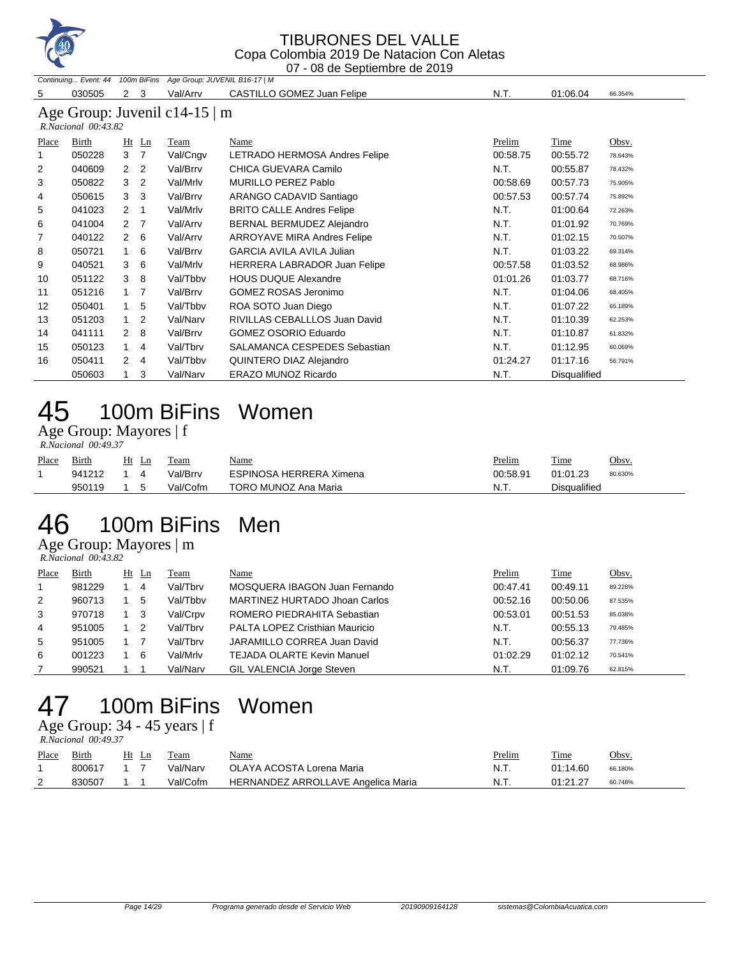

#### TIBURONES DEL VALLE Copa Colombia 2019 De Natacion Con Aletas

07 - 08 de Septiembre de 2019

|                | Continuing Event: 44 100m BiFins |                                |                                    | Age Group: JUVENIL B16-17   M      |          |              |         |
|----------------|----------------------------------|--------------------------------|------------------------------------|------------------------------------|----------|--------------|---------|
| 5              | 030505                           | $\mathbf{2}$<br>3              | Val/Arrv                           | CASTILLO GOMEZ Juan Felipe         | N.T.     | 01:06.04     | 66.354% |
|                |                                  |                                | Age Group: Juvenil c14-15 $\mid$ m |                                    |          |              |         |
|                | R.Nacional 00:43.82              |                                |                                    |                                    |          |              |         |
|                |                                  |                                | Team                               |                                    | Prelim   | Time         | Obsv.   |
| Place          | Birth                            | Ht Ln                          |                                    | Name                               |          |              |         |
|                | 050228                           | 3 7                            | Val/Cngv                           | LETRADO HERMOSA Andres Felipe      | 00:58.75 | 00:55.72     | 78.643% |
| $\overline{2}$ | 040609                           | 2 <sub>2</sub>                 | Val/Brrv                           | CHICA GUEVARA Camilo               | N.T.     | 00:55.87     | 78.432% |
| 3              | 050822                           | 2<br>3                         | Val/Mrlv                           | MURILLO PEREZ Pablo                | 00:58.69 | 00:57.73     | 75.905% |
| 4              | 050615                           | 3 <sub>3</sub>                 | Val/Brrv                           | ARANGO CADAVID Santiago            | 00:57.53 | 00.57.74     | 75.892% |
| 5              | 041023                           | $2 \quad 1$                    | Val/Mrlv                           | <b>BRITO CALLE Andres Felipe</b>   | N.T.     | 01:00.64     | 72.263% |
| 6              | 041004                           | 2 <sub>7</sub>                 | Val/Arrv                           | BERNAL BERMUDEZ Alejandro          | N.T.     | 01:01.92     | 70.769% |
| 7              | 040122                           | $2\quad 6$                     | Val/Arrv                           | <b>ARROYAVE MIRA Andres Felipe</b> | N.T.     | 01:02.15     | 70.507% |
| 8              | 050721                           | 6<br>1                         | Val/Brrv                           | <b>GARCIA AVILA AVILA Julian</b>   | N.T.     | 01:03.22     | 69.314% |
| 9              | 040521                           | 6<br>3                         | Val/Mrlv                           | HERRERA LABRADOR Juan Felipe       | 00:57.58 | 01:03.52     | 68.986% |
| 10             | 051122                           | - 8<br>3                       | Val/Tbby                           | <b>HOUS DUQUE Alexandre</b>        | 01:01.26 | 01:03.77     | 68.716% |
| 11             | 051216                           | $1 \quad 7$                    | Val/Brrv                           | <b>GOMEZ ROSAS Jeronimo</b>        | N.T.     | 01:04.06     | 68.405% |
| 12             | 050401                           | 5<br>$\mathbf{1}$              | Val/Tbbv                           | ROA SOTO Juan Diego                | N.T.     | 01:07.22     | 65.189% |
| 13             | 051203                           | $\overline{2}$<br>1            | Val/Narv                           | RIVILLAS CEBALLLOS Juan David      | N.T.     | 01:10.39     | 62.253% |
| 14             | 041111                           | 8<br>2                         | Val/Brrv                           | GOMEZ OSORIO Eduardo               | N.T.     | 01:10.87     | 61.832% |
| 15             | 050123                           | $\overline{4}$<br>1            | Val/Tbrv                           | SALAMANCA CESPEDES Sebastian       | N.T.     | 01:12.95     | 60.069% |
| 16             | 050411                           | $\mathbf{2}$<br>$\overline{4}$ | Val/Tbbv                           | QUINTERO DIAZ Alejandro            | 01:24.27 | 01:17.16     | 56.791% |
|                | 050603                           | 3                              | Val/Narv                           | <b>ERAZO MUNOZ Ricardo</b>         | N.T.     | Disqualified |         |

# 45 100m BiFins Women

#### Age Group: Mayores | f

| Place | Birth  | Ht | Ln | l'eam    | <u>Name</u>             | Prelim   | Time                | Obsv.   |
|-------|--------|----|----|----------|-------------------------|----------|---------------------|---------|
|       | 941212 |    |    | Val/Brrv | ESPINOSA HERRERA Ximena | 00:58.91 | 01:01.23            | 80.630% |
|       | 950119 |    |    | Val/Cofm | TORO MUNOZ Ana Maria    | N.T.     | <b>Disqualified</b> |         |

### 100m BiFins Men

Age Group: Mayores | m  *R.Nacional 00:43.82* 

| Place | Birth  | Ht | Ln | Team     | <u>Name</u>                       | Prelim   | Time     | Obsv.   |
|-------|--------|----|----|----------|-----------------------------------|----------|----------|---------|
|       | 981229 |    | 4  | Val/Tbrv | MOSQUERA IBAGON Juan Fernando     | 00:47.41 | 00:49.11 | 89.228% |
| 2     | 960713 |    | 5  | Val/Tbby | MARTINEZ HURTADO Jhoan Carlos     | 00:52.16 | 00:50.06 | 87.535% |
| 3     | 970718 |    | -3 | Val/Crpv | ROMERO PIEDRAHITA Sebastian       | 00:53.01 | 00:51.53 | 85.038% |
| 4     | 951005 |    | -2 | Val/Tbrv | PALTA LOPEZ Cristhian Mauricio    | N.T.     | 00:55.13 | 79.485% |
| 5     | 951005 |    |    | Val/Tbrv | JARAMILLO CORREA Juan David       | N.T.     | 00:56.37 | 77.736% |
| 6     | 001223 |    | 6  | Val/Mrlv | <b>TEJADA OLARTE Kevin Manuel</b> | 01:02.29 | 01:02.12 | 70.541% |
|       | 990521 |    |    | Val/Narv | GIL VALENCIA Jorge Steven         | N.T.     | 01:09.76 | 62.815% |

# 100m BiFins Women

Age Group: 34 - 45 years | f

|       | R.Nacional 00:49.37 |       |          |                                    |        |          |              |  |  |  |  |  |
|-------|---------------------|-------|----------|------------------------------------|--------|----------|--------------|--|--|--|--|--|
| Place | Birth               | Ht Ln | Team     | <u>Name</u>                        | Prelim | Time     | <u>Obsv.</u> |  |  |  |  |  |
|       | 800617              |       | Val/Narv | OLAYA ACOSTA Lorena Maria          | N.T.   | 01:14.60 | 66.180%      |  |  |  |  |  |
|       | 830507              |       | Val/Cofm | HERNANDEZ ARROLLAVE Angelica Maria | N.T    | 01:21.27 | 60.748%      |  |  |  |  |  |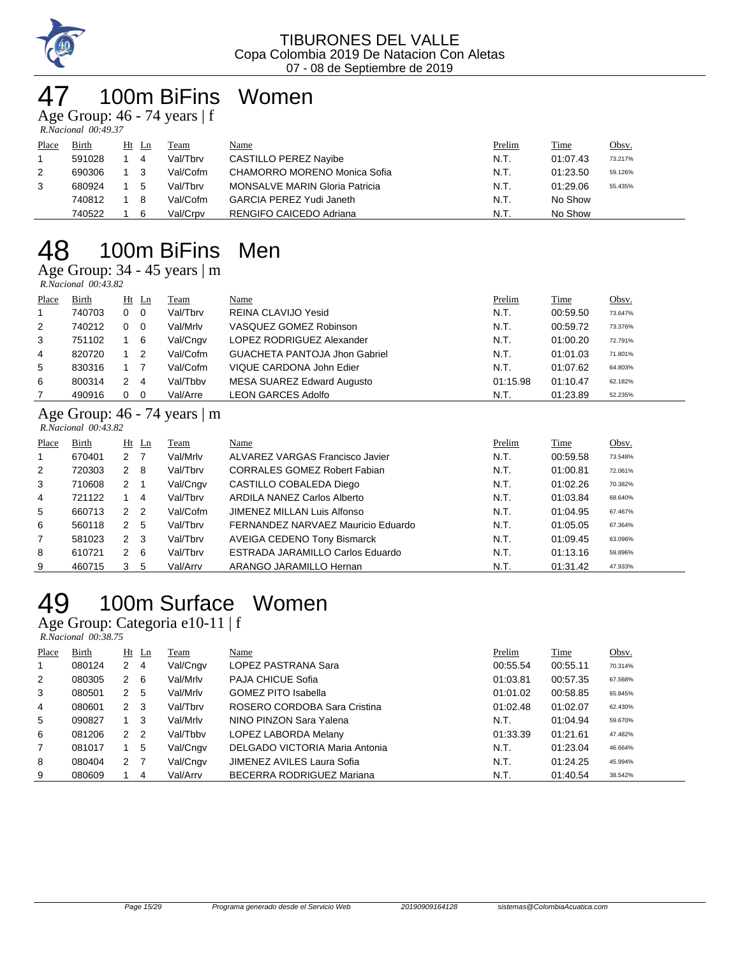

# 100m BiFins Women

Age Group: 46 - 74 years | f  *R.Nacional 00:49.37* 

| Place | Birth  | Ht Ln | Team     | Name                                  | <b>Prelim</b> | <b>Time</b> | Obsv.   |
|-------|--------|-------|----------|---------------------------------------|---------------|-------------|---------|
|       | 591028 | 4     | Val/Tbrv | CASTILLO PEREZ Navibe                 | N.T.          | 01:07.43    | 73.217% |
| 2     | 690306 |       | Val/Cofm | CHAMORRO MORENO Monica Sofia          | N.T.          | 01:23.50    | 59.126% |
| 3     | 680924 | 5     | Val/Tbrv | <b>MONSALVE MARIN Gloria Patricia</b> | N.T.          | 01:29.06    | 55.435% |
|       | 740812 | - 8   | Val/Cofm | <b>GARCIA PEREZ Yudi Janeth</b>       | N.T.          | No Show     |         |
|       | 740522 | 6     | Val/Crpv | RENGIFO CAICEDO Adriana               | N.T.          | No Show     |         |

## 100m BiFins Men

Age Group: 34 - 45 years | m  *R.Nacional 00:43.82* 

|       | $1.1$ and $1.11$ and $1.11$ and $1.11$ and $1.11$ and $1.11$ and $1.11$ and $1.11$ and $1.11$ and $1.11$ and $1.11$ and $1.11$ and $1.11$ and $1.11$ and $1.11$ and $1.11$ and $1.11$ and $1.11$ and $1.11$ and $1.11$ and $1$ |                                     |             |                                      |          |          |         |  |  |  |  |  |
|-------|--------------------------------------------------------------------------------------------------------------------------------------------------------------------------------------------------------------------------------|-------------------------------------|-------------|--------------------------------------|----------|----------|---------|--|--|--|--|--|
| Place | Birth                                                                                                                                                                                                                          | $Ht$ Ln                             | <b>Team</b> | Name                                 | Prelim   | Time     | Obsv.   |  |  |  |  |  |
|       | 740703                                                                                                                                                                                                                         | $0\quad 0$                          | Val/Tbrv    | REINA CLAVIJO Yesid                  | N.T.     | 00:59.50 | 73.647% |  |  |  |  |  |
| 2     | 740212                                                                                                                                                                                                                         | $0\quad 0$                          | Val/Mrlv    | VASQUEZ GOMEZ Robinson               | N.T.     | 00:59.72 | 73.376% |  |  |  |  |  |
| 3     | 751102                                                                                                                                                                                                                         | 1 6                                 | Val/Cngv    | LOPEZ RODRIGUEZ Alexander            | N.T.     | 01:00.20 | 72.791% |  |  |  |  |  |
| 4     | 820720                                                                                                                                                                                                                         | $1\quad 2$                          | Val/Cofm    | <b>GUACHETA PANTOJA Jhon Gabriel</b> | N.T.     | 01:01.03 | 71.801% |  |  |  |  |  |
| 5     | 830316                                                                                                                                                                                                                         |                                     | Val/Cofm    | VIQUE CARDONA John Edier             | N.T.     | 01:07.62 | 64.803% |  |  |  |  |  |
| 6     | 800314                                                                                                                                                                                                                         | 2 4                                 | Val/Tbby    | MESA SUAREZ Edward Augusto           | 01:15.98 | 01:10.47 | 62.182% |  |  |  |  |  |
|       | 490916                                                                                                                                                                                                                         | $\overline{\mathbf{0}}$<br>$\Omega$ | Val/Arre    | <b>LEON GARCES Adolfo</b>            | N.T.     | 01:23.89 | 52.235% |  |  |  |  |  |

#### Age Group: 46 - 74 years | m  *R.Nacional 00:43.82*

| Place          | Birth  |                      | $Ht$ Ln        | Team     | Name                                | Prelim | Time     | Obsv.   |
|----------------|--------|----------------------|----------------|----------|-------------------------------------|--------|----------|---------|
| 1              | 670401 | 2                    |                | Val/Mrlv | ALVAREZ VARGAS Francisco Javier     | N.T.   | 00:59.58 | 73.548% |
| 2              | 720303 | 2                    | - 8            | Val/Tbrv | <b>CORRALES GOMEZ Robert Fabian</b> | N.T.   | 01:00.81 | 72.061% |
| 3              | 710608 | 2                    |                | Val/Cngv | CASTILLO COBALEDA Diego             | N.T.   | 01:02.26 | 70.382% |
| 4              | 721122 |                      | 4              | Val/Tbrv | <b>ARDILA NANEZ Carlos Alberto</b>  | N.T.   | 01:03.84 | 68.640% |
| 5              | 660713 | $\mathcal{P}$        | $\overline{2}$ | Val/Cofm | JIMENEZ MILLAN Luis Alfonso         | N.T.   | 01:04.95 | 67.467% |
| 6              | 560118 | 2                    | -5             | Val/Tbrv | FERNANDEZ NARVAEZ Mauricio Eduardo  | N.T.   | 01:05.05 | 67.364% |
| $\overline{7}$ | 581023 | $\mathbf{2}$         | - 3            | Val/Tbrv | <b>AVEIGA CEDENO Tony Bismarck</b>  | N.T.   | 01:09.45 | 63.096% |
| 8              | 610721 | $\mathbf{2}^{\circ}$ | - 6            | Val/Tbrv | ESTRADA JARAMILLO Carlos Eduardo    | N.T.   | 01:13.16 | 59.896% |
| 9              | 460715 | 3                    | 5              | Val/Arrv | ARANGO JARAMILLO Hernan             | N.T.   | 01:31.42 | 47.933% |

# 100m Surface Women

Age Group: Categoria e10-11 | f

|       | R.Nacional 00:38.75 |                |         |          |                                |          |          |         |  |
|-------|---------------------|----------------|---------|----------|--------------------------------|----------|----------|---------|--|
| Place | Birth               |                | $Ht$ Ln | Team     | Name                           | Prelim   | Time     | Obsv.   |  |
| 1     | 080124              | 2              | 4       | Val/Cngv | LOPEZ PASTRANA Sara            | 00:55.54 | 00:55.11 | 70.314% |  |
| 2     | 080305              | $\mathbf{2}$   | - 6     | Val/Mrlv | PAJA CHICUE Sofia              | 01:03.81 | 00:57.35 | 67.568% |  |
| 3     | 080501              | 2 5            |         | Val/Mrlv | <b>GOMEZ PITO Isabella</b>     | 01:01.02 | 00:58.85 | 65.845% |  |
| 4     | 080601              | $2 \quad 3$    |         | Val/Tbrv | ROSERO CORDOBA Sara Cristina   | 01:02.48 | 01:02.07 | 62.430% |  |
| 5     | 090827              | $1 \quad 3$    |         | Val/Mrlv | NINO PINZON Sara Yalena        | N.T.     | 01:04.94 | 59.670% |  |
| 6     | 081206              | 2 <sub>2</sub> |         | Val/Tbby | LOPEZ LABORDA Melany           | 01:33.39 | 01:21.61 | 47.482% |  |
| 7     | 081017              |                | 5       | Val/Cngv | DELGADO VICTORIA Maria Antonia | N.T.     | 01:23.04 | 46.664% |  |
| 8     | 080404              | 2 7            |         | Val/Cngv | JIMENEZ AVILES Laura Sofia     | N.T.     | 01:24.25 | 45.994% |  |
| 9     | 080609              |                | 4       | Val/Arrv | BECERRA RODRIGUEZ Mariana      | N.T.     | 01:40.54 | 38.542% |  |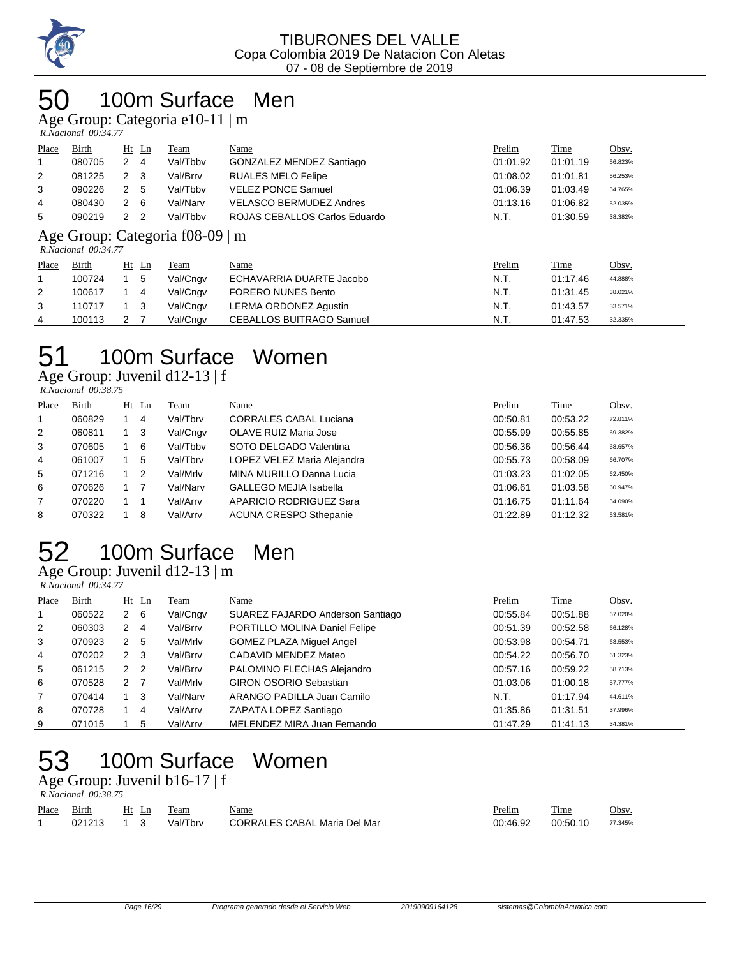

### 100m Surface Men

Age Group: Categoria e10-11 | m

 *R.Nacional 00:34.77* 

| Place          | Birth  | Ht Ln    | Team     | <u>Name</u>                    | Prelim   | Time     | <u>Obsv.</u> |
|----------------|--------|----------|----------|--------------------------------|----------|----------|--------------|
|                | 080705 | -4       | Val/Tbby | GONZALEZ MENDEZ Santiago       | 01:01.92 | 01:01.19 | 56.823%      |
| 2              | 081225 | 2 3      | Val/Brrv | <b>RUALES MELO Felipe</b>      | 01:08.02 | 01:01.81 | 56.253%      |
| 3              | 090226 | 2 5      | Val/Tbby | <b>VELEZ PONCE Samuel</b>      | 01:06.39 | 01:03.49 | 54.765%      |
| $\overline{4}$ | 080430 | 2<br>- 6 | Val/Narv | <b>VELASCO BERMUDEZ Andres</b> | 01:13.16 | 01:06.82 | 52.035%      |
| 5              | 090219 | - 2      | Val/Tbby | ROJAS CEBALLOS Carlos Eduardo  | N.T.     | 01:30.59 | 38.382%      |

Age Group: Categoria f08-09 | m

 *R.Nacional 00:34.77* 

|                | 10.1300.0010010 00.07.77 |       |          |                                 |        |          |              |
|----------------|--------------------------|-------|----------|---------------------------------|--------|----------|--------------|
| Place<br>Birth |                          | Ht Ln | Team     | Name                            | Prelim | Time     | <u>Obsv.</u> |
|                | 100724                   | 5     | Val/Cngv | ECHAVARRIA DUARTE Jacobo        | N.T.   | 01:17.46 | 44.888%      |
| 2              | 100617                   | 4     | Val/Cngv | <b>FORERO NUNES Bento</b>       | N.T.   | 01:31.45 | 38.021%      |
| 3              | 110717                   |       | Val/Cngv | LERMA ORDONEZ Agustin           | N.T.   | 01:43.57 | 33.571%      |
| 4              | 100113                   |       | Val/Cngv | <b>CEBALLOS BUITRAGO Samuel</b> | N.T.   | 01:47.53 | 32.335%      |

# 100m Surface Women

Age Group: Juvenil d12-13 | f

| R.Nacional 00:38.75 |  |
|---------------------|--|

| Place          | Birth  | $Ht$ Ln | Team     | Name                          | Prelim   | Time     | Obsv.   |
|----------------|--------|---------|----------|-------------------------------|----------|----------|---------|
|                | 060829 | 4       | Val/Tbrv | <b>CORRALES CABAL Luciana</b> | 00:50.81 | 00:53.22 | 72.811% |
| 2              | 060811 | $_{3}$  | Val/Cngv | OLAVE RUIZ Maria Jose         | 00:55.99 | 00:55.85 | 69.382% |
| 3              | 070605 | - 6     | Val/Tbby | SOTO DELGADO Valentina        | 00:56.36 | 00:56.44 | 68.657% |
| $\overline{4}$ | 061007 | 5       | Val/Tbrv | LOPEZ VELEZ Maria Alejandra   | 00:55.73 | 00:58.09 | 66.707% |
| 5              | 071216 | -2      | Val/Mrlv | MINA MURILLO Danna Lucia      | 01:03.23 | 01:02.05 | 62.450% |
| 6              | 070626 |         | Val/Narv | <b>GALLEGO MEJIA Isabella</b> | 01:06.61 | 01:03.58 | 60.947% |
| $\overline{7}$ | 070220 |         | Val/Arrv | APARICIO RODRIGUEZ Sara       | 01:16.75 | 01:11.64 | 54.090% |
| 8              | 070322 | -8      | Val/Arrv | <b>ACUNA CRESPO Sthepanie</b> | 01:22.89 | 01:12.32 | 53.581% |

# 100m Surface Men

Age Group: Juvenil d12-13 | m

 *R.Nacional 00:34.77* 

| Place          | Birth  |                | $Ht$ Ln        | Team     | Name                             | Prelim   | Time     | Obsv.   |
|----------------|--------|----------------|----------------|----------|----------------------------------|----------|----------|---------|
| 1              | 060522 | $\overline{2}$ | - 6            | Val/Cngv | SUAREZ FAJARDO Anderson Santiago | 00:55.84 | 00:51.88 | 67.020% |
| $\overline{2}$ | 060303 | 2              | 4              | Val/Brrv | PORTILLO MOLINA Daniel Felipe    | 00:51.39 | 00:52.58 | 66.128% |
| 3              | 070923 | 2              | 5              | Val/Mrlv | GOMEZ PLAZA Miguel Angel         | 00:53.98 | 00:54.71 | 63.553% |
| 4              | 070202 | $\mathbf{2}$   | - 3            | Val/Brrv | CADAVID MENDEZ Mateo             | 00:54.22 | 00:56.70 | 61.323% |
| 5              | 061215 | $\overline{2}$ | $\overline{2}$ | Val/Brrv | PALOMINO FLECHAS Alejandro       | 00:57.16 | 00:59.22 | 58.713% |
| 6              | 070528 | 2              | -7             | Val/Mrlv | <b>GIRON OSORIO Sebastian</b>    | 01:03.06 | 01:00.18 | 57.777% |
| $\overline{7}$ | 070414 |                | 3              | Val/Narv | ARANGO PADILLA Juan Camilo       | N.T.     | 01:17.94 | 44.611% |
| 8              | 070728 |                | 4              | Val/Arrv | ZAPATA LOPEZ Santiago            | 01:35.86 | 01:31.51 | 37.996% |
| 9              | 071015 |                | 5              | Val/Arrv | MELENDEZ MIRA Juan Fernando      | 01:47.29 | 01:41.13 | 34.381% |

# 100m Surface Women

Age Group: Juvenil b16-17 | f  *R.Nacional 00:38.75* 

| Place | Birth  | Ht<br>Ln | l'eam    | <u>Name</u>                         | Prelim   | <b>Time</b> | Obsv.   |
|-------|--------|----------|----------|-------------------------------------|----------|-------------|---------|
|       | 021213 |          | Val/Tbrv | <b>CORRALES CABAL Maria Del Mar</b> | 00:46.92 | 00:50.10    | 77.345% |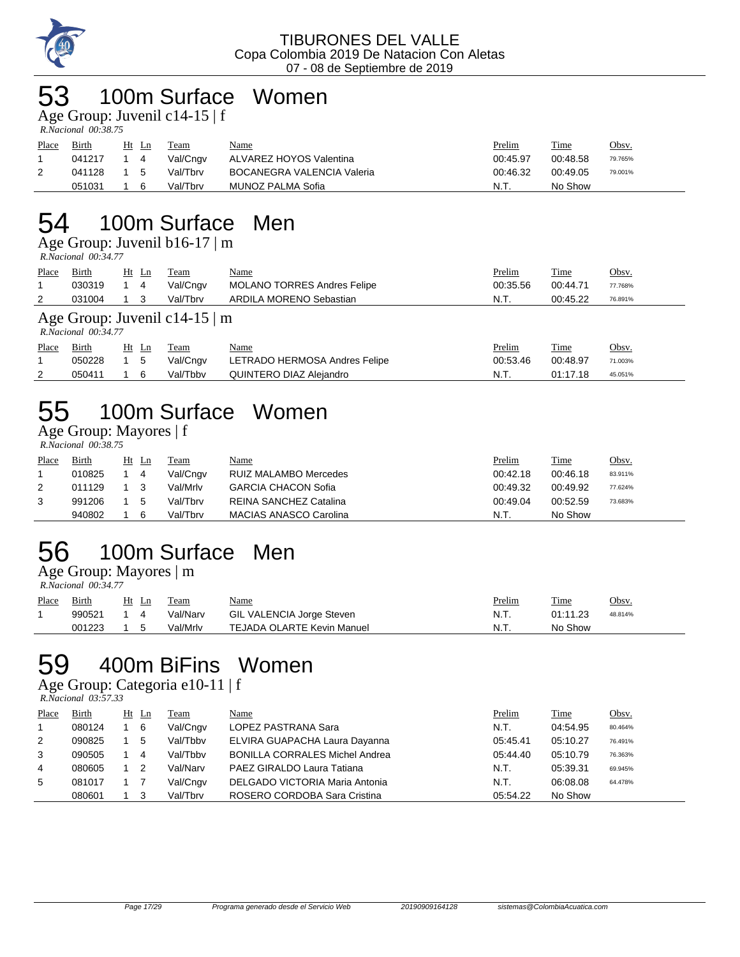

### 100m Surface Women

Age Group: Juvenil c14-15 | f

| - -                 |  |
|---------------------|--|
| R.Nacional 00:38.75 |  |

| Place | <u>Birth</u> | Ht<br>Ln | Team     | <u>Name</u>                       | <b>Prelim</b> | Time     | <u>Obsv.</u> |
|-------|--------------|----------|----------|-----------------------------------|---------------|----------|--------------|
|       | 041217       | 4        | Val/Cngv | ALVAREZ HOYOS Valentina           | 00:45.97      | 00:48.58 | 79.765%      |
|       | 041128       | - 5      | Val/Tbrv | <b>BOCANEGRA VALENCIA Valeria</b> | 00:46.32      | 00:49.05 | 79.001%      |
|       | 051031       |          | Val/Tbrv | MUNOZ PALMA Sofia                 | N.T.          | No Show  |              |

### 54 100m Surface Men

Age Group: Juvenil b16-17 | m  *R.Nacional 00:34.77* 

| Place | <b>Birth</b>                                              | $Ht$ Ln | <b>Team</b> | <u>Name</u>                        | Prelim   | <b>Time</b> | Obsv.   |  |  |  |  |
|-------|-----------------------------------------------------------|---------|-------------|------------------------------------|----------|-------------|---------|--|--|--|--|
|       | 030319                                                    | 4       | Val/Cngv    | <b>MOLANO TORRES Andres Felipe</b> | 00:35.56 | 00:44.71    | 77.768% |  |  |  |  |
| 2     | 031004                                                    |         | Val/Tbrv    | ARDILA MORENO Sebastian            | N.T.     | 00:45.22    | 76.891% |  |  |  |  |
|       | Age Group: Juvenil c14-15 $\mid$ m<br>R.Nacional 00:34.77 |         |             |                                    |          |             |         |  |  |  |  |

| Place | <b>Birth</b> | $Ht$ Ln    | Team     | <b>Name</b>                   | Prelim   | <b>Time</b> | Obsv.   |
|-------|--------------|------------|----------|-------------------------------|----------|-------------|---------|
|       | 050228       | $1\quad 5$ | Val/Cngv | LETRADO HERMOSA Andres Felipe | 00:53.46 | 00:48.97    | 71.003% |
|       | 050411       |            | Val/Tbby | QUINTERO DIAZ Alejandro       | N.T.     | 01:17.18    | 45.051% |

# 55 100m Surface Women

#### Age Group: Mayores | f

 *R.Nacional 00:38.75* 

| Place | Birth  | Ht Ln | Team     | Name                          | Prelim   | <b>Time</b> | <u>Obsv.</u> |
|-------|--------|-------|----------|-------------------------------|----------|-------------|--------------|
|       | 010825 | 4     | Val/Cngv | <b>RUIZ MALAMBO Mercedes</b>  | 00:42.18 | 00:46.18    | 83.911%      |
|       | 011129 |       | Val/Mrlv | <b>GARCIA CHACON Sofia</b>    | 00:49.32 | 00:49.92    | 77.624%      |
|       | 991206 | 5     | Val/Tbrv | <b>REINA SANCHEZ Catalina</b> | 00:49.04 | 00:52.59    | 73.683%      |
|       | 940802 | 6     | Val/Tbrv | MACIAS ANASCO Carolina        | N.T.     | No Show     |              |

# 56 100m Surface Men

Age Group: Mayores | m

| - -                 |  |
|---------------------|--|
| R.Nacional 00:34.77 |  |

| Place | Birth  | Ht<br>Ln | Team     | <u>Name</u>                       | Prelim | Time     | Obsv.   |
|-------|--------|----------|----------|-----------------------------------|--------|----------|---------|
|       | 990521 |          | Val/Narv | GIL VALENCIA Jorge Steven         | N.T.   | 01:11.23 | 48.814% |
|       | 001223 |          | Val/Mrlv | <b>TEJADA OLARTE Kevin Manuel</b> | N.T.   | No Show  |         |

## 59 400m BiFins Women

#### Age Group: Categoria e10-11 | f

 *R.Nacional 03:57.33* 

| Place | Birth  | Ht Ln | Team     | Name                                  | Prelim   | Time     | Obsv.   |
|-------|--------|-------|----------|---------------------------------------|----------|----------|---------|
|       | 080124 | - 6   | Val/Cngv | LOPEZ PASTRANA Sara                   | N.T.     | 04:54.95 | 80.464% |
| 2     | 090825 | 5     | Val/Tbby | ELVIRA GUAPACHA Laura Dayanna         | 05:45.41 | 05:10.27 | 76.491% |
| 3     | 090505 | 4     | Val/Tbby | <b>BONILLA CORRALES Michel Andrea</b> | 05:44.40 | 05:10.79 | 76.363% |
| 4     | 080605 | - 2   | Val/Narv | PAEZ GIRALDO Laura Tatiana            | N.T.     | 05:39.31 | 69.945% |
| 5     | 081017 |       | Val/Cngv | DELGADO VICTORIA Maria Antonia        | N.T.     | 06:08.08 | 64.478% |
|       | 080601 |       | Val/Tbrv | ROSERO CORDOBA Sara Cristina          | 05:54.22 | No Show  |         |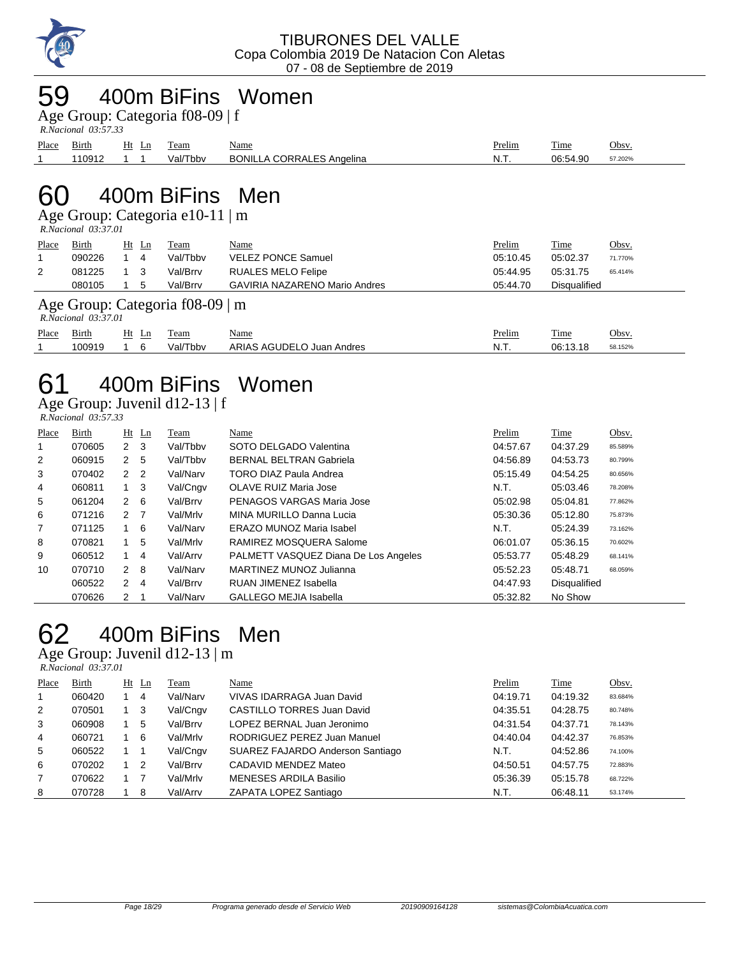

### 59 400m BiFins Women

Age Group: Categoria f08-09 | f

| R.Nacional 03:57.33 |  |
|---------------------|--|

| Place | Birth  | Ht<br>Lη | eam      | Name                             | <u>Prelim</u> | m.<br><u>l'ime</u> | Obsv    |
|-------|--------|----------|----------|----------------------------------|---------------|--------------------|---------|
|       | 110912 |          | Val/Tbbv | <b>BONILLA CORRALES Angelina</b> | N.T           | 06:54.90           | 57.202% |

### 60 400m BiFins Men

Age Group: Categoria e10-11 | m

 *R.Nacional 03:37.01* 

| Place | Birth                                                     |  | $Ht$ Ln | Team     | Name                                 | Prelim   | Time                | Obsv.   |
|-------|-----------------------------------------------------------|--|---------|----------|--------------------------------------|----------|---------------------|---------|
|       | 090226                                                    |  | 4       | Val/Tbbv | <b>VELEZ PONCE Samuel</b>            | 05:10.45 | 05:02.37            | 71.770% |
| 2     | 081225                                                    |  | 3       | Val/Brrv | <b>RUALES MELO Felipe</b>            | 05:44.95 | 05:31.75            | 65.414% |
|       | 080105                                                    |  | 5       | Val/Brrv | <b>GAVIRIA NAZARENO Mario Andres</b> | 05:44.70 | <b>Disqualified</b> |         |
|       | Age Group: Categoria f08-09   m<br>$R. Nacional$ 03:37.01 |  |         |          |                                      |          |                     |         |
| Place | Birth                                                     |  | Ht Ln   | Team     | Name                                 | Prelim   | Time                | Obsv.   |

1 100919 1 6 Val/Tbbv ARIAS AGUDELO Juan Andres N.T. 06:13.18 58.152%

# 61 400m BiFins Women

Age Group: Juvenil d12-13 | f

| --                  |  |
|---------------------|--|
| R.Nacional 03:57.33 |  |

| Place | Birth  |                | $Ht$ Ln        | Team     | Name                                 | Prelim   | Time                | Obsv.   |
|-------|--------|----------------|----------------|----------|--------------------------------------|----------|---------------------|---------|
| 1     | 070605 | $\mathbf{2}$   | - 3            | Val/Tbby | SOTO DELGADO Valentina               | 04:57.67 | 04:37.29            | 85.589% |
| 2     | 060915 | 2              | 5              | Val/Tbby | <b>BERNAL BELTRAN Gabriela</b>       | 04:56.89 | 04:53.73            | 80.799% |
| 3     | 070402 | 2              | $\overline{2}$ | Val/Narv | <b>TORO DIAZ Paula Andrea</b>        | 05:15.49 | 04:54.25            | 80.656% |
| 4     | 060811 | $1 \quad 3$    |                | Val/Cngv | OLAVE RUIZ Maria Jose                | N.T.     | 05:03.46            | 78.208% |
| 5     | 061204 | 2              | 6              | Val/Brrv | PENAGOS VARGAS Maria Jose            | 05:02.98 | 05:04.81            | 77.862% |
| 6     | 071216 | 2 <sub>7</sub> |                | Val/Mrlv | MINA MURILLO Danna Lucia             | 05:30.36 | 05:12.80            | 75.873% |
| 7     | 071125 |                | 6              | Val/Narv | ERAZO MUNOZ Maria Isabel             | N.T.     | 05:24.39            | 73.162% |
| 8     | 070821 |                | 5              | Val/Mrlv | RAMIREZ MOSQUERA Salome              | 06:01.07 | 05:36.15            | 70.602% |
| 9     | 060512 |                | 4              | Val/Arrv | PALMETT VASQUEZ Diana De Los Angeles | 05:53.77 | 05:48.29            | 68.141% |
| 10    | 070710 | $\mathbf{2}$   | -8             | Val/Narv | MARTINEZ MUNOZ Julianna              | 05:52.23 | 05:48.71            | 68.059% |
|       | 060522 | 2              | 4              | Val/Brrv | RUAN JIMENEZ Isabella                | 04:47.93 | <b>Disqualified</b> |         |
|       | 070626 | 2              |                | Val/Narv | <b>GALLEGO MEJIA Isabella</b>        | 05:32.82 | No Show             |         |

# 62 400m BiFins Men

Age Group: Juvenil d12-13 | m

 *R.Nacional 03:37.01* 

| Place | Birth  | $Ht$ Ln | Team     | Name                              | Prelim   | <b>Time</b> | Obsv.   |
|-------|--------|---------|----------|-----------------------------------|----------|-------------|---------|
|       | 060420 | 4       | Val/Narv | VIVAS IDARRAGA Juan David         | 04:19.71 | 04:19.32    | 83.684% |
| 2     | 070501 | 3       | Val/Cngv | <b>CASTILLO TORRES Juan David</b> | 04:35.51 | 04:28.75    | 80.748% |
| 3     | 060908 | 5       | Val/Brrv | LOPEZ BERNAL Juan Jeronimo        | 04:31.54 | 04:37.71    | 78.143% |
| 4     | 060721 | 6       | Val/Mrlv | RODRIGUEZ PEREZ Juan Manuel       | 04:40.04 | 04:42.37    | 76.853% |
| 5     | 060522 |         | Val/Cngv | SUAREZ FAJARDO Anderson Santiago  | N.T.     | 04:52.86    | 74.100% |
| 6     | 070202 | 2       | Val/Brrv | CADAVID MENDEZ Mateo              | 04:50.51 | 04:57.75    | 72.883% |
|       | 070622 |         | Val/Mrlv | <b>MENESES ARDILA Basilio</b>     | 05:36.39 | 05:15.78    | 68.722% |
| 8     | 070728 | 8       | Val/Arrv | ZAPATA LOPEZ Santiago             | N.T.     | 06:48.11    | 53.174% |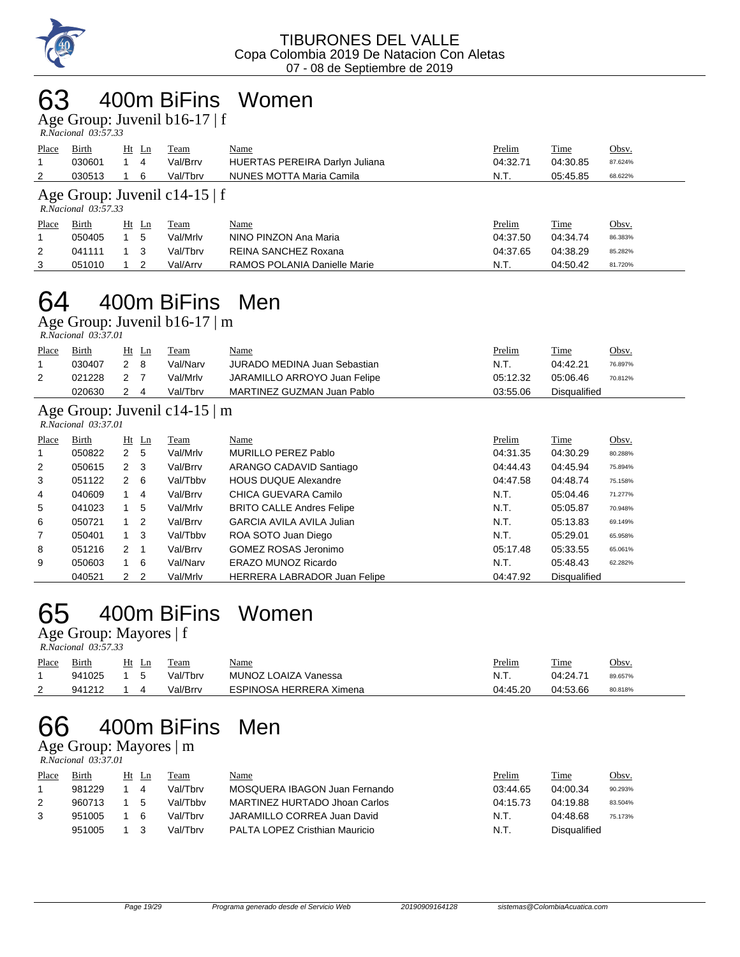

### 400m BiFins Women

Age Group: Juvenil b16-17 | f

| --                  |  |
|---------------------|--|
| R.Nacional 03:57.33 |  |

| Place<br>2 | Birth<br>030601<br>030513                                 | Ht Ln<br>4<br>6 | Team<br>Val/Brrv<br>Val/Tbrv | Name<br><b>HUERTAS PEREIRA Darlyn Juliana</b><br>NUNES MOTTA Maria Camila | Prelim<br>04:32.71<br>N.T. | Time<br>04:30.85<br>05:45.85 | Obsv.<br>87.624%<br>68.622% |  |  |
|------------|-----------------------------------------------------------|-----------------|------------------------------|---------------------------------------------------------------------------|----------------------------|------------------------------|-----------------------------|--|--|
|            | Age Group: Juvenil $c14-15$   f<br>$R. Nacional$ 03:57.33 |                 |                              |                                                                           |                            |                              |                             |  |  |
| Place      | Birth                                                     | $Ht$ Ln         | Team                         | Name                                                                      | Prelim                     | Time                         | Obsv.                       |  |  |
|            | 050405                                                    | 5               | Val/Mrlv                     | NINO PINZON Ana Maria                                                     | 04:37.50                   | 04:34.74                     | 86.383%                     |  |  |
| 2          | 041111                                                    | 3               | Val/Tbrv                     | REINA SANCHEZ Roxana                                                      | 04:37.65                   | 04:38.29                     | 85.282%                     |  |  |
| 3          | 051010                                                    | 2               | Val/Arrv                     | RAMOS POLANIA Danielle Marie                                              | N.T.                       | 04:50.42                     | 81.720%                     |  |  |

# 64 400m BiFins Men

Age Group: Juvenil b16-17 | m

| R.Nacional 03:37.01 |  |
|---------------------|--|
|                     |  |

| Place | Birth  | Ht | Ln | Team     | <u>Name</u>                  | <u>Prelim</u> | Time         | Obsv.   |
|-------|--------|----|----|----------|------------------------------|---------------|--------------|---------|
|       | 030407 |    |    | Val/Narv | JURADO MEDINA Juan Sebastian | N.T.          | 04:42.21     | 76.897% |
|       | 021228 |    |    | Val/Mrlv | JARAMILLO ARROYO Juan Felipe | 05:12.32      | 05:06.46     | 70.812% |
|       | 020630 |    |    | Val/Tbrv | MARTINEZ GUZMAN Juan Pablo   | 03:55.06      | Disgualified |         |

#### Age Group: Juvenil c14-15 | m

 *R.Nacional 03:37.01* 

| Place          | Birth  |                | $Ht$ Ln        | Team     | Name                             | Prelim   | <b>Time</b>  | Obsv.   |
|----------------|--------|----------------|----------------|----------|----------------------------------|----------|--------------|---------|
| 1              | 050822 | 2              | -5             | Val/Mrlv | MURILLO PEREZ Pablo              | 04:31.35 | 04:30.29     | 80.288% |
| 2              | 050615 | 2              | - 3            | Val/Brrv | ARANGO CADAVID Santiago          | 04:44.43 | 04:45.94     | 75.894% |
| 3              | 051122 | 2              | - 6            | Val/Tbby | <b>HOUS DUQUE Alexandre</b>      | 04:47.58 | 04:48.74     | 75.158% |
| $\overline{4}$ | 040609 |                | 4              | Val/Brrv | CHICA GUEVARA Camilo             | N.T.     | 05:04.46     | 71.277% |
| 5              | 041023 |                | 5              | Val/Mrlv | <b>BRITO CALLE Andres Felipe</b> | N.T.     | 05:05.87     | 70.948% |
| 6              | 050721 |                | $\overline{2}$ | Val/Brrv | <b>GARCIA AVILA AVILA Julian</b> | N.T.     | 05:13.83     | 69.149% |
| $\overline{7}$ | 050401 |                | - 3            | Val/Tbby | ROA SOTO Juan Diego              | N.T.     | 05:29.01     | 65.958% |
| 8              | 051216 | 2              |                | Val/Brrv | <b>GOMEZ ROSAS Jeronimo</b>      | 05:17.48 | 05:33.55     | 65.061% |
| 9              | 050603 |                | - 6            | Val/Narv | ERAZO MUNOZ Ricardo              | N.T.     | 05:48.43     | 62.282% |
|                | 040521 | 2 <sub>2</sub> |                | Val/Mrlv | HERRERA LABRADOR Juan Felipe     | 04:47.92 | Disqualified |         |

# 65 400m BiFins Women

Age Group: Mayores | f

|       | R.Nacional 03:57.33 |       |          |                         |               |          |              |  |  |  |  |  |
|-------|---------------------|-------|----------|-------------------------|---------------|----------|--------------|--|--|--|--|--|
| Place | Birth               | Ht Ln | Team     | <u>Name</u>             | <u>Prelim</u> | Time     | <u>Obsv.</u> |  |  |  |  |  |
|       | 941025              |       | Val/Tbrv | MUNOZ LOAIZA Vanessa    | N.T.          | 04:24.71 | 89.657%      |  |  |  |  |  |
|       | 941212              |       | Val/Brrv | ESPINOSA HERRERA Ximena | 04:45.20      | 04:53.66 | 80.818%      |  |  |  |  |  |

## 66 400m BiFins Men

#### Age Group: Mayores | m

 *R.Nacional 03:37.01* 

| Place | Birth  | Ht | Ln       | Team     | <b>Name</b>                    | Prelim   | Time         | Obsv.   |
|-------|--------|----|----------|----------|--------------------------------|----------|--------------|---------|
|       | 981229 |    | 4        | Val/Thrv | MOSQUERA IBAGON Juan Fernando  | 03:44.65 | 04:00.34     | 90.293% |
| 2     | 960713 |    | .5       | Val/Thhy | MARTINEZ HURTADO Jhoan Carlos  | 04:15.73 | 04:19.88     | 83.504% |
|       | 951005 |    | <b>6</b> | Val/Thrv | JARAMILLO CORREA Juan David    | N.T.     | 04.48.68     | 75.173% |
|       | 951005 |    |          | Val/Thrv | PALTA LOPEZ Cristhian Mauricio | N.T.     | Disgualified |         |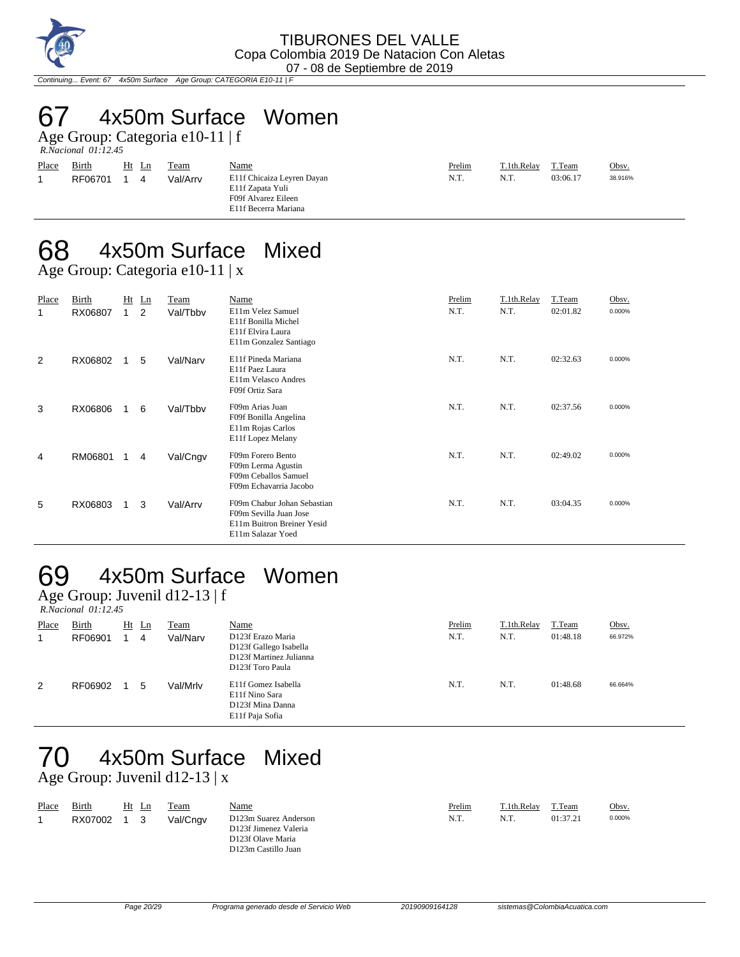

Continuing... Event: 67 4x50m Surface Age Group: CATEGORIA E10-11 | F

# 67 4x50m Surface Women

Age Group: Categoria e10-11 | f  *R.Nacional 01:12.45* 

| Place | Birth<br>RF06701 | Ht Ln<br>4 | Team<br>Val/Arrv | <u>Name</u><br>E11f Chicaiza Leyren Dayan<br>E11f Zapata Yuli | Prelim<br>N.T. | T.1th.Relay<br>N.T. | T.Team<br>03:06.17 | Obsv.<br>38.916% |
|-------|------------------|------------|------------------|---------------------------------------------------------------|----------------|---------------------|--------------------|------------------|
|       |                  |            |                  | F09f Alvarez Eileen                                           |                |                     |                    |                  |
|       |                  |            |                  | E11f Becerra Mariana                                          |                |                     |                    |                  |

# 68 4x50m Surface Mixed

Age Group: Categoria e10-11 | x

| Place<br>1. | Birth<br>RX06807 | Ht<br>1 | Ln<br>2 | Team<br>Val/Tbby | Name<br>E11m Velez Samuel<br>E11f Bonilla Michel<br>E11f Elvira Laura<br>E11m Gonzalez Santiago          | Prelim<br>N.T. | T.1th.Relay<br>N.T. | T.Team<br>02:01.82 | Obsv.<br>0.000% |
|-------------|------------------|---------|---------|------------------|----------------------------------------------------------------------------------------------------------|----------------|---------------------|--------------------|-----------------|
| 2           | RX06802          |         | 5       | Val/Narv         | E11f Pineda Mariana<br>E11f Paez Laura<br>E11m Velasco Andres<br>F09f Ortiz Sara                         | N.T.           | N.T.                | 02:32.63           | 0.000%          |
| 3           | RX06806          |         | 6       | Val/Tbbv         | F09m Arias Juan<br>F09f Bonilla Angelina<br>E11m Rojas Carlos<br>E11f Lopez Melany                       | N.T.           | N.T.                | 02:37.56           | 0.000%          |
| 4           | RM06801          | 1.      | 4       | Val/Cngv         | F09m Forero Bento<br>F09m Lerma Agustin<br>F09m Ceballos Samuel<br>F09m Echavarria Jacobo                | N.T.           | N.T.                | 02:49.02           | 0.000%          |
| 5           | RX06803          | 1.      | 3       | Val/Arrv         | F09m Chabur Johan Sebastian<br>F09m Sevilla Juan Jose<br>E11m Buitron Breiner Yesid<br>E11m Salazar Yoed | N.T.           | N.T.                | 03:04.35           | 0.000%          |

# 69 4x50m Surface Women

Age Group: Juvenil d12-13 | f  *R.Nacional 01:12.45* 

| Place | Birth   | $Ht$ Ln | <b>Team</b> | Name                                                                                       | Prelim | T.1th.Relay | T.Team   | Obsv.   |
|-------|---------|---------|-------------|--------------------------------------------------------------------------------------------|--------|-------------|----------|---------|
|       | RF06901 | 4       | Val/Narv    | D123f Erazo Maria<br>D123f Gallego Isabella<br>D123f Martinez Julianna<br>D123f Toro Paula | N.T.   | N.T.        | 01:48.18 | 66.972% |
| 2     | RF06902 | 5       | Val/Mrlv    | E11f Gomez Isabella<br>E11f Nino Sara<br>D123f Mina Danna<br>E11f Paja Sofia               | N.T.   | N.T.        | 01:48.68 | 66.664% |

#### 70 4x50m Surface Mixed Age Group: Juvenil d12-13 | x

| Place | Birth<br>RX07002 | Ht | Ln | Team<br>Val/Cngv | <b>Name</b><br>D123m Suarez Anderson<br>D123f Jimenez Valeria<br>D123f Olave Maria<br>D123m Castillo Juan | Prelim<br>N.T. | T.1th.Relay<br>N.T. | T.Team<br>01:37.21 | Obsv.<br>0.000% |
|-------|------------------|----|----|------------------|-----------------------------------------------------------------------------------------------------------|----------------|---------------------|--------------------|-----------------|
|-------|------------------|----|----|------------------|-----------------------------------------------------------------------------------------------------------|----------------|---------------------|--------------------|-----------------|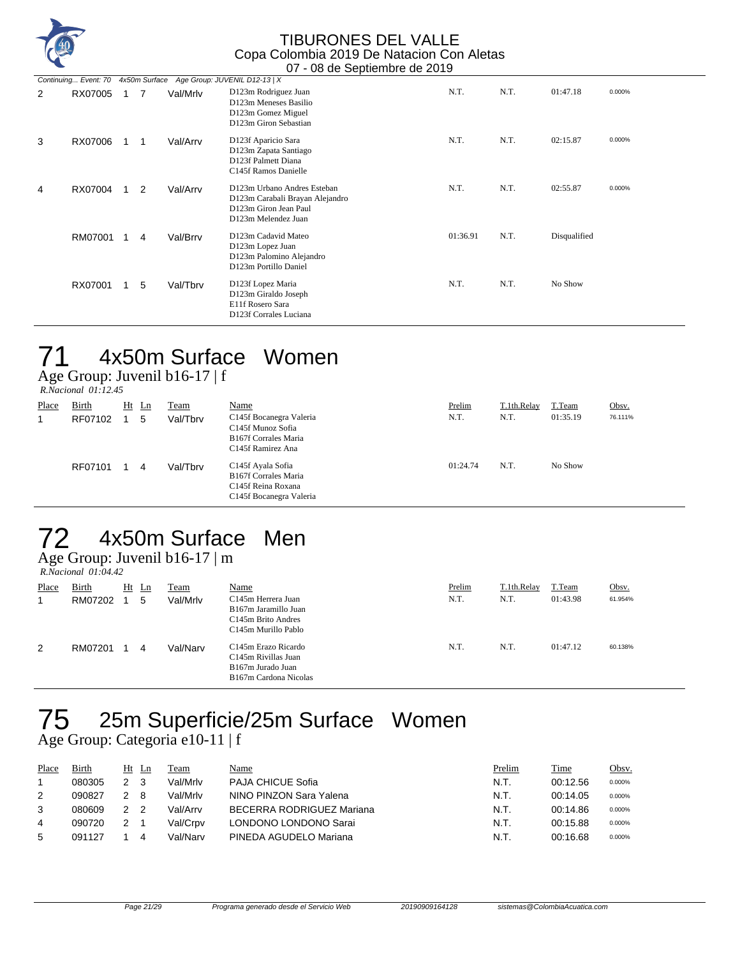

|   |         |   | Continuing Event: 70 4x50m Surface Age Group: JUVENIL D12-13   X |                                                                                                                |          |      |              |        |
|---|---------|---|------------------------------------------------------------------|----------------------------------------------------------------------------------------------------------------|----------|------|--------------|--------|
| 2 | RX07005 | 7 | Val/Mrlv                                                         | D123m Rodriguez Juan<br>D123m Meneses Basilio<br>D123m Gomez Miguel<br>D123m Giron Sebastian                   | N.T.     | N.T. | 01:47.18     | 0.000% |
| 3 | RX07006 |   | Val/Arrv                                                         | D123f Aparicio Sara<br>D123m Zapata Santiago<br>D123f Palmett Diana<br>C145f Ramos Danielle                    | N.T.     | N.T. | 02:15.87     | 0.000% |
| 4 | RX07004 | 2 | Val/Arrv                                                         | D123m Urbano Andres Esteban<br>D123m Carabali Brayan Alejandro<br>D123m Giron Jean Paul<br>D123m Melendez Juan | N.T.     | N.T. | 02:55.87     | 0.000% |
|   | RM07001 | 4 | Val/Brrv                                                         | D123m Cadavid Mateo<br>D123m Lopez Juan<br>D123m Palomino Alejandro<br>D123m Portillo Daniel                   | 01:36.91 | N.T. | Disqualified |        |
|   | RX07001 | 5 | Val/Tbrv                                                         | D123f Lopez Maria<br>D123m Giraldo Joseph<br>E11f Rosero Sara<br>D123f Corrales Luciana                        | N.T.     | N.T. | No Show      |        |

### 71 4x50m Surface Women

Age Group: Juvenil b16-17 | f

 *R.Nacional 01:12.45* 

| Place<br>1 | Birth<br>RF07102 | $Ht$ Ln | 5 | Team<br>Val/Tbrv | Name<br>C145f Bocanegra Valeria<br>C145f Munoz Sofia<br><b>B167f Corrales Maria</b><br>C <sub>145f</sub> Ramirez Ana | Prelim<br>N.T. | T.1th.Relay<br>N.T. | T.Team<br>01:35.19 | Obsv.<br>76.111% |
|------------|------------------|---------|---|------------------|----------------------------------------------------------------------------------------------------------------------|----------------|---------------------|--------------------|------------------|
|            | RF07101          |         | 4 | Val/Tbrv         | C145f Ayala Sofia<br><b>B167f Corrales Maria</b><br>C <sub>145f</sub> Reina Roxana<br>C145f Bocanegra Valeria        | 01:24.74       | N.T.                | No Show            |                  |

## 72 4x50m Surface Men

Age Group: Juvenil b16-17 | m

|       | $R. Nacional$ 01:04.42 |    |    |          |                                                                                                                    |        |             |          |         |  |  |  |
|-------|------------------------|----|----|----------|--------------------------------------------------------------------------------------------------------------------|--------|-------------|----------|---------|--|--|--|
| Place | Birth                  | Ht | Ln | Team     | <b>Name</b>                                                                                                        | Prelim | T.1th.Relay | T.Team   | Obsv.   |  |  |  |
|       | RM07202                |    | 5  | Val/Mrlv | C <sub>145</sub> m Herrera Juan<br>B167m Jaramillo Juan<br>C <sub>145</sub> m Brito Andres<br>C145m Murillo Pablo  | N.T.   | N.T.        | 01:43.98 | 61.954% |  |  |  |
| 2     | RM07201                |    | 4  | Val/Narv | C <sub>145</sub> m Erazo Ricardo<br>C <sub>145</sub> m Rivillas Juan<br>B167m Jurado Juan<br>B167m Cardona Nicolas | N.T.   | N.T.        | 01:47.12 | 60.138% |  |  |  |

# 75 25m Superficie/25m Surface Women

Age Group: Categoria e10-11 | f

| Place | Birth  | Ht Ln |   | <b>Team</b> | Name                      | Prelim | Time     | Obsv.  |
|-------|--------|-------|---|-------------|---------------------------|--------|----------|--------|
|       | 080305 |       |   | Val/Mrlv    | PAJA CHICUE Sofia         | N.T.   | 00:12.56 | 0.000% |
|       | 090827 |       | 8 | Val/Mrlv    | NINO PINZON Sara Yalena   | N.T.   | 00:14.05 | 0.000% |
|       | 080609 |       |   | Val/Arrv    | BECERRA RODRIGUEZ Mariana | N.T.   | 00:14.86 | 0.000% |
| 4     | 090720 |       |   | Val/Crpv    | LONDONO LONDONO Sarai     | N.T.   | 00:15.88 | 0.000% |
| 5     | 091127 |       |   | Val/Narv    | PINEDA AGUDELO Mariana    | N.T.   | 00:16.68 | 0.000% |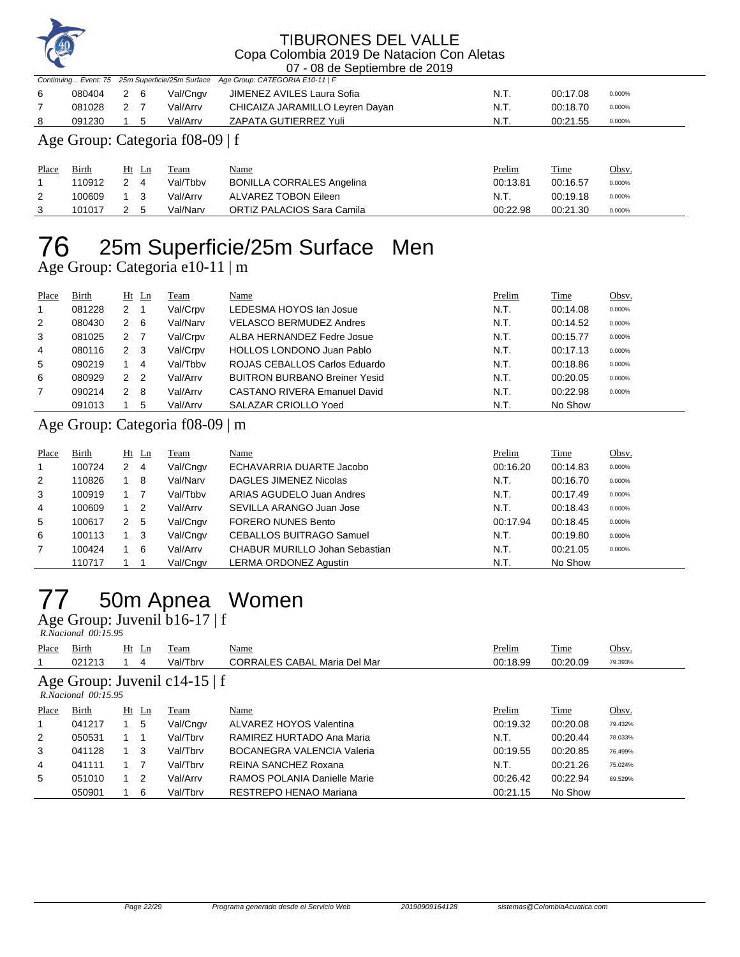

|              |        |                     |                                 | .                                                                               |          |             |        |
|--------------|--------|---------------------|---------------------------------|---------------------------------------------------------------------------------|----------|-------------|--------|
|              |        |                     |                                 | Continuing Event: 75 25m Superficie/25m Surface Age Group: CATEGORIA E10-11   F |          |             |        |
| 6            | 080404 | 2 6                 | Val/Cngv                        | JIMENEZ AVILES Laura Sofia                                                      | N.T.     | 00:17.08    | 0.000% |
|              | 081028 | 2 7                 | Val/Arrv                        | CHICAIZA JARAMILLO Leyren Dayan                                                 | N.T.     | 00:18.70    | 0.000% |
| 8            | 091230 | 5                   | Val/Arrv                        | ZAPATA GUTIERREZ Yuli                                                           | N.T.     | 00:21.55    | 0.000% |
|              |        |                     | Age Group: Categoria f08-09   f |                                                                                 |          |             |        |
| <b>Place</b> | Birth  | $Ht$ Ln             | Team                            | Name                                                                            | Prelim   | <b>Time</b> | Obsv.  |
|              | 110912 | $\mathcal{P}$<br>-4 | Val/Tbbv                        | <b>BONILLA CORRALES Angelina</b>                                                | 00:13.81 | 00:16.57    | 0.000% |
| 2            | 100609 | - 3                 | Val/Arrv                        | ALVAREZ TOBON Eileen                                                            | N.T.     | 00:19.18    | 0.000% |

101017 2 5 Val/Narv ORTIZ PALACIOS Sara Camila 00:22.98 00:21.30 0.000%

# 25m Superficie/25m Surface Men

Age Group: Categoria e10-11 | m

| Place          | Birth  |   | $Ht$ Ln        | Team     | Name                                 | Prelim | Time     | Obsv.  |
|----------------|--------|---|----------------|----------|--------------------------------------|--------|----------|--------|
|                | 081228 | 2 |                | Val/Crpv | LEDESMA HOYOS Ian Josue              | N.T.   | 00:14.08 | 0.000% |
| 2              | 080430 | 2 | - 6            | Val/Narv | <b>VELASCO BERMUDEZ Andres</b>       | N.T.   | 00:14.52 | 0.000% |
| 3              | 081025 | 2 |                | Val/Crpv | ALBA HERNANDEZ Fedre Josue           | N.T.   | 00:15.77 | 0.000% |
| 4              | 080116 | 2 | - 3            | Val/Crpv | <b>HOLLOS LONDONO Juan Pablo</b>     | N.T.   | 00:17.13 | 0.000% |
| 5              | 090219 |   | 4              | Val/Tbby | ROJAS CEBALLOS Carlos Eduardo        | N.T.   | 00:18.86 | 0.000% |
| 6              | 080929 | 2 | $\overline{2}$ | Val/Arrv | <b>BUITRON BURBANO Breiner Yesid</b> | N.T.   | 00:20.05 | 0.000% |
| $\overline{7}$ | 090214 | 2 | - 8            | Val/Arrv | CASTANO RIVERA Emanuel David         | N.T.   | 00:22.98 | 0.000% |
|                | 091013 |   | 5              | Val/Arrv | SALAZAR CRIOLLO Yoed                 | N.T.   | No Show  |        |

#### Age Group: Categoria f08-09 | m

| Place | Birth  |   | $Ht$ Ln        | Team     | Name                                  | Prelim   | Time     | Obsv.  |
|-------|--------|---|----------------|----------|---------------------------------------|----------|----------|--------|
|       | 100724 | 2 | -4             | Val/Cngv | ECHAVARRIA DUARTE Jacobo              | 00:16.20 | 00:14.83 | 0.000% |
| 2     | 110826 |   | 8              | Val/Narv | <b>DAGLES JIMENEZ Nicolas</b>         | N.T.     | 00:16.70 | 0.000% |
| 3     | 100919 |   |                | Val/Tbbv | ARIAS AGUDELO Juan Andres             | N.T.     | 00:17.49 | 0.000% |
| 4     | 100609 |   | $\overline{2}$ | Val/Arrv | SEVILLA ARANGO Juan Jose              | N.T.     | 00:18.43 | 0.000% |
| 5     | 100617 | 2 | -5             | Val/Cngv | <b>FORERO NUNES Bento</b>             | 00:17.94 | 00:18.45 | 0.000% |
| 6     | 100113 |   | - 3            | Val/Cngv | <b>CEBALLOS BUITRAGO Samuel</b>       | N.T.     | 00:19.80 | 0.000% |
| 7     | 100424 |   | -6             | Val/Arrv | <b>CHABUR MURILLO Johan Sebastian</b> | N.T.     | 00:21.05 | 0.000% |
|       | 110717 |   |                | Val/Cngv | LERMA ORDONEZ Agustin                 | N.T.     | No Show  |        |

# 50m Apnea Women

Age Group: Juvenil b16-17 | f  *R.Nacional 00:15.95* 

| Place | Birth                                                    |  | $Ht$ Ln        | Team     | Name                                | Prelim   | Time     | Obsv.   |  |  |  |  |
|-------|----------------------------------------------------------|--|----------------|----------|-------------------------------------|----------|----------|---------|--|--|--|--|
|       | 021213                                                   |  | 4              | Val/Tbrv | <b>CORRALES CABAL Maria Del Mar</b> | 00:18.99 | 00:20.09 | 79.393% |  |  |  |  |
|       | Age Group: Juvenil c14-15   f<br>$R$ Nacional $00.15.95$ |  |                |          |                                     |          |          |         |  |  |  |  |
| Place | Birth                                                    |  | $Ht$ Ln        | Team     | Name                                | Prelim   | Time     | Obsv.   |  |  |  |  |
| 1     | 041217                                                   |  | 5              | Val/Cngv | ALVAREZ HOYOS Valentina             | 00:19.32 | 00:20.08 | 79.432% |  |  |  |  |
| 2     | 050531                                                   |  |                | Val/Tbrv | RAMIREZ HURTADO Ana Maria           | N.T.     | 00:20.44 | 78.033% |  |  |  |  |
| 3     | 041128                                                   |  | - 3            | Val/Tbrv | <b>BOCANEGRA VALENCIA Valeria</b>   | 00:19.55 | 00:20.85 | 76.499% |  |  |  |  |
| 4     | 041111                                                   |  | $\overline{7}$ | Val/Tbrv | REINA SANCHEZ Roxana                | N.T.     | 00:21.26 | 75.024% |  |  |  |  |
| 5     | 051010                                                   |  | $\overline{2}$ | Val/Arrv | RAMOS POLANIA Danielle Marie        | 00:26.42 | 00:22.94 | 69.529% |  |  |  |  |
|       | 050901                                                   |  | 6              | Val/Tbrv | RESTREPO HENAO Mariana              | 00:21.15 | No Show  |         |  |  |  |  |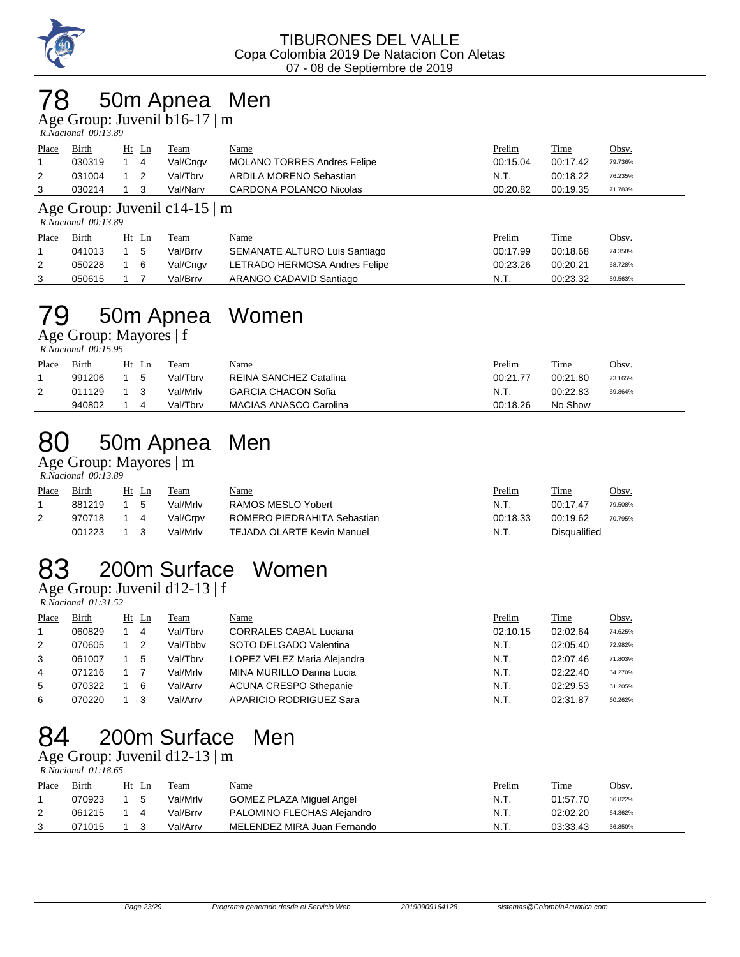

## 78 50m Apnea Men

Age Group: Juvenil b16-17 | m

| - -                 |  |
|---------------------|--|
| R.Nacional 00:13.89 |  |

| Place | Birth  | Ht Ln | Team     | <u>Name</u>                        | <u>Prelim</u> | Time     | <u>Obsv.</u> |
|-------|--------|-------|----------|------------------------------------|---------------|----------|--------------|
|       | 030319 | 14    | Val/Cngv | <b>MOLANO TORRES Andres Felipe</b> | 00:15.04      | 00:17.42 | 79.736%      |
|       | 031004 |       | Val/Tbrv | ARDILA MORENO Sebastian            | - N.T.        | 00:18.22 | 76.235%      |
|       | 030214 |       | Val/Narv | CARDONA POLANCO Nicolas            | 00:20.82      | 00:19.35 | 71.783%      |

#### Age Group: Juvenil c14-15 | m

 *R.Nacional 00:13.89* 

| Place | <b>Birth</b> | $Ht$ Ln | Team     | <u>Name</u>                   | <u>Prelim</u> | Time     | <u>Obsv.</u> |
|-------|--------------|---------|----------|-------------------------------|---------------|----------|--------------|
|       | 041013       | -5      | Val/Brrv | SEMANATE ALTURO Luis Santiago | 00:17.99      | 00:18.68 | 74.358%      |
|       | 050228       | - 6     | Val/Cngv | LETRADO HERMOSA Andres Felipe | 00:23.26      | 00:20.21 | 68.728%      |
|       | 050615       |         | Val/Brrv | ARANGO CADAVID Santiago       | N.T.          | 00:23.32 | 59.563%      |

# 79 50m Apnea Women

Age Group: Mayores | f  *R.Nacional 00:15.95* 

| Place | Birth  | Ht | Ln | Team     | <u>Name</u>                   | Prelim   | Time     | Obsv.   |
|-------|--------|----|----|----------|-------------------------------|----------|----------|---------|
|       | 991206 |    |    | Val/Tbrv | REINA SANCHEZ Catalina        | 00:21.77 | 00:21.80 | 73.165% |
| 2     | 011129 |    |    | Val/Mrlv | <b>GARCIA CHACON Sofia</b>    | N.T.     | 00:22.83 | 69.864% |
|       | 940802 |    |    | Val/Tbrv | <b>MACIAS ANASCO Carolina</b> | 00:18.26 | No Show  |         |

# 80 50m Apnea Men

Age Group: Mayores | m  *R.Nacional 00:13.89* 

| Place | Birth  | Ht | -Ln | Team     | <u>Name</u>                 | Prelim   | Time         | Obsv.   |
|-------|--------|----|-----|----------|-----------------------------|----------|--------------|---------|
|       | 881219 |    | .5  | Val/Mrlv | RAMOS MESLO Yobert          | N.T.     | 00:17.47     | 79.508% |
| 2     | 970718 |    |     | Val/Crpv | ROMERO PIEDRAHITA Sebastian | 00:18.33 | 00:19.62     | 70.795% |
|       | 001223 |    |     | Val/Mrlv | TEJADA OLARTE Kevin Manuel  | N.T.     | Disgualified |         |

# 83 200m Surface Women

Age Group: Juvenil d12-13 | f

 *R.Nacional 01:31.52* 

| Place | Birth  | $Ht$ Ln | Team     | <u>Name</u>                   | Prelim   | <b>Time</b> | Obsv.   |
|-------|--------|---------|----------|-------------------------------|----------|-------------|---------|
|       | 060829 | 4       | Val/Tbrv | <b>CORRALES CABAL Luciana</b> | 02:10.15 | 02:02.64    | 74.625% |
| 2     | 070605 |         | Val/Tbby | SOTO DELGADO Valentina        | N.T.     | 02:05.40    | 72.982% |
| 3     | 061007 | 5       | Val/Tbrv | LOPEZ VELEZ Maria Alejandra   | N.T.     | 02:07.46    | 71.803% |
| 4     | 071216 |         | Val/Mrlv | MINA MURILLO Danna Lucia      | N.T.     | 02:22.40    | 64.270% |
| 5     | 070322 | -6      | Val/Arrv | <b>ACUNA CRESPO Sthepanie</b> | N.T.     | 02:29.53    | 61.205% |
| 6     | 070220 |         | Val/Arrv | APARICIO RODRIGUEZ Sara       | N.T.     | 02:31.87    | 60.262% |

# 84 200m Surface Men

Age Group: Juvenil d12-13 | m  *R.Nacional 01:18.65* 

| Place | <b>Birth</b> | Ht Ln | Team     | <u>Name</u>                     | <u>Prelim</u> | Time     | Obsv.   |
|-------|--------------|-------|----------|---------------------------------|---------------|----------|---------|
|       | 070923       | G     | Val/Mrlv | <b>GOMEZ PLAZA Miguel Angel</b> | N.T.          | 01:57.70 | 66.822% |
| 2     | 061215       |       | Val/Brrv | PALOMINO FLECHAS Alejandro      | N.T.          | 02:02.20 | 64.362% |
| 3     | 071015       |       | Val/Arrv | MELENDEZ MIRA Juan Fernando     | N.T.          | 03:33.43 | 36.850% |
|       |              |       |          |                                 |               |          |         |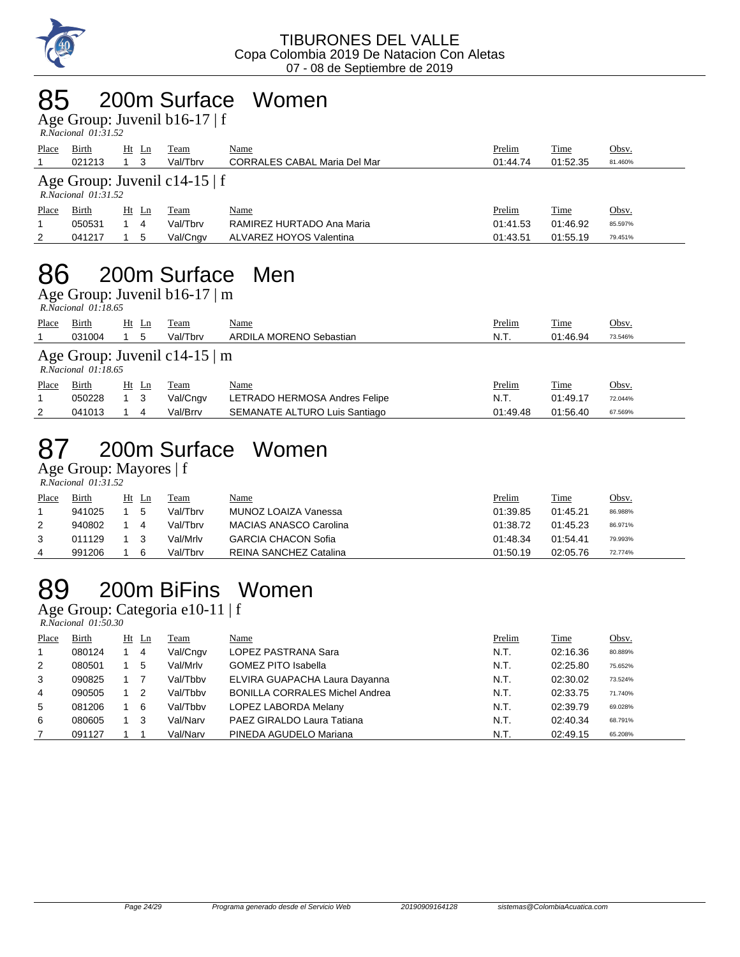

### 85 200m Surface Women

Age Group: Juvenil b16-17 | f

| $R. Nacional$ $01:31.52$ |  |
|--------------------------|--|

| Place                                                     | Birth<br>021213 | $Ht$ Ln<br>-3 | Team<br>Val/Tbrv | Name<br><b>CORRALES CABAL Maria Del Mar</b> | Prelim<br>01:44.74 | Time<br>01:52.35 | Obsv.<br>81.460% |  |
|-----------------------------------------------------------|-----------------|---------------|------------------|---------------------------------------------|--------------------|------------------|------------------|--|
| Age Group: Juvenil c14-15   f<br>$R. Nacional$ $01:31.52$ |                 |               |                  |                                             |                    |                  |                  |  |
| Place                                                     | Birth           | Ht Ln         | Team             | Name                                        | Prelim             | Time             | Obsv.            |  |
|                                                           | 050531          | 4             | Val/Tbrv         | RAMIREZ HURTADO Ana Maria                   | 01:41.53           | 01:46.92         | 85.597%          |  |
| 2                                                         | 041217          | 5             | Val/Cngv         | ALVAREZ HOYOS Valentina                     | 01:43.51           | 01:55.19         | 79.451%          |  |

## 86 200m Surface Men

Age Group: Juvenil b16-17  $\mid$  m

|       | R.Nacional 01:18.65                                          |       |          |                         |               |             |              |  |
|-------|--------------------------------------------------------------|-------|----------|-------------------------|---------------|-------------|--------------|--|
| Place | <b>Birth</b>                                                 | Ht Ln | Team     | <u>Name</u>             | <b>Prelim</b> | <b>Time</b> | <u>Obsv.</u> |  |
|       | 031004                                                       | 5     | Val/Tbrv | ARDILA MORENO Sebastian | N.T.          | 01:46.94    | 73.546%      |  |
|       | Age Group: Juvenil c14-15 $\mid$ m<br>$R. Nacional$ 01:18.65 |       |          |                         |               |             |              |  |

| Place | Birth  | Ht Ln | Team     | <u>Name</u>                   | <u>Prelim</u> | Time     | Obsv.   |
|-------|--------|-------|----------|-------------------------------|---------------|----------|---------|
|       | 050228 | 13    | Val/Cngv | LETRADO HERMOSA Andres Felipe | N.T.          | 01:49.17 | 72.044% |
|       | 041013 |       | Val/Brrv | SEMANATE ALTURO Luis Santiago | 01:49.48      | 01:56.40 | 67.569% |

### 87 200m Surface Women

Age Group: Mayores | f

|       | $R. Nacional$ 01:31.52 |    |    |          |                               |          |             |              |
|-------|------------------------|----|----|----------|-------------------------------|----------|-------------|--------------|
| Place | <b>Birth</b>           | Ht | Ln | Team     | <u>Name</u>                   | Prelim   | <b>Time</b> | <u>Obsv.</u> |
|       | 941025                 |    | 5  | Val/Tbrv | MUNOZ LOAIZA Vanessa          | 01:39.85 | 01:45.21    | 86.988%      |
| 2     | 940802                 |    |    | Val/Tbrv | <b>MACIAS ANASCO Carolina</b> | 01:38.72 | 01:45.23    | 86.971%      |
| 3     | 011129                 |    |    | Val/Mrlv | <b>GARCIA CHACON Sofia</b>    | 01:48.34 | 01:54.41    | 79.993%      |
| 4     | 991206                 |    |    | Val/Tbrv | REINA SANCHEZ Catalina        | 01:50.19 | 02:05.76    | 72.774%      |

### 89 200m BiFins Women

Age Group: Categoria e10-11 | f

 *R.Nacional 01:50.30* 

| Place          | Birth  | $Ht$ Ln        | <b>Team</b> | <u>Name</u>                           | Prelim | <b>Time</b> | Obsv.   |
|----------------|--------|----------------|-------------|---------------------------------------|--------|-------------|---------|
| $\overline{1}$ | 080124 | $\overline{4}$ | Val/Cngv    | LOPEZ PASTRANA Sara                   | N.T.   | 02:16.36    | 80.889% |
| 2              | 080501 | 5              | Val/Mrlv    | <b>GOMEZ PITO Isabella</b>            | N.T.   | 02:25.80    | 75.652% |
| 3              | 090825 |                | Val/Tbby    | ELVIRA GUAPACHA Laura Dayanna         | N.T.   | 02:30.02    | 73.524% |
| 4              | 090505 | -2             | Val/Tbby    | <b>BONILLA CORRALES Michel Andrea</b> | N.T.   | 02:33.75    | 71.740% |
| 5              | 081206 | 6              | Val/Tbby    | LOPEZ LABORDA Melany                  | N.T.   | 02:39.79    | 69.028% |
| 6              | 080605 | -3             | Val/Narv    | PAEZ GIRALDO Laura Tatiana            | N.T.   | 02:40.34    | 68.791% |
|                | 091127 |                | Val/Narv    | PINEDA AGUDELO Mariana                | N.T.   | 02:49.15    | 65.208% |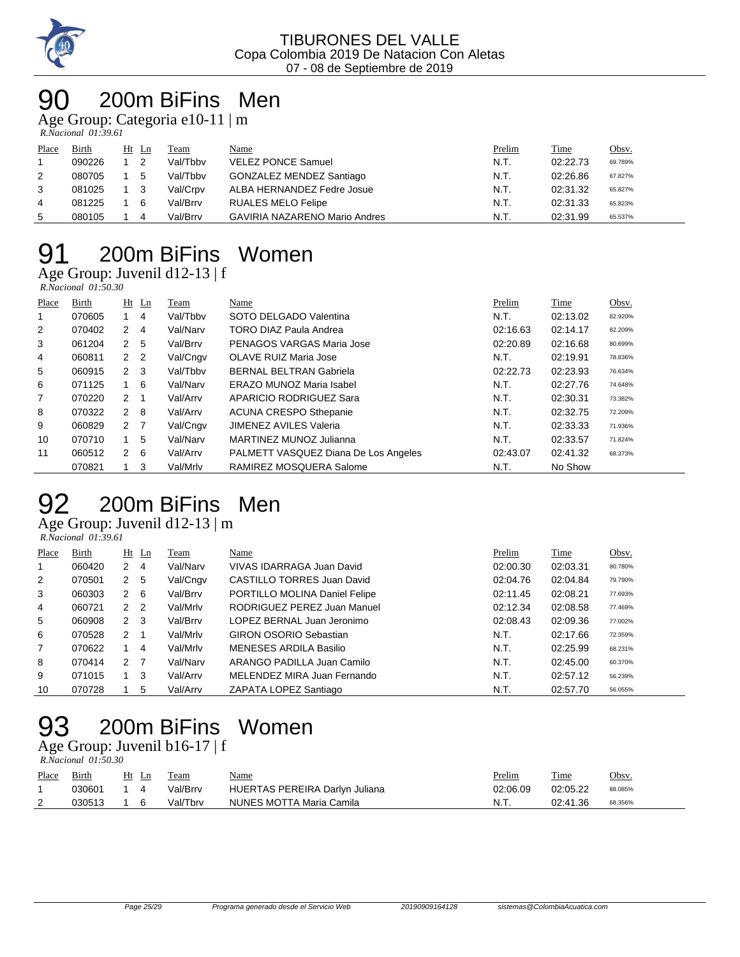

## 200m BiFins Men

Age Group: Categoria e10-11 | m

 *R.Nacional 01:39.61* 

| Place | Birth  | Ht Ln          | Team     | Name                                 | Prelim | Time     | Obsv.   |
|-------|--------|----------------|----------|--------------------------------------|--------|----------|---------|
|       | 090226 | $\overline{2}$ | Val/Tbby | <b>VELEZ PONCE Samuel</b>            | N.T.   | 02:22.73 | 69.789% |
| 2     | 080705 | 5              | Val/Tbby | <b>GONZALEZ MENDEZ Santiago</b>      | N.T.   | 02:26.86 | 67.827% |
| 3     | 081025 |                | Val/Crpv | ALBA HERNANDEZ Fedre Josue           | N.T.   | 02:31.32 | 65.827% |
| 4     | 081225 | - 6            | Val/Brrv | RUALES MELO Felipe                   | N.T.   | 02:31.33 | 65.823% |
| 5     | 080105 | 4              | Val/Brrv | <b>GAVIRIA NAZARENO Mario Andres</b> | N.T.   | 02:31.99 | 65.537% |

# 200m BiFins Women

Age Group: Juvenil d12-13 | f  *R.Nacional 01:50.30* 

| Place          | Birth  |                | $Ht$ Ln | Team     | Name                                 | Prelim   | Time     | Obsv.   |
|----------------|--------|----------------|---------|----------|--------------------------------------|----------|----------|---------|
|                | 070605 |                | 4       | Val/Tbby | SOTO DELGADO Valentina               | N.T.     | 02:13.02 | 82.920% |
| $\overline{2}$ | 070402 | $2 \quad 4$    |         | Val/Narv | <b>TORO DIAZ Paula Andrea</b>        | 02:16.63 | 02:14.17 | 82.209% |
| 3              | 061204 | $\mathbf{2}$   | - 5     | Val/Brrv | PENAGOS VARGAS Maria Jose            | 02:20.89 | 02:16.68 | 80.699% |
| 4              | 060811 | 2 <sub>2</sub> |         | Val/Cngv | OLAVE RUIZ Maria Jose                | N.T.     | 02:19.91 | 78.836% |
| 5              | 060915 | $2 \quad 3$    |         | Val/Tbby | <b>BERNAL BELTRAN Gabriela</b>       | 02:22.73 | 02:23.93 | 76.634% |
| 6              | 071125 |                | -6      | Val/Narv | ERAZO MUNOZ Maria Isabel             | N.T.     | 02:27.76 | 74.648% |
| $\overline{7}$ | 070220 | $2 \quad 1$    |         | Val/Arrv | APARICIO RODRIGUEZ Sara              | N.T.     | 02:30.31 | 73.382% |
| 8              | 070322 | $2 \quad 8$    |         | Val/Arry | <b>ACUNA CRESPO Sthepanie</b>        | N.T.     | 02:32.75 | 72.209% |
| 9              | 060829 | 2 <sub>7</sub> |         | Val/Cngv | JIMENEZ AVILES Valeria               | N.T.     | 02:33.33 | 71.936% |
| 10             | 070710 |                | 5       | Val/Narv | MARTINEZ MUNOZ Julianna              | N.T.     | 02:33.57 | 71.824% |
| 11             | 060512 | $2 \quad 6$    |         | Val/Arrv | PALMETT VASQUEZ Diana De Los Angeles | 02:43.07 | 02:41.32 | 68.373% |
|                | 070821 |                | 3       | Val/Mrlv | RAMIREZ MOSQUERA Salome              | N.T.     | No Show  |         |

# 200m BiFins Men

Age Group: Juvenil d12-13 | m

| . .                 |  |
|---------------------|--|
| R.Nacional 01:39.61 |  |

| Place          | Birth  |                      | $Ht$ Ln        | Team     | Name                          | Prelim   | Time     | Obsv.   |
|----------------|--------|----------------------|----------------|----------|-------------------------------|----------|----------|---------|
|                | 060420 | 2                    | 4              | Val/Narv | VIVAS IDARRAGA Juan David     | 02:00.30 | 02:03.31 | 80.780% |
| 2              | 070501 | 2 <sub>5</sub>       |                | Val/Cngv | CASTILLO TORRES Juan David    | 02:04.76 | 02:04.84 | 79.790% |
| 3              | 060303 | 2                    | - 6            | Val/Brrv | PORTILLO MOLINA Daniel Felipe | 02:11.45 | 02:08.21 | 77.693% |
| 4              | 060721 | $\mathcal{P}$        | $\overline{2}$ | Val/Mrlv | RODRIGUEZ PEREZ Juan Manuel   | 02:12.34 | 02:08.58 | 77.469% |
| 5              | 060908 | 2                    | - 3            | Val/Brrv | LOPEZ BERNAL Juan Jeronimo    | 02:08.43 | 02:09.36 | 77.002% |
| 6              | 070528 | $\mathcal{P} \equiv$ |                | Val/Mrlv | <b>GIRON OSORIO Sebastian</b> | N.T.     | 02:17.66 | 72.359% |
| $\overline{7}$ | 070622 |                      | 4              | Val/Mrlv | <b>MENESES ARDILA Basilio</b> | N.T.     | 02:25.99 | 68.231% |
| 8              | 070414 | $\mathcal{P}$        | - 7            | Val/Narv | ARANGO PADILLA Juan Camilo    | N.T.     | 02:45.00 | 60.370% |
| 9              | 071015 |                      | 3              | Val/Arrv | MELENDEZ MIRA Juan Fernando   | N.T.     | 02:57.12 | 56.239% |
| 10             | 070728 |                      | 5              | Val/Arrv | ZAPATA LOPEZ Santiago         | N.T.     | 02:57.70 | 56.055% |

# 200m BiFins Women

Age Group: Juvenil b16-17 | f  *R.Nacional 01:50.30* 

| Place | <b>Birth</b> | Ht Ln | Team     | <u>Name</u>                    | <u>Prelim</u> | Time     | Obsv.   |
|-------|--------------|-------|----------|--------------------------------|---------------|----------|---------|
|       | 030601       |       | Val/Brrv | HUERTAS PEREIRA Darlyn Juliana | 02:06.09      | 02:05.22 | 88.085% |
|       | 030513       |       | Val/Tbrv | NUNES MOTTA Maria Camila       | N.T           | 02:41.36 | 68.356% |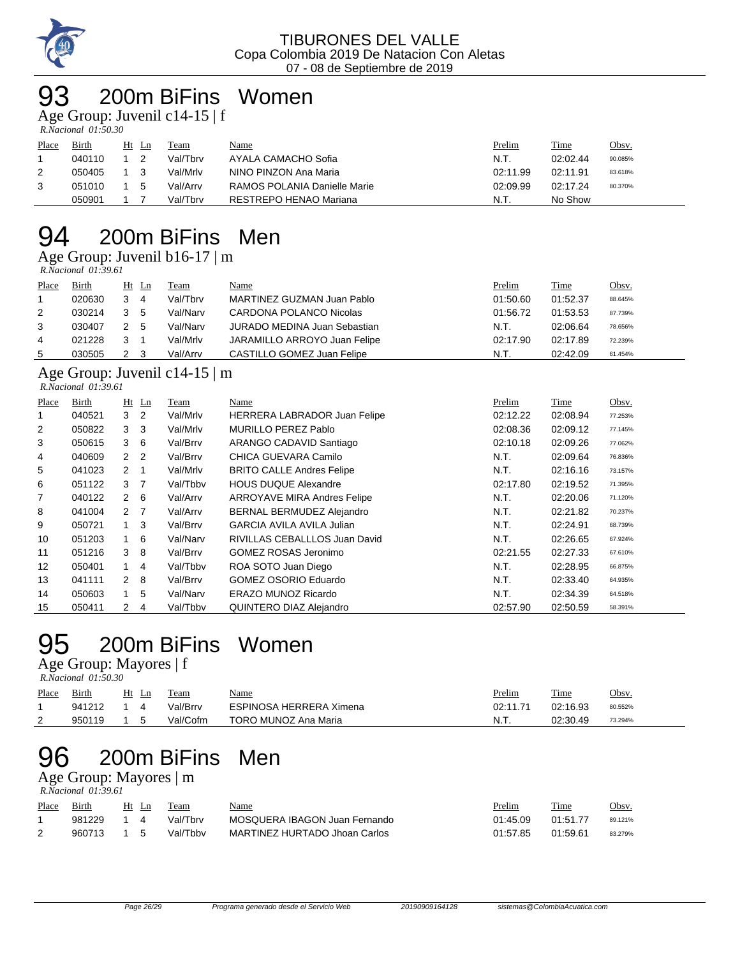

## 200m BiFins Women

Age Group: Juvenil c14-15 | f

| R.Nacional 01:50.30 |  |
|---------------------|--|

| Place | <u>Birth</u> | $Ht$ Ln | Team     | <u>Name</u>                  | Prelim   | <b>Time</b> | Obsv.   |
|-------|--------------|---------|----------|------------------------------|----------|-------------|---------|
|       | 040110       |         | Val/Tbrv | AYALA CAMACHO Sofia          | N.T.     | 02:02.44    | 90.085% |
|       | 050405       |         | Val/Mrlv | NINO PINZON Ana Maria        | 02:11.99 | 02:11.91    | 83.618% |
|       | 051010       | 5       | Val/Arrv | RAMOS POLANIA Danielle Marie | 02:09.99 | 02:17.24    | 80.370% |
|       | 050901       |         | Val/Tbrv | RESTREPO HENAO Mariana       | N.T      | No Show     |         |

### 200m BiFins Men

Age Group: Juvenil b16-17 | m

 *R.Nacional 01:39.61* 

| Place | Birth  | $Ht$ Ln        | Team     | Name                                | Prelim   | <b>Time</b> | Obsv.   |
|-------|--------|----------------|----------|-------------------------------------|----------|-------------|---------|
|       | 020630 | $3\quad 4$     | Val/Tbrv | MARTINEZ GUZMAN Juan Pablo          | 01:50.60 | 01:52.37    | 88.645% |
| 2     | 030214 | 3 <sub>5</sub> | Val/Narv | CARDONA POLANCO Nicolas             | 01:56.72 | 01:53.53    | 87.739% |
| 3     | 030407 | 2 5            | Val/Narv | <b>JURADO MEDINA Juan Sebastian</b> | N.T.     | 02:06.64    | 78.656% |
| 4     | 021228 |                | Val/Mrlv | JARAMILLO ARROYO Juan Felipe        | 02:17.90 | 02:17.89    | 72.239% |
| 5     | 030505 | 2 3            | Val/Arrv | CASTILLO GOMEZ Juan Felipe          | N.T.     | 02:42.09    | 61.454% |

#### Age Group: Juvenil c14-15 | m

| R.Nacional 01:39.61 |        |                |                |          |                                  |          |          |         |  |
|---------------------|--------|----------------|----------------|----------|----------------------------------|----------|----------|---------|--|
| Place               | Birth  |                | $Ht$ Ln        | Team     | Name                             | Prelim   | Time     | Obsv.   |  |
| 1                   | 040521 | 3              | $\overline{2}$ | Val/Mrlv | HERRERA LABRADOR Juan Felipe     | 02:12.22 | 02:08.94 | 77.253% |  |
| 2                   | 050822 | 3              | 3              | Val/Mrlv | MURILLO PEREZ Pablo              | 02:08.36 | 02:09.12 | 77.145% |  |
| 3                   | 050615 | 3              | 6              | Val/Brrv | ARANGO CADAVID Santiago          | 02:10.18 | 02:09.26 | 77.062% |  |
| 4                   | 040609 | 2              | $\overline{2}$ | Val/Brrv | CHICA GUEVARA Camilo             | N.T.     | 02:09.64 | 76.836% |  |
| 5                   | 041023 | 2              | -1             | Val/Mrlv | <b>BRITO CALLE Andres Felipe</b> | N.T.     | 02:16.16 | 73.157% |  |
| 6                   | 051122 | 3              | - 7            | Val/Tbby | <b>HOUS DUQUE Alexandre</b>      | 02:17.80 | 02:19.52 | 71.395% |  |
| 7                   | 040122 | 2              | - 6            | Val/Arrv | ARROYAVE MIRA Andres Felipe      | N.T.     | 02:20.06 | 71.120% |  |
| 8                   | 041004 | 2 <sub>7</sub> |                | Val/Arrv | BERNAL BERMUDEZ Alejandro        | N.T.     | 02:21.82 | 70.237% |  |
| 9                   | 050721 |                | $1 \quad 3$    | Val/Brrv | <b>GARCIA AVILA AVILA Julian</b> | N.T.     | 02:24.91 | 68.739% |  |
| 10                  | 051203 | 1 6            |                | Val/Narv | RIVILLAS CEBALLLOS Juan David    | N.T.     | 02:26.65 | 67.924% |  |
| 11                  | 051216 | 3              | -8             | Val/Brrv | <b>GOMEZ ROSAS Jeronimo</b>      | 02:21.55 | 02:27.33 | 67.610% |  |
| 12                  | 050401 | $1 \quad 4$    |                | Val/Tbby | ROA SOTO Juan Diego              | N.T.     | 02:28.95 | 66.875% |  |
| 13                  | 041111 | $2 \quad 8$    |                | Val/Brrv | <b>GOMEZ OSORIO Eduardo</b>      | N.T.     | 02:33.40 | 64.935% |  |
| 14                  | 050603 | $1 \quad$      | 5              | Val/Narv | ERAZO MUNOZ Ricardo              | N.T.     | 02:34.39 | 64.518% |  |
| 15                  | 050411 | $\overline{2}$ | 4              | Val/Tbbv | QUINTERO DIAZ Alejandro          | 02:57.90 | 02:50.59 | 58.391% |  |

# 200m BiFins Women

Age Group: Mayores | f  *R.Nacional 01:50.30* 

| Place    | Birth  | Ht<br>Ln | Team     | Name                    | Prelim   | Time     | Obsv.   |
|----------|--------|----------|----------|-------------------------|----------|----------|---------|
|          | 941212 |          | Val/Brrv | ESPINOSA HERRERA Ximena | 02:11.71 | 02:16.93 | 80.552% |
| <u>_</u> | 950119 |          | Val/Cofm | TORO MUNOZ Ana Maria    | N.T.     | 02:30.49 | 73.294% |

# 200m BiFins Men

Age Group: Mayores | m  *R.Nacional 01:39.61* 

| Place | Birth  |     | Ht Ln | Team     | <u>Name</u>                   | Prelim   | Time     | Obsv.   |
|-------|--------|-----|-------|----------|-------------------------------|----------|----------|---------|
|       | 981229 |     | 4     | Val/Thrv | MOSQUERA IBAGON Juan Fernando | 01:45.09 | 01:51.77 | 89.121% |
|       | 960713 | 1 5 |       | Val/Tbby | MARTINEZ HURTADO Jhoan Carlos | 01:57.85 | 01:59.61 | 83.279% |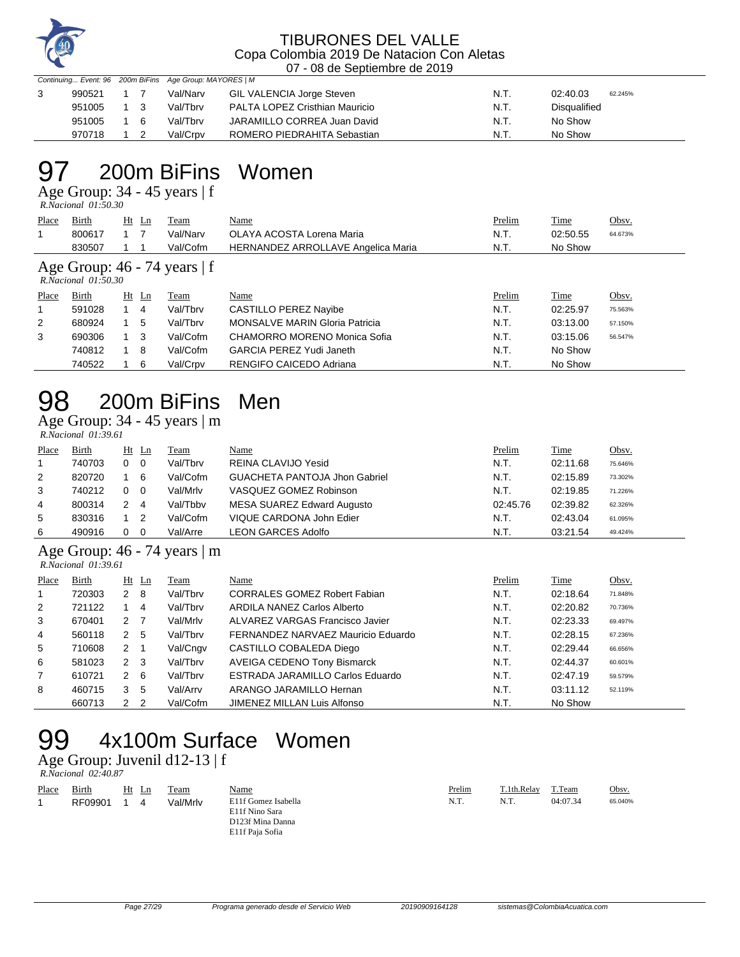

Continuing... Event: 96 200m BiFins Age Group: MAYORES | M

|  | 990521 |             | Val/Narv | GIL VALENCIA Jorge Steven      | N.T. | 02:40.03     | 62.245% |
|--|--------|-------------|----------|--------------------------------|------|--------------|---------|
|  | 951005 | $1 \quad 3$ | Val/Tbrv | PALTA LOPEZ Cristhian Mauricio | N.T. | Disqualified |         |
|  | 951005 | 16          | Val/Tbrv | JARAMILLO CORREA Juan David    | N.T. | No Show      |         |
|  | 970718 |             | Val/Crpv | ROMERO PIEDRAHITA Sebastian    | N.T. | No Show      |         |

### 97 200m BiFins Women

Age Group: 34 - 45 years | f

|                                                              | $R. Nacional$ $01:50.30$ |             |    |          |                                           |        |          |         |  |  |  |
|--------------------------------------------------------------|--------------------------|-------------|----|----------|-------------------------------------------|--------|----------|---------|--|--|--|
| Place                                                        | Birth                    | $Ht$ Ln     |    | Team     | Name                                      | Prelim | Time     | Obsv.   |  |  |  |
| 1                                                            | 800617                   |             |    | Val/Narv | OLAYA ACOSTA Lorena Maria                 | N.T.   | 02:50.55 | 64.673% |  |  |  |
|                                                              | 830507                   |             |    | Val/Cofm | <b>HERNANDEZ ARROLLAVE Angelica Maria</b> | N.T.   | No Show  |         |  |  |  |
| Age Group: $46 - 74$ years $ f $<br>$R. Nacional$ $01:50.30$ |                          |             |    |          |                                           |        |          |         |  |  |  |
|                                                              |                          |             |    |          |                                           |        |          |         |  |  |  |
| Place                                                        | Birth                    | $Ht$ Ln     |    | Team     | Name                                      | Prelim | Time     | Obsv.   |  |  |  |
| 1                                                            | 591028                   |             | -4 | Val/Tbrv | CASTILLO PEREZ Nayibe                     | N.T.   | 02:25.97 | 75.563% |  |  |  |
| $\overline{2}$                                               | 680924                   |             | -5 | Val/Tbrv | <b>MONSALVE MARIN Gloria Patricia</b>     | N.T.   | 03:13.00 | 57.150% |  |  |  |
| 3                                                            | 690306                   | $1 \quad 3$ |    | Val/Cofm | CHAMORRO MORENO Monica Sofia              | N.T.   | 03:15.06 | 56.547% |  |  |  |
|                                                              | 740812                   |             | 8  | Val/Cofm | <b>GARCIA PEREZ Yudi Janeth</b>           | N.T.   | No Show  |         |  |  |  |

#### 98 200m BiFins Men Age Group: 34 - 45 years | m

 *R.Nacional 01:39.61* 

| Place | Birth  | $Ht$ Ln                      | Team     | <u>Name</u>                          | Prelim   | Time     | <u>Obsv.</u> |
|-------|--------|------------------------------|----------|--------------------------------------|----------|----------|--------------|
|       | 740703 | $\overline{\mathbf{0}}$<br>0 | Val/Tbrv | REINA CLAVIJO Yesid                  | N.T.     | 02:11.68 | 75.646%      |
| 2     | 820720 | 6                            | Val/Cofm | <b>GUACHETA PANTOJA Jhon Gabriel</b> | N.T.     | 02:15.89 | 73.302%      |
| 3     | 740212 | $\overline{0}$<br>$\Omega$   | Val/Mrlv | VASQUEZ GOMEZ Robinson               | N.T.     | 02:19.85 | 71.226%      |
| 4     | 800314 | -4                           | Val/Tbby | MESA SUAREZ Edward Augusto           | 02:45.76 | 02:39.82 | 62.326%      |
| 5     | 830316 | $\overline{2}$               | Val/Cofm | VIQUE CARDONA John Edier             | N.T.     | 02:43.04 | 61.095%      |
| 6     | 490916 | - 0                          | Val/Arre | LEON GARCES Adolfo                   | N.T.     | 03:21.54 | 49.424%      |

#### Age Group: 46 - 74 years | m

| R.Nacional 01:39.61 |  |
|---------------------|--|
|---------------------|--|

| Place          | Birth  | $Ht$ Ln                         | Team     | Name                                | Prelim | <b>Time</b> | Obsv.   |
|----------------|--------|---------------------------------|----------|-------------------------------------|--------|-------------|---------|
|                | 720303 | $2 \quad 8$                     | Val/Tbrv | <b>CORRALES GOMEZ Robert Fabian</b> | N.T.   | 02:18.64    | 71.848% |
| 2              | 721122 | 4                               | Val/Tbrv | ARDILA NANEZ Carlos Alberto         | N.T.   | 02:20.82    | 70.736% |
| 3              | 670401 | 2 <sub>7</sub>                  | Val/Mrlv | ALVAREZ VARGAS Francisco Javier     | N.T.   | 02:23.33    | 69.497% |
| $\overline{4}$ | 560118 | 2 5                             | Val/Tbrv | FERNANDEZ NARVAEZ Mauricio Eduardo  | N.T.   | 02:28.15    | 67.236% |
| 5              | 710608 | 2                               | Val/Cngv | CASTILLO COBALEDA Diego             | N.T.   | 02:29.44    | 66.656% |
| 6              | 581023 | $2 \quad 3$                     | Val/Tbrv | <b>AVEIGA CEDENO Tony Bismarck</b>  | N.T.   | 02:44.37    | 60.601% |
| 7              | 610721 | $2 \quad 6$                     | Val/Tbrv | ESTRADA JARAMILLO Carlos Eduardo    | N.T.   | 02:47.19    | 59.579% |
| 8              | 460715 | 3<br>5                          | Val/Arrv | ARANGO JARAMILLO Hernan             | N.T.   | 03:11.12    | 52.119% |
|                | 660713 | $\mathcal{P}$<br>$\overline{2}$ | Val/Cofm | JIMENEZ MILLAN Luis Alfonso         | N.T.   | No Show     |         |

# 99 4x100m Surface Women

Age Group: Juvenil d12-13 | f

|       | R.Nacional 02:40.87 |       |          |                     |        |             |          |         |
|-------|---------------------|-------|----------|---------------------|--------|-------------|----------|---------|
| Place | Birth               | Ht Ln | Team     | Name                | Prelim | T.1th.Relay | T.Team   | Obsv.   |
|       | RF09901             | 4     | Val/Mrlv | E11f Gomez Isabella | N.T.   | N.T.        | 04:07.34 | 65.040% |
|       |                     |       |          | E11f Nino Sara      |        |             |          |         |
|       |                     |       |          | D123f Mina Danna    |        |             |          |         |
|       |                     |       |          | E11f Paja Sofia     |        |             |          |         |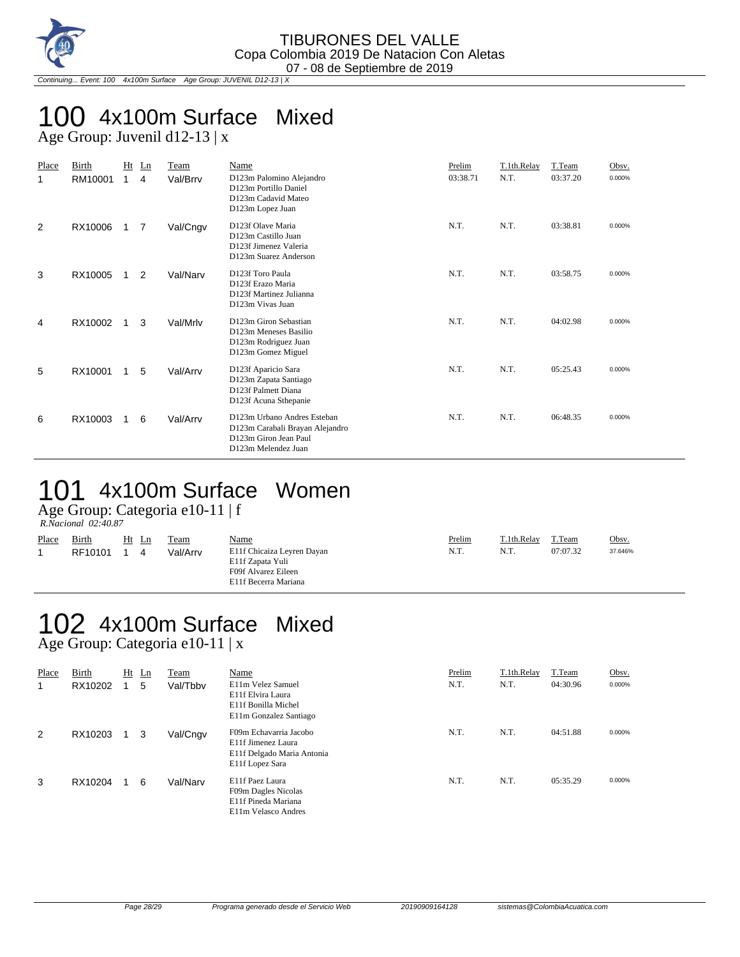

Continuing... Event: 100 4x100m Surface Age Group: JUVENIL D12-13 | X

#### 100 4x100m Surface Mixed Age Group: Juvenil d12-13 | x

| Place<br>1 | Birth<br>RM10001 | Ht<br>$\mathbf{1}$ | Ln<br>4 | Team<br>Val/Brrv | Name<br>D123m Palomino Alejandro<br>D123m Portillo Daniel<br>D123m Cadavid Mateo<br>D123m Lopez Juan           | Prelim<br>03:38.71 | T.1th.Relay<br>N.T. | T.Team<br>03:37.20 | Obsv.<br>0.000% |
|------------|------------------|--------------------|---------|------------------|----------------------------------------------------------------------------------------------------------------|--------------------|---------------------|--------------------|-----------------|
| 2          | RX10006          | 1.                 | 7       | Val/Cngv         | D123f Olave Maria<br>D123m Castillo Juan<br>D123f Jimenez Valeria<br>D123m Suarez Anderson                     | N.T.               | N.T.                | 03:38.81           | 0.000%          |
| 3          | RX10005          |                    | 2       | Val/Narv         | D123f Toro Paula<br>D123f Erazo Maria<br>D123f Martinez Julianna<br>D123m Vivas Juan                           | N.T.               | N.T.                | 03:58.75           | 0.000%          |
| 4          | RX10002          |                    | 3       | Val/Mrlv         | D123m Giron Sebastian<br>D123m Meneses Basilio<br>D123m Rodriguez Juan<br>D123m Gomez Miguel                   | N.T.               | N.T.                | 04:02.98           | 0.000%          |
| 5          | RX10001          | 1.                 | 5       | Val/Arrv         | D123f Aparicio Sara<br>D123m Zapata Santiago<br>D123f Palmett Diana<br>D123f Acuna Sthepanie                   | N.T.               | N.T.                | 05:25.43           | 0.000%          |
| 6          | RX10003          |                    | 6       | Val/Arrv         | D123m Urbano Andres Esteban<br>D123m Carabali Brayan Alejandro<br>D123m Giron Jean Paul<br>D123m Melendez Juan | N.T.               | N.T.                | 06:48.35           | 0.000%          |

### 101 4x100m Surface Women

Age Group: Categoria e10-11 | f

| Place | Birth   | Ht Ln | Team     | <b>Name</b>                                                                                   | Prelim | T.1th.Relay | T.Team   | Obsv.   |
|-------|---------|-------|----------|-----------------------------------------------------------------------------------------------|--------|-------------|----------|---------|
|       | RF10101 | 4     | Val/Arrv | E11f Chicaiza Leyren Dayan<br>E11f Zapata Yuli<br>F09f Alvarez Eileen<br>E11f Becerra Mariana | N.T.   | N.T.        | 07:07.32 | 37.646% |

#### 102 4x100m Surface Mixed Age Group: Categoria e10-11 | x

Place Birth Ht Ln Team Name **Name Prelim** T.1th.Relay T.Team Obsv. 1 RX10202 1 5 Val/Tbbv E11m Velez Samuel N.T. N.T. 04:30.96 0.000% E11f Elvira Laura E11f Bonilla Michel E11m Gonzalez Santiago 2 RX10203 1 3 Val/Cngv F09m Echavarria Jacobo N.T. N.T. 04:51.88 0.000% E11f Jimenez Laura E11f Delgado Maria Antonia E11f Lopez Sara 3 RX10204 1 6 Val/Narv E11f Paez Laura N.T. N.T. 05:35.29 0.000% F09m Dagles Nicolas E11f Pineda Mariana E11m Velasco Andres